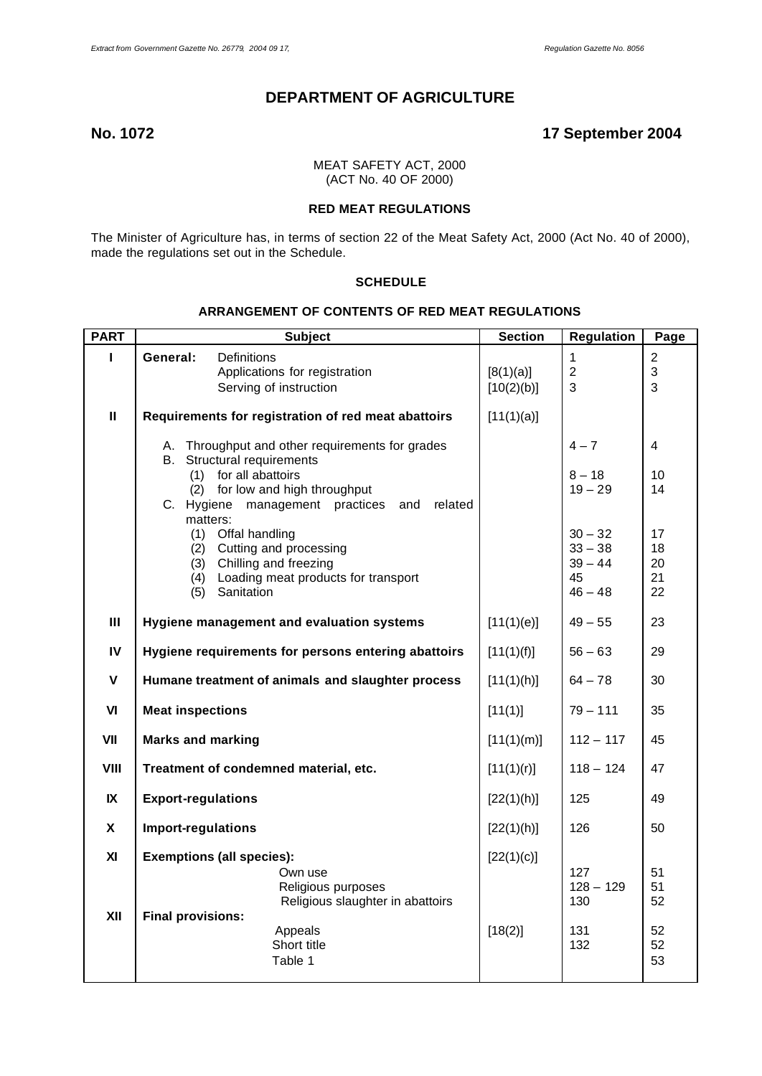# **DEPARTMENT OF AGRICULTURE**

# **No. 1072 17 September 2004**

MEAT SAFETY ACT, 2000 (ACT No. 40 OF 2000)

# **RED MEAT REGULATIONS**

The Minister of Agriculture has, in terms of section 22 of the Meat Safety Act, 2000 (Act No. 40 of 2000), made the regulations set out in the Schedule.

# **SCHEDULE**

#### **ARRANGEMENT OF CONTENTS OF RED MEAT REGULATIONS**

| <b>PART</b>    | <b>Subject</b>                                                                                            |                                                                                                                          | <b>Section</b>          | <b>Regulation</b>                                      | Page                       |
|----------------|-----------------------------------------------------------------------------------------------------------|--------------------------------------------------------------------------------------------------------------------------|-------------------------|--------------------------------------------------------|----------------------------|
|                | <b>Definitions</b><br>General:                                                                            | Applications for registration<br>Serving of instruction                                                                  | [8(1)(a)]<br>[10(2)(b)] | 1<br>$\overline{2}$<br>3                               | $\overline{2}$<br>3<br>3   |
| $\mathbf{H}$   | Requirements for registration of red meat abattoirs                                                       |                                                                                                                          | [11(1)(a)]              |                                                        |                            |
|                | Structural requirements<br>B.<br>(1) for all abattoirs<br>(2)<br>C. Hygiene<br>matters:                   | A. Throughput and other requirements for grades<br>for low and high throughput<br>management practices<br>related<br>and |                         | $4 - 7$<br>$8 - 18$<br>$19 - 29$                       | $\overline{4}$<br>10<br>14 |
|                | (1) Offal handling<br>(2) Cutting and processing<br>(3) Chilling and freezing<br>(4)<br>Sanitation<br>(5) | Loading meat products for transport                                                                                      |                         | $30 - 32$<br>$33 - 38$<br>$39 - 44$<br>45<br>$46 - 48$ | 17<br>18<br>20<br>21<br>22 |
| III            | Hygiene management and evaluation systems                                                                 |                                                                                                                          | [11(1)(e)]              | $49 - 55$                                              | 23                         |
| IV             | Hygiene requirements for persons entering abattoirs                                                       |                                                                                                                          | [11(1)(f)]              | $56 - 63$                                              | 29                         |
| $\mathsf{V}$   | Humane treatment of animals and slaughter process                                                         |                                                                                                                          | [11(1)(h)]              | $64 - 78$                                              | 30                         |
| V <sub>l</sub> | <b>Meat inspections</b>                                                                                   |                                                                                                                          | [11(1)]                 | $79 - 111$                                             | 35                         |
| VII            | <b>Marks and marking</b>                                                                                  |                                                                                                                          | [11(1)(m)]              | $112 - 117$                                            | 45                         |
| VIII           | Treatment of condemned material, etc.                                                                     |                                                                                                                          | [11(1)(r)]              | $118 - 124$                                            | 47                         |
| IX             | <b>Export-regulations</b>                                                                                 |                                                                                                                          | [22(1)(h)]              | 125                                                    | 49                         |
| X              | <b>Import-regulations</b>                                                                                 |                                                                                                                          | [22(1)(h)]              | 126                                                    | 50                         |
| XI             | <b>Exemptions (all species):</b>                                                                          |                                                                                                                          | [22(1)(c)]              |                                                        | 51                         |
| XII            | <b>Final provisions:</b>                                                                                  | Own use<br>Religious purposes<br>Religious slaughter in abattoirs                                                        |                         | 127<br>$128 - 129$<br>130                              | 51<br>52                   |
|                |                                                                                                           | Appeals<br>Short title<br>Table 1                                                                                        | [18(2)]                 | 131<br>132                                             | 52<br>52<br>53             |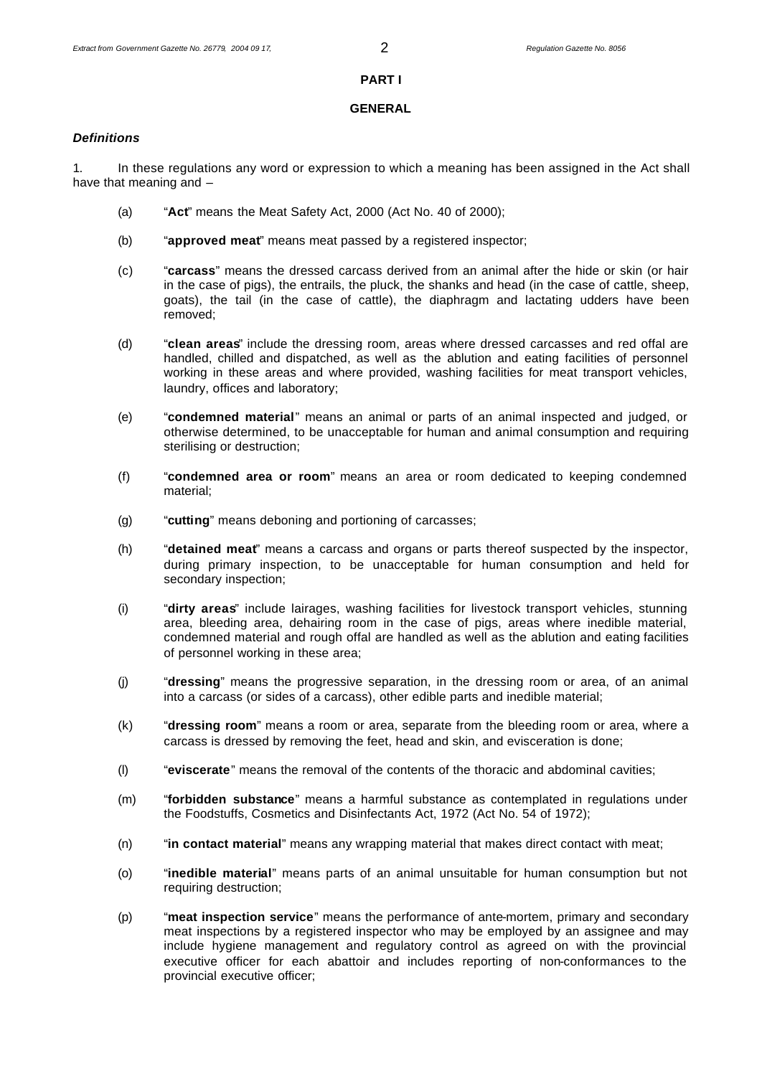# **PART I**

# **GENERAL**

# *Definitions*

1. In these regulations any word or expression to which a meaning has been assigned in the Act shall have that meaning and –

- (a) "**Act**" means the Meat Safety Act, 2000 (Act No. 40 of 2000);
- (b) "**approved meat**" means meat passed by a registered inspector;
- (c) "**carcass**" means the dressed carcass derived from an animal after the hide or skin (or hair in the case of pigs), the entrails, the pluck, the shanks and head (in the case of cattle, sheep, goats), the tail (in the case of cattle), the diaphragm and lactating udders have been removed;
- (d) "**clean areas**" include the dressing room, areas where dressed carcasses and red offal are handled, chilled and dispatched, as well as the ablution and eating facilities of personnel working in these areas and where provided, washing facilities for meat transport vehicles, laundry, offices and laboratory;
- (e) "**condemned material**" means an animal or parts of an animal inspected and judged, or otherwise determined, to be unacceptable for human and animal consumption and requiring sterilising or destruction;
- (f) "**condemned area or room**" means an area or room dedicated to keeping condemned material;
- (g) "**cutting**" means deboning and portioning of carcasses;
- (h) "**detained meat**" means a carcass and organs or parts thereof suspected by the inspector, during primary inspection, to be unacceptable for human consumption and held for secondary inspection;
- (i) "**dirty areas**" include lairages, washing facilities for livestock transport vehicles, stunning area, bleeding area, dehairing room in the case of pigs, areas where inedible material, condemned material and rough offal are handled as well as the ablution and eating facilities of personnel working in these area;
- (j) "**dressing**" means the progressive separation, in the dressing room or area, of an animal into a carcass (or sides of a carcass), other edible parts and inedible material;
- (k) "**dressing room**" means a room or area, separate from the bleeding room or area, where a carcass is dressed by removing the feet, head and skin, and evisceration is done;
- (l) "**eviscerate**" means the removal of the contents of the thoracic and abdominal cavities;
- (m) "**forbidden substance**" means a harmful substance as contemplated in regulations under the Foodstuffs, Cosmetics and Disinfectants Act, 1972 (Act No. 54 of 1972);
- (n) "**in contact material**" means any wrapping material that makes direct contact with meat;
- (o) "**inedible material**" means parts of an animal unsuitable for human consumption but not requiring destruction;
- (p) "**meat inspection service**" means the performance of ante-mortem, primary and secondary meat inspections by a registered inspector who may be employed by an assignee and may include hygiene management and regulatory control as agreed on with the provincial executive officer for each abattoir and includes reporting of non-conformances to the provincial executive officer;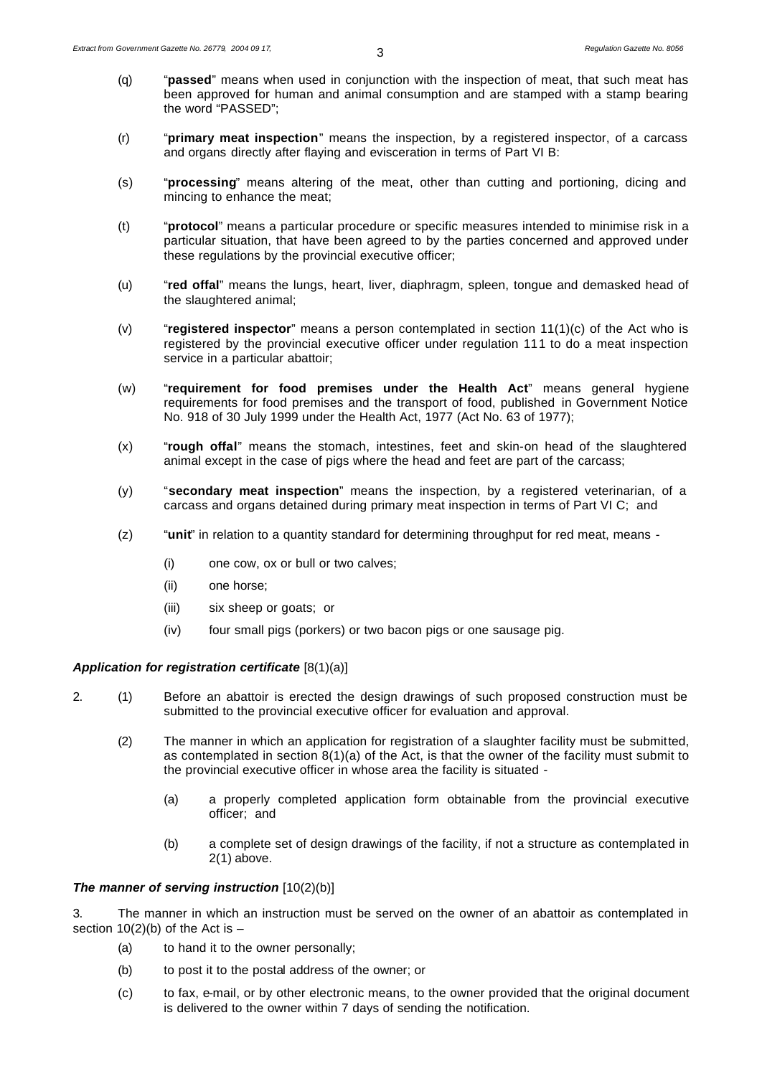- (q) "**passed**" means when used in conjunction with the inspection of meat, that such meat has been approved for human and animal consumption and are stamped with a stamp bearing the word "PASSED";
- (r) "**primary meat inspection**" means the inspection, by a registered inspector, of a carcass and organs directly after flaying and evisceration in terms of Part VI B:
- (s) "**processing**" means altering of the meat, other than cutting and portioning, dicing and mincing to enhance the meat;
- (t) "**protocol**" means a particular procedure or specific measures intended to minimise risk in a particular situation, that have been agreed to by the parties concerned and approved under these regulations by the provincial executive officer;
- (u) "**red offal**" means the lungs, heart, liver, diaphragm, spleen, tongue and demasked head of the slaughtered animal;
- (v) "**registered inspector**" means a person contemplated in section 11(1)(c) of the Act who is registered by the provincial executive officer under regulation 111 to do a meat inspection service in a particular abattoir:
- (w) "**requirement for food premises under the Health Act**" means general hygiene requirements for food premises and the transport of food, published in Government Notice No. 918 of 30 July 1999 under the Health Act, 1977 (Act No. 63 of 1977);
- (x) "**rough offal**" means the stomach, intestines, feet and skin-on head of the slaughtered animal except in the case of pigs where the head and feet are part of the carcass;
- (y) "**secondary meat inspection**" means the inspection, by a registered veterinarian, of a carcass and organs detained during primary meat inspection in terms of Part VI C; and
- (z) "**unit**" in relation to a quantity standard for determining throughput for red meat, means
	- (i) one cow, ox or bull or two calves;
	- (ii) one horse;
	- (iii) six sheep or goats; or
	- (iv) four small pigs (porkers) or two bacon pigs or one sausage pig.

#### *Application for registration certificate* [8(1)(a)]

- 2. (1) Before an abattoir is erected the design drawings of such proposed construction must be submitted to the provincial executive officer for evaluation and approval.
	- (2) The manner in which an application for registration of a slaughter facility must be submitted, as contemplated in section 8(1)(a) of the Act, is that the owner of the facility must submit to the provincial executive officer in whose area the facility is situated -
		- (a) a properly completed application form obtainable from the provincial executive officer; and
		- (b) a complete set of design drawings of the facility, if not a structure as contemplated in 2(1) above.

# *The manner of serving instruction* [10(2)(b)]

3. The manner in which an instruction must be served on the owner of an abattoir as contemplated in section  $10(2)(b)$  of the Act is  $-$ 

- (a) to hand it to the owner personally;
- (b) to post it to the postal address of the owner; or
- (c) to fax, e-mail, or by other electronic means, to the owner provided that the original document is delivered to the owner within 7 days of sending the notification.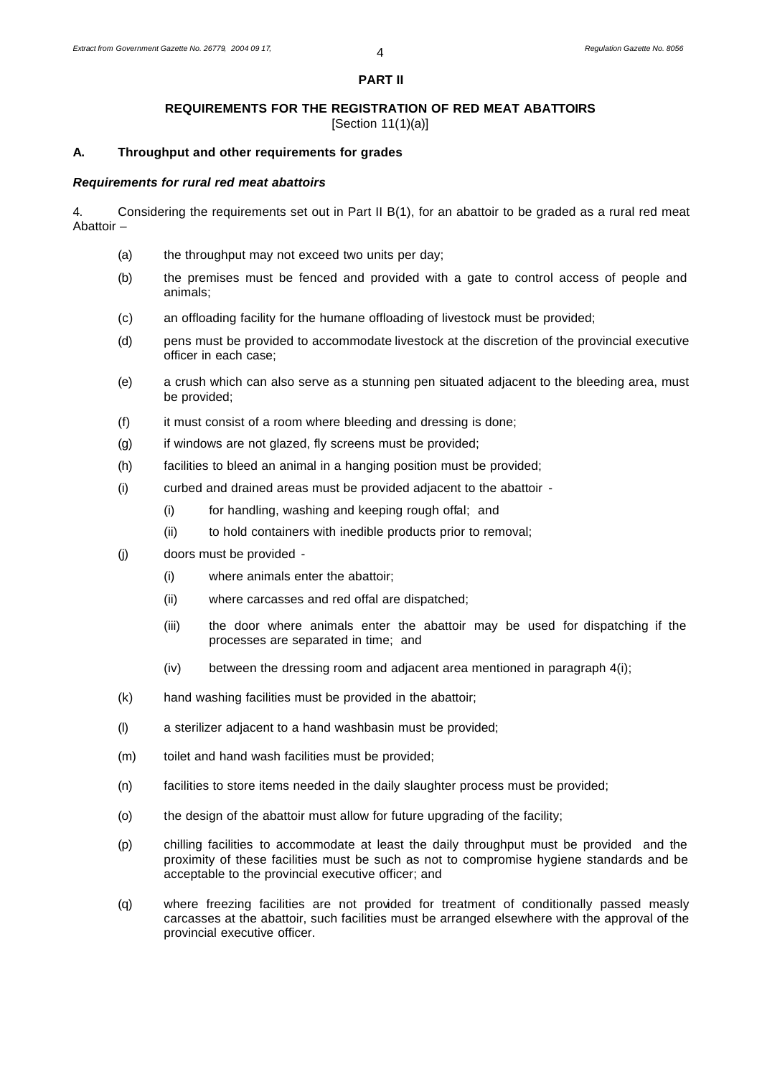#### **PART II**

# **REQUIREMENTS FOR THE REGISTRATION OF RED MEAT ABATTOIRS**

[Section 11(1)(a)]

# **A. Throughput and other requirements for grades**

#### *Requirements for rural red meat abattoirs*

4. Considering the requirements set out in Part II B(1), for an abattoir to be graded as a rural red meat Abattoir –

- (a) the throughput may not exceed two units per day;
- (b) the premises must be fenced and provided with a gate to control access of people and animals;
- (c) an offloading facility for the humane offloading of livestock must be provided;
- (d) pens must be provided to accommodate livestock at the discretion of the provincial executive officer in each case;
- (e) a crush which can also serve as a stunning pen situated adjacent to the bleeding area, must be provided;
- (f) it must consist of a room where bleeding and dressing is done;
- (g) if windows are not glazed, fly screens must be provided;
- (h) facilities to bleed an animal in a hanging position must be provided;
- (i) curbed and drained areas must be provided adjacent to the abattoir
	- (i) for handling, washing and keeping rough offal; and
	- (ii) to hold containers with inedible products prior to removal;
- (j) doors must be provided
	- (i) where animals enter the abattoir;
	- (ii) where carcasses and red offal are dispatched;
	- (iii) the door where animals enter the abattoir may be used for dispatching if the processes are separated in time; and
	- (iv) between the dressing room and adjacent area mentioned in paragraph 4(i);
- (k) hand washing facilities must be provided in the abattoir;
- (l) a sterilizer adjacent to a hand washbasin must be provided;
- (m) toilet and hand wash facilities must be provided;
- (n) facilities to store items needed in the daily slaughter process must be provided;
- (o) the design of the abattoir must allow for future upgrading of the facility;
- (p) chilling facilities to accommodate at least the daily throughput must be provided and the proximity of these facilities must be such as not to compromise hygiene standards and be acceptable to the provincial executive officer; and
- (q) where freezing facilities are not provided for treatment of conditionally passed measly carcasses at the abattoir, such facilities must be arranged elsewhere with the approval of the provincial executive officer.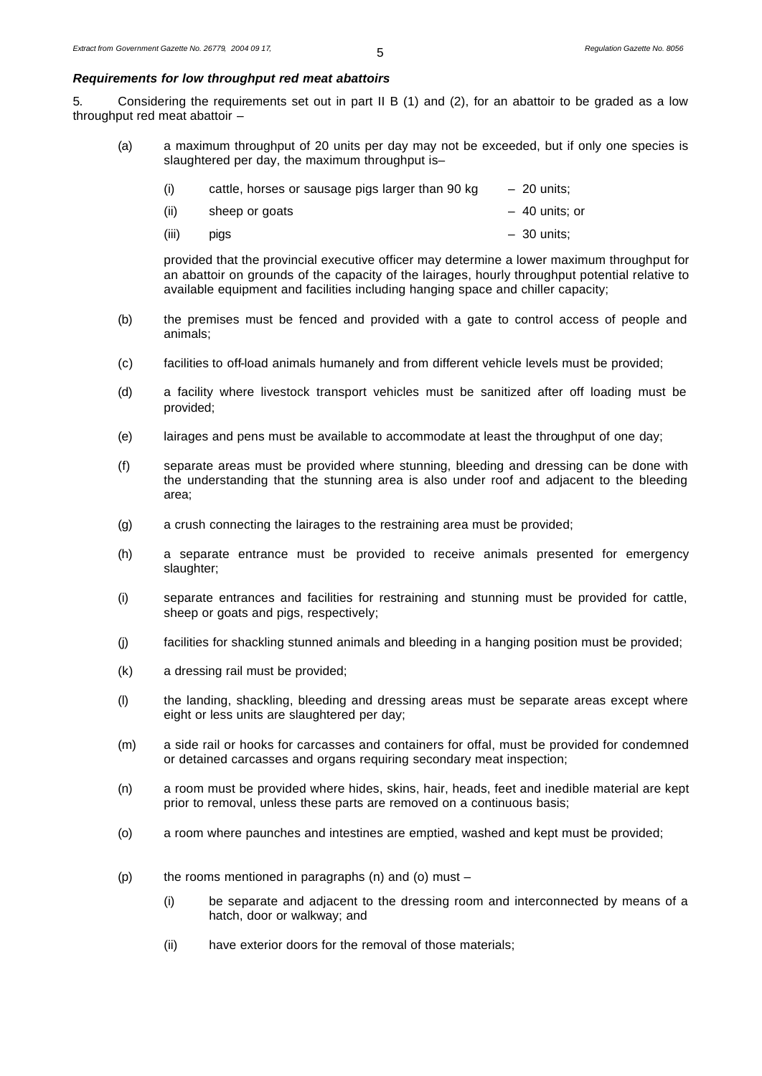# *Requirements for low throughput red meat abattoirs*

5. Considering the requirements set out in part II B (1) and (2), for an abattoir to be graded as a low throughput red meat abattoir –

(a) a maximum throughput of 20 units per day may not be exceeded, but if only one species is slaughtered per day, the maximum throughput is–

| (i)<br>cattle, horses or sausage pigs larger than 90 kg | $-20$ units; |
|---------------------------------------------------------|--------------|
|---------------------------------------------------------|--------------|

| (ii) | sheep or goats | - 40 units; or |
|------|----------------|----------------|
|      |                |                |

(iii) pigs – 30 units;

provided that the provincial executive officer may determine a lower maximum throughput for an abattoir on grounds of the capacity of the lairages, hourly throughput potential relative to available equipment and facilities including hanging space and chiller capacity;

- (b) the premises must be fenced and provided with a gate to control access of people and animals;
- (c) facilities to off-load animals humanely and from different vehicle levels must be provided;
- (d) a facility where livestock transport vehicles must be sanitized after off loading must be provided;
- (e) lairages and pens must be available to accommodate at least the throughput of one day;
- (f) separate areas must be provided where stunning, bleeding and dressing can be done with the understanding that the stunning area is also under roof and adjacent to the bleeding area;
- (g) a crush connecting the lairages to the restraining area must be provided;
- (h) a separate entrance must be provided to receive animals presented for emergency slaughter;
- (i) separate entrances and facilities for restraining and stunning must be provided for cattle, sheep or goats and pigs, respectively;
- (j) facilities for shackling stunned animals and bleeding in a hanging position must be provided;
- (k) a dressing rail must be provided;
- (l) the landing, shackling, bleeding and dressing areas must be separate areas except where eight or less units are slaughtered per day;
- (m) a side rail or hooks for carcasses and containers for offal, must be provided for condemned or detained carcasses and organs requiring secondary meat inspection;
- (n) a room must be provided where hides, skins, hair, heads, feet and inedible material are kept prior to removal, unless these parts are removed on a continuous basis;
- (o) a room where paunches and intestines are emptied, washed and kept must be provided;
- (p) the rooms mentioned in paragraphs  $(n)$  and  $(o)$  must
	- (i) be separate and adjacent to the dressing room and interconnected by means of a hatch, door or walkway; and
	- (ii) have exterior doors for the removal of those materials;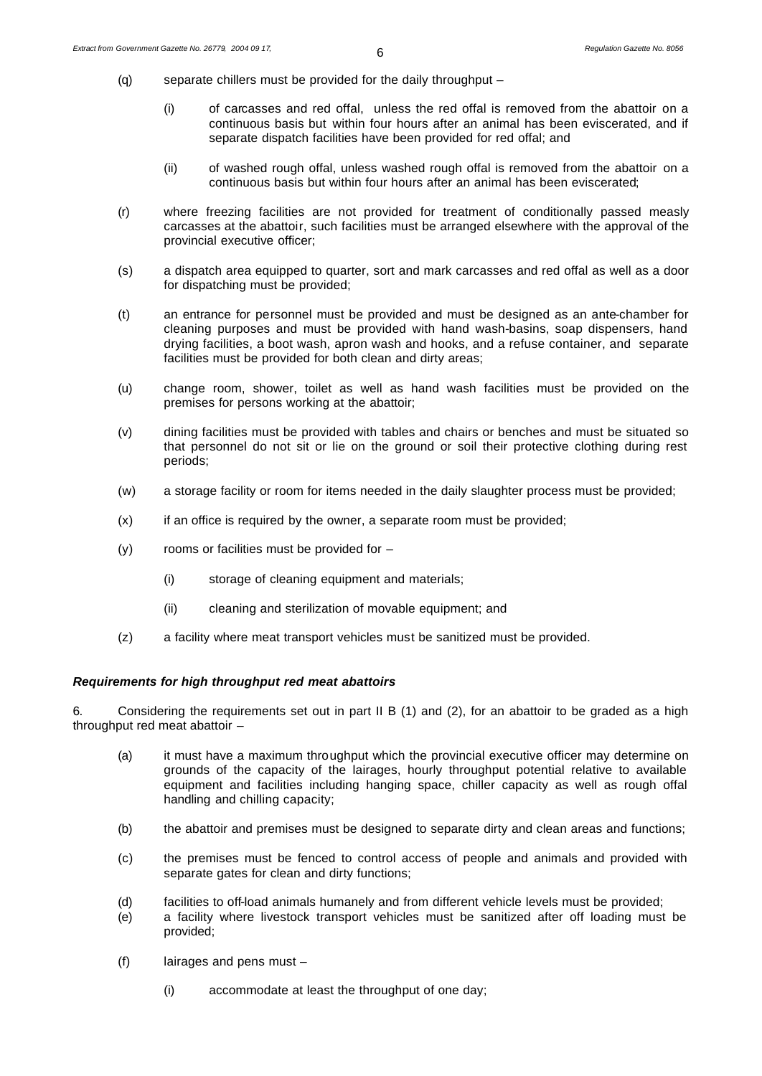- (q) separate chillers must be provided for the daily throughput
	- (i) of carcasses and red offal, unless the red offal is removed from the abattoir on a continuous basis but within four hours after an animal has been eviscerated, and if separate dispatch facilities have been provided for red offal; and
	- (ii) of washed rough offal, unless washed rough offal is removed from the abattoir on a continuous basis but within four hours after an animal has been eviscerated;
- (r) where freezing facilities are not provided for treatment of conditionally passed measly carcasses at the abattoir, such facilities must be arranged elsewhere with the approval of the provincial executive officer;
- (s) a dispatch area equipped to quarter, sort and mark carcasses and red offal as well as a door for dispatching must be provided;
- (t) an entrance for personnel must be provided and must be designed as an ante-chamber for cleaning purposes and must be provided with hand wash-basins, soap dispensers, hand drying facilities, a boot wash, apron wash and hooks, and a refuse container, and separate facilities must be provided for both clean and dirty areas;
- (u) change room, shower, toilet as well as hand wash facilities must be provided on the premises for persons working at the abattoir;
- (v) dining facilities must be provided with tables and chairs or benches and must be situated so that personnel do not sit or lie on the ground or soil their protective clothing during rest periods;
- (w) a storage facility or room for items needed in the daily slaughter process must be provided;
- (x) if an office is required by the owner, a separate room must be provided;
- (y) rooms or facilities must be provided for
	- (i) storage of cleaning equipment and materials;
	- (ii) cleaning and sterilization of movable equipment; and
- (z) a facility where meat transport vehicles must be sanitized must be provided.

# *Requirements for high throughput red meat abattoirs*

6. Considering the requirements set out in part II B (1) and (2), for an abattoir to be graded as a high throughput red meat abattoir –

- (a) it must have a maximum throughput which the provincial executive officer may determine on grounds of the capacity of the lairages, hourly throughput potential relative to available equipment and facilities including hanging space, chiller capacity as well as rough offal handling and chilling capacity;
- (b) the abattoir and premises must be designed to separate dirty and clean areas and functions;
- (c) the premises must be fenced to control access of people and animals and provided with separate gates for clean and dirty functions;
- (d) facilities to off-load animals humanely and from different vehicle levels must be provided;
- (e) a facility where livestock transport vehicles must be sanitized after off loading must be provided;
- (f) lairages and pens must
	- (i) accommodate at least the throughput of one day;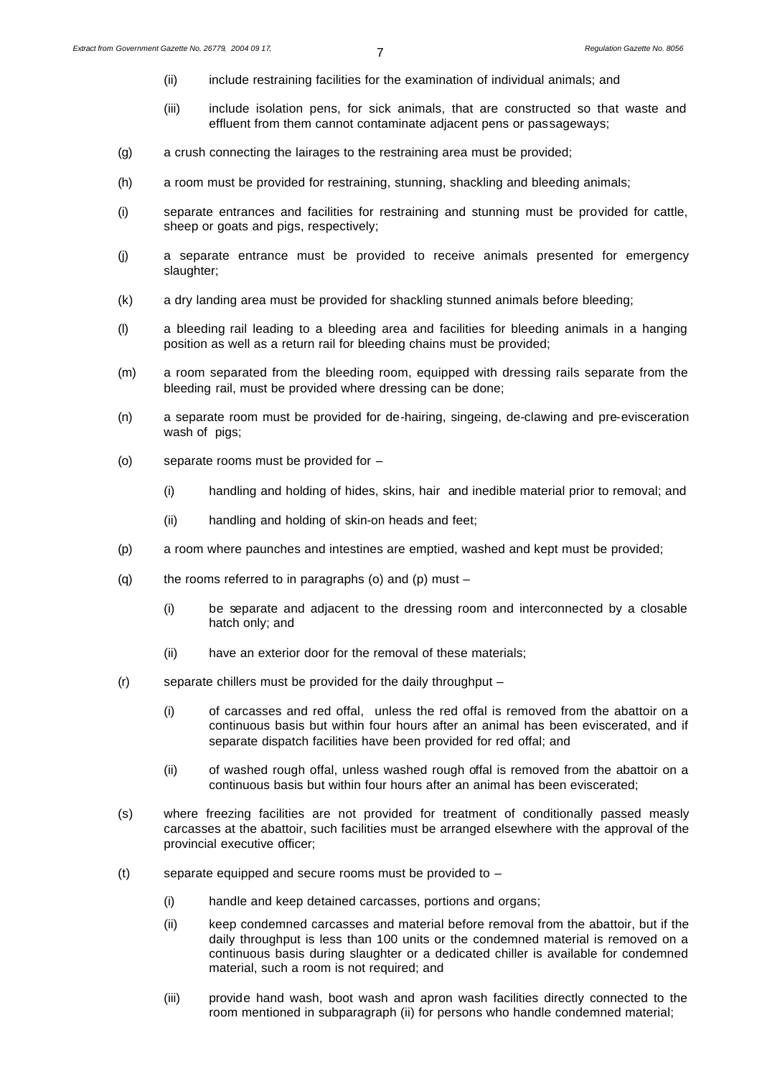- (ii) include restraining facilities for the examination of individual animals; and
- (iii) include isolation pens, for sick animals, that are constructed so that waste and effluent from them cannot contaminate adjacent pens or passageways;
- (g) a crush connecting the lairages to the restraining area must be provided;
- (h) a room must be provided for restraining, stunning, shackling and bleeding animals;
- (i) separate entrances and facilities for restraining and stunning must be provided for cattle, sheep or goats and pigs, respectively;
- (j) a separate entrance must be provided to receive animals presented for emergency slaughter;
- (k) a dry landing area must be provided for shackling stunned animals before bleeding;
- (l) a bleeding rail leading to a bleeding area and facilities for bleeding animals in a hanging position as well as a return rail for bleeding chains must be provided;
- (m) a room separated from the bleeding room, equipped with dressing rails separate from the bleeding rail, must be provided where dressing can be done;
- (n) a separate room must be provided for de-hairing, singeing, de-clawing and pre-evisceration wash of pigs;
- (o) separate rooms must be provided for
	- (i) handling and holding of hides, skins, hair and inedible material prior to removal; and
	- (ii) handling and holding of skin-on heads and feet;
- (p) a room where paunches and intestines are emptied, washed and kept must be provided;
- (q) the rooms referred to in paragraphs (o) and (p) must  $-$ 
	- (i) be separate and adjacent to the dressing room and interconnected by a closable hatch only; and
	- (ii) have an exterior door for the removal of these materials;
- (r) separate chillers must be provided for the daily throughput
	- (i) of carcasses and red offal, unless the red offal is removed from the abattoir on a continuous basis but within four hours after an animal has been eviscerated, and if separate dispatch facilities have been provided for red offal; and
	- (ii) of washed rough offal, unless washed rough offal is removed from the abattoir on a continuous basis but within four hours after an animal has been eviscerated;
- (s) where freezing facilities are not provided for treatment of conditionally passed measly carcasses at the abattoir, such facilities must be arranged elsewhere with the approval of the provincial executive officer;
- (t) separate equipped and secure rooms must be provided to  $-$ 
	- (i) handle and keep detained carcasses, portions and organs;
	- (ii) keep condemned carcasses and material before removal from the abattoir, but if the daily throughput is less than 100 units or the condemned material is removed on a continuous basis during slaughter or a dedicated chiller is available for condemned material, such a room is not required; and
	- (iii) provide hand wash, boot wash and apron wash facilities directly connected to the room mentioned in subparagraph (ii) for persons who handle condemned material;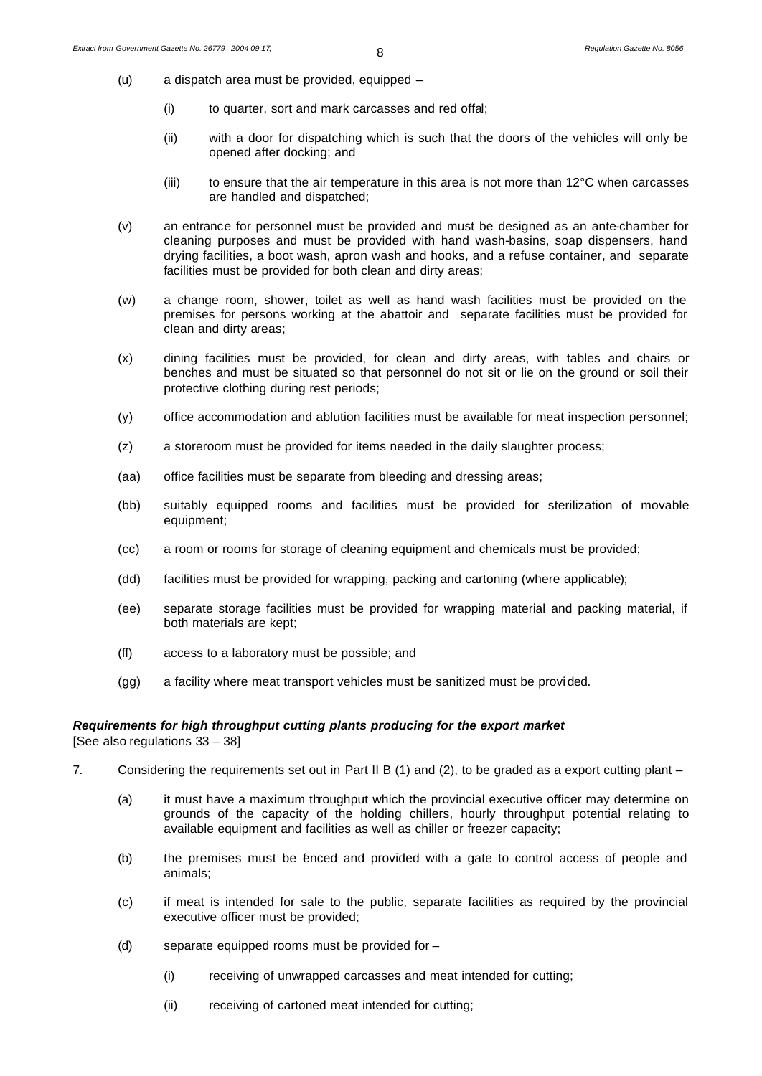- (u) a dispatch area must be provided, equipped
	- (i) to quarter, sort and mark carcasses and red offal;
	- (ii) with a door for dispatching which is such that the doors of the vehicles will only be opened after docking; and
	- (iii) to ensure that the air temperature in this area is not more than  $12^{\circ}$ C when carcasses are handled and dispatched;
- (v) an entrance for personnel must be provided and must be designed as an ante-chamber for cleaning purposes and must be provided with hand wash-basins, soap dispensers, hand drying facilities, a boot wash, apron wash and hooks, and a refuse container, and separate facilities must be provided for both clean and dirty areas;
- (w) a change room, shower, toilet as well as hand wash facilities must be provided on the premises for persons working at the abattoir and separate facilities must be provided for clean and dirty areas;
- (x) dining facilities must be provided, for clean and dirty areas, with tables and chairs or benches and must be situated so that personnel do not sit or lie on the ground or soil their protective clothing during rest periods;
- (y) office accommodation and ablution facilities must be available for meat inspection personnel;
- (z) a storeroom must be provided for items needed in the daily slaughter process;
- (aa) office facilities must be separate from bleeding and dressing areas;
- (bb) suitably equipped rooms and facilities must be provided for sterilization of movable equipment;
- (cc) a room or rooms for storage of cleaning equipment and chemicals must be provided;
- (dd) facilities must be provided for wrapping, packing and cartoning (where applicable);
- (ee) separate storage facilities must be provided for wrapping material and packing material, if both materials are kept;
- (ff) access to a laboratory must be possible; and
- (gg) a facility where meat transport vehicles must be sanitized must be provi ded.

#### *Requirements for high throughput cutting plants producing for the export market*

[See also regulations 33 – 38]

- 7. Considering the requirements set out in Part II B (1) and (2), to be graded as a export cutting plant
	- (a) it must have a maximum throughput which the provincial executive officer may determine on grounds of the capacity of the holding chillers, hourly throughput potential relating to available equipment and facilities as well as chiller or freezer capacity;
	- (b) the premises must be fenced and provided with a gate to control access of people and animals;
	- (c) if meat is intended for sale to the public, separate facilities as required by the provincial executive officer must be provided;
	- (d) separate equipped rooms must be provided for
		- (i) receiving of unwrapped carcasses and meat intended for cutting;
		- (ii) receiving of cartoned meat intended for cutting;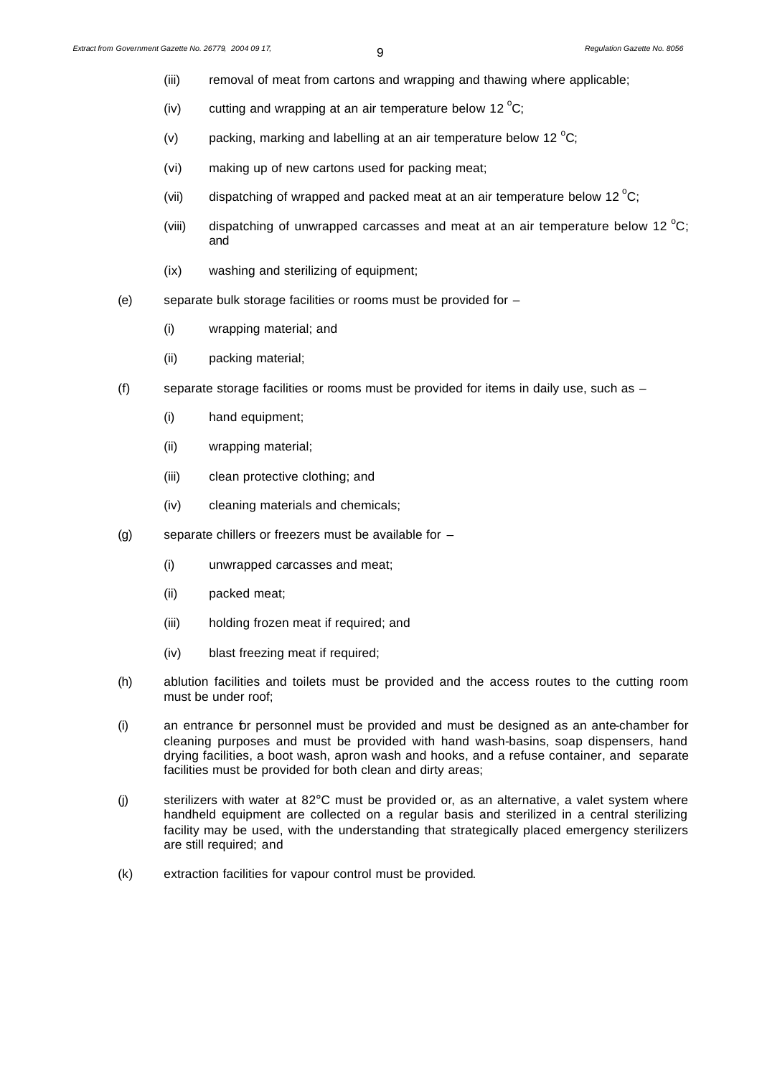- (iii) removal of meat from cartons and wrapping and thawing where applicable;
- (iv) cutting and wrapping at an air temperature below 12 $\mathrm{^{\circ}C}$ ;
- (v) packing, marking and labelling at an air temperature below 12  $^{\circ}$ C;
- (vi) making up of new cartons used for packing meat;
- (vii) dispatching of wrapped and packed meat at an air temperature below 12  $^{\circ}$ C;
- (viii) dispatching of unwrapped carcasses and meat at an air temperature below 12  $^{\circ}$ C; and
- (ix) washing and sterilizing of equipment;
- (e) separate bulk storage facilities or rooms must be provided for
	- (i) wrapping material; and
	- (ii) packing material;
- (f) separate storage facilities or rooms must be provided for items in daily use, such as
	- (i) hand equipment;
	- (ii) wrapping material;
	- (iii) clean protective clothing; and
	- (iv) cleaning materials and chemicals;
- (g) separate chillers or freezers must be available for
	- (i) unwrapped carcasses and meat;
	- (ii) packed meat;
	- (iii) holding frozen meat if required; and
	- (iv) blast freezing meat if required;
- (h) ablution facilities and toilets must be provided and the access routes to the cutting room must be under roof;
- (i) an entrance for personnel must be provided and must be designed as an ante-chamber for cleaning purposes and must be provided with hand wash-basins, soap dispensers, hand drying facilities, a boot wash, apron wash and hooks, and a refuse container, and separate facilities must be provided for both clean and dirty areas;
- (j) sterilizers with water at 82°C must be provided or, as an alternative, a valet system where handheld equipment are collected on a regular basis and sterilized in a central sterilizing facility may be used, with the understanding that strategically placed emergency sterilizers are still required; and
- (k) extraction facilities for vapour control must be provided.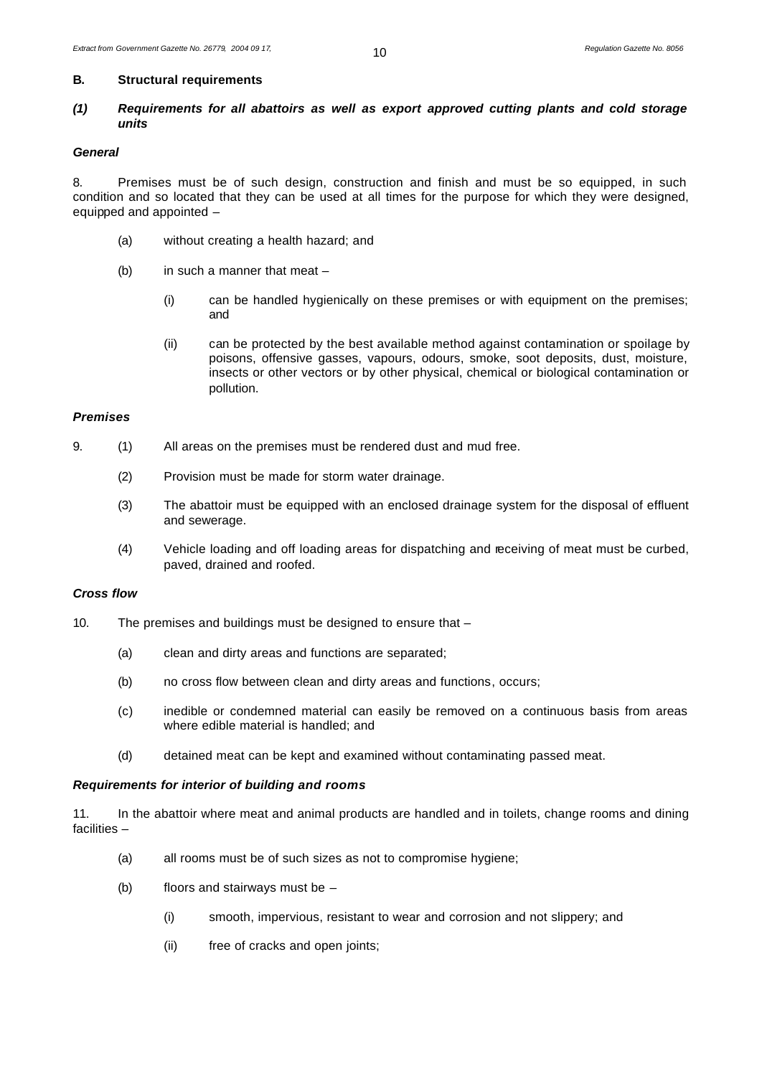#### **B. Structural requirements**

# *(1) Requirements for all abattoirs as well as export approved cutting plants and cold storage units*

#### *General*

8. Premises must be of such design, construction and finish and must be so equipped, in such condition and so located that they can be used at all times for the purpose for which they were designed, equipped and appointed –

- (a) without creating a health hazard; and
- (b) in such a manner that meat
	- (i) can be handled hygienically on these premises or with equipment on the premises; and
	- (ii) can be protected by the best available method against contamination or spoilage by poisons, offensive gasses, vapours, odours, smoke, soot deposits, dust, moisture, insects or other vectors or by other physical, chemical or biological contamination or pollution.

#### *Premises*

- 9. (1) All areas on the premises must be rendered dust and mud free.
	- (2) Provision must be made for storm water drainage.
	- (3) The abattoir must be equipped with an enclosed drainage system for the disposal of effluent and sewerage.
	- (4) Vehicle loading and off loading areas for dispatching and receiving of meat must be curbed, paved, drained and roofed.

# *Cross flow*

- 10. The premises and buildings must be designed to ensure that
	- (a) clean and dirty areas and functions are separated;
	- (b) no cross flow between clean and dirty areas and functions, occurs;
	- (c) inedible or condemned material can easily be removed on a continuous basis from areas where edible material is handled; and
	- (d) detained meat can be kept and examined without contaminating passed meat.

# *Requirements for interior of building and rooms*

11. In the abattoir where meat and animal products are handled and in toilets, change rooms and dining facilities –

- (a) all rooms must be of such sizes as not to compromise hygiene;
- (b) floors and stairways must be
	- (i) smooth, impervious, resistant to wear and corrosion and not slippery; and
	- (ii) free of cracks and open joints;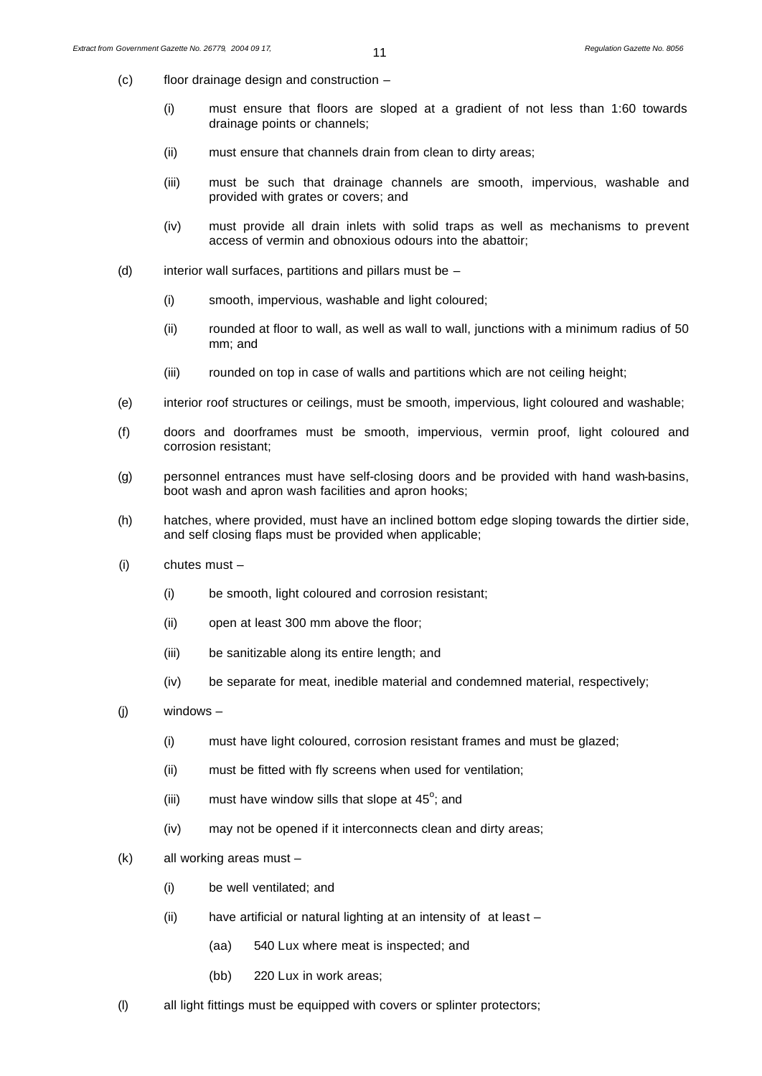- (c) floor drainage design and construction
	- (i) must ensure that floors are sloped at a gradient of not less than 1:60 towards drainage points or channels;
	- (ii) must ensure that channels drain from clean to dirty areas;
	- (iii) must be such that drainage channels are smooth, impervious, washable and provided with grates or covers; and
	- (iv) must provide all drain inlets with solid traps as well as mechanisms to prevent access of vermin and obnoxious odours into the abattoir;
- (d) interior wall surfaces, partitions and pillars must be  $-$ 
	- (i) smooth, impervious, washable and light coloured;
	- (ii) rounded at floor to wall, as well as wall to wall, junctions with a minimum radius of 50 mm; and
	- (iii) rounded on top in case of walls and partitions which are not ceiling height;
- (e) interior roof structures or ceilings, must be smooth, impervious, light coloured and washable;
- (f) doors and doorframes must be smooth, impervious, vermin proof, light coloured and corrosion resistant;
- (g) personnel entrances must have self-closing doors and be provided with hand wash-basins, boot wash and apron wash facilities and apron hooks;
- (h) hatches, where provided, must have an inclined bottom edge sloping towards the dirtier side, and self closing flaps must be provided when applicable;
- (i) chutes must
	- (i) be smooth, light coloured and corrosion resistant;
	- (ii) open at least 300 mm above the floor;
	- (iii) be sanitizable along its entire length; and
	- (iv) be separate for meat, inedible material and condemned material, respectively;
- (j) windows
	- (i) must have light coloured, corrosion resistant frames and must be glazed;
	- (ii) must be fitted with fly screens when used for ventilation;
	- (iii) must have window sills that slope at  $45^\circ$ ; and
	- (iv) may not be opened if it interconnects clean and dirty areas;
- (k) all working areas must
	- (i) be well ventilated; and
	- (ii) have artificial or natural lighting at an intensity of at least
		- (aa) 540 Lux where meat is inspected; and
		- (bb) 220 Lux in work areas;
- (l) all light fittings must be equipped with covers or splinter protectors;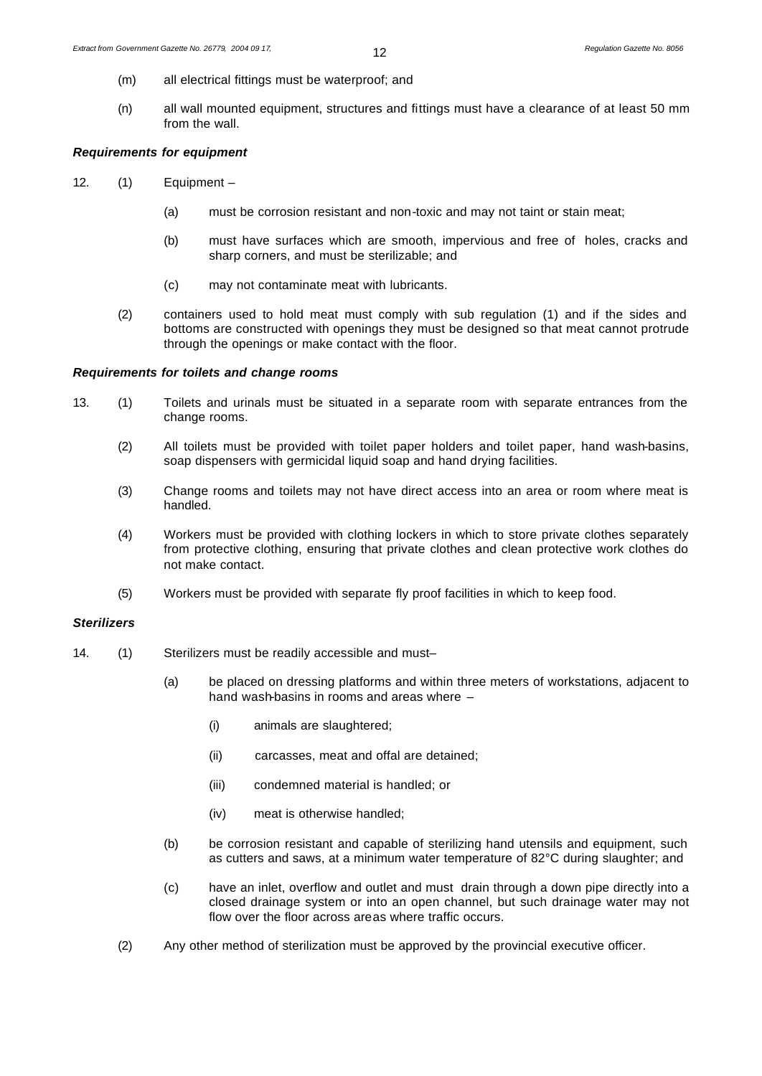- (m) all electrical fittings must be waterproof; and
- (n) all wall mounted equipment, structures and fittings must have a clearance of at least 50 mm from the wall.

# *Requirements for equipment*

- 12. (1) Equipment
	- (a) must be corrosion resistant and non-toxic and may not taint or stain meat;
	- (b) must have surfaces which are smooth, impervious and free of holes, cracks and sharp corners, and must be sterilizable; and
	- (c) may not contaminate meat with lubricants.
	- (2) containers used to hold meat must comply with sub regulation (1) and if the sides and bottoms are constructed with openings they must be designed so that meat cannot protrude through the openings or make contact with the floor.

# *Requirements for toilets and change rooms*

- 13. (1) Toilets and urinals must be situated in a separate room with separate entrances from the change rooms.
	- (2) All toilets must be provided with toilet paper holders and toilet paper, hand wash-basins, soap dispensers with germicidal liquid soap and hand drying facilities.
	- (3) Change rooms and toilets may not have direct access into an area or room where meat is handled.
	- (4) Workers must be provided with clothing lockers in which to store private clothes separately from protective clothing, ensuring that private clothes and clean protective work clothes do not make contact.
	- (5) Workers must be provided with separate fly proof facilities in which to keep food.

# *Sterilizers*

- 14. (1) Sterilizers must be readily accessible and must–
	- (a) be placed on dressing platforms and within three meters of workstations, adjacent to hand wash-basins in rooms and areas where –
		- (i) animals are slaughtered;
		- (ii) carcasses, meat and offal are detained;
		- (iii) condemned material is handled; or
		- (iv) meat is otherwise handled;
	- (b) be corrosion resistant and capable of sterilizing hand utensils and equipment, such as cutters and saws, at a minimum water temperature of 82°C during slaughter; and
	- (c) have an inlet, overflow and outlet and must drain through a down pipe directly into a closed drainage system or into an open channel, but such drainage water may not flow over the floor across areas where traffic occurs.
	- (2) Any other method of sterilization must be approved by the provincial executive officer.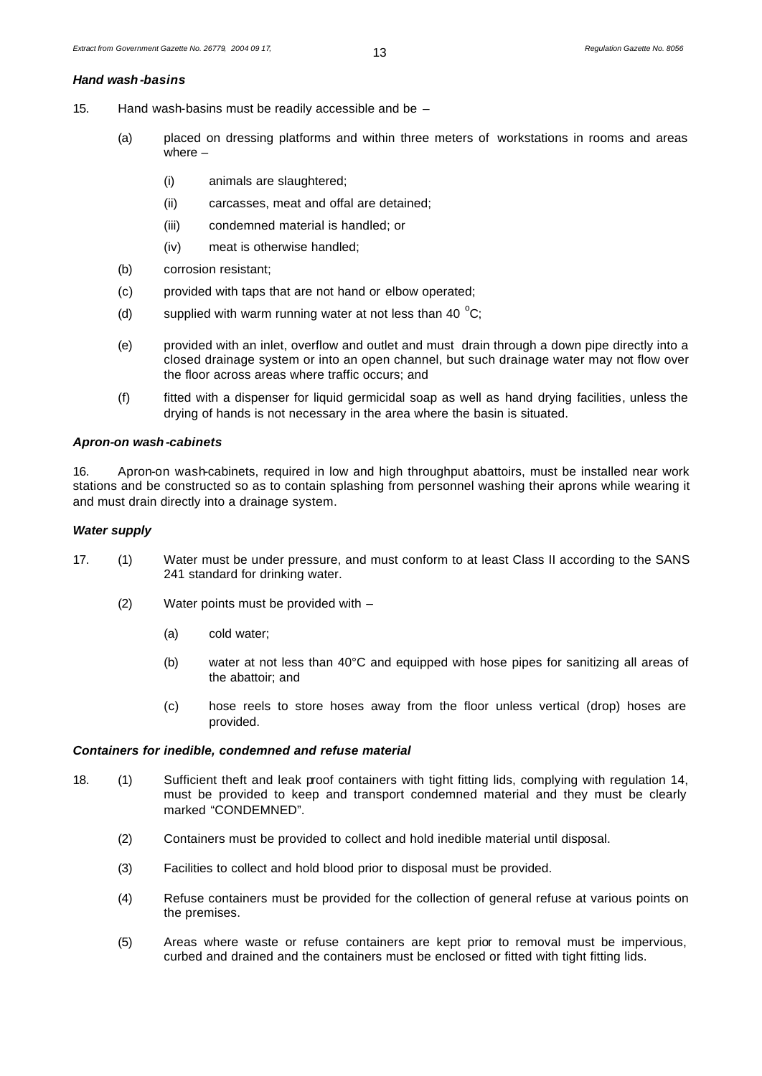#### *Hand wash-basins*

- 15. Hand wash-basins must be readily accessible and be
	- (a) placed on dressing platforms and within three meters of workstations in rooms and areas where –
		- (i) animals are slaughtered;
		- (ii) carcasses, meat and offal are detained;
		- (iii) condemned material is handled; or
		- (iv) meat is otherwise handled;
	- (b) corrosion resistant;
	- (c) provided with taps that are not hand or elbow operated;
	- (d) supplied with warm running water at not less than 40  $^{\circ}$ C;
	- (e) provided with an inlet, overflow and outlet and must drain through a down pipe directly into a closed drainage system or into an open channel, but such drainage water may not flow over the floor across areas where traffic occurs; and
	- (f) fitted with a dispenser for liquid germicidal soap as well as hand drying facilities, unless the drying of hands is not necessary in the area where the basin is situated.

#### *Apron-on wash-cabinets*

16. Apron-on wash-cabinets, required in low and high throughput abattoirs, must be installed near work stations and be constructed so as to contain splashing from personnel washing their aprons while wearing it and must drain directly into a drainage system.

#### *Water supply*

- 17. (1) Water must be under pressure, and must conform to at least Class II according to the SANS 241 standard for drinking water.
	- (2) Water points must be provided with
		- (a) cold water;
		- (b) water at not less than 40°C and equipped with hose pipes for sanitizing all areas of the abattoir; and
		- (c) hose reels to store hoses away from the floor unless vertical (drop) hoses are provided.

#### *Containers for inedible, condemned and refuse material*

- 18. (1) Sufficient theft and leak proof containers with tight fitting lids, complying with regulation 14, must be provided to keep and transport condemned material and they must be clearly marked "CONDEMNED".
	- (2) Containers must be provided to collect and hold inedible material until disposal.
	- (3) Facilities to collect and hold blood prior to disposal must be provided.
	- (4) Refuse containers must be provided for the collection of general refuse at various points on the premises.
	- (5) Areas where waste or refuse containers are kept prior to removal must be impervious, curbed and drained and the containers must be enclosed or fitted with tight fitting lids.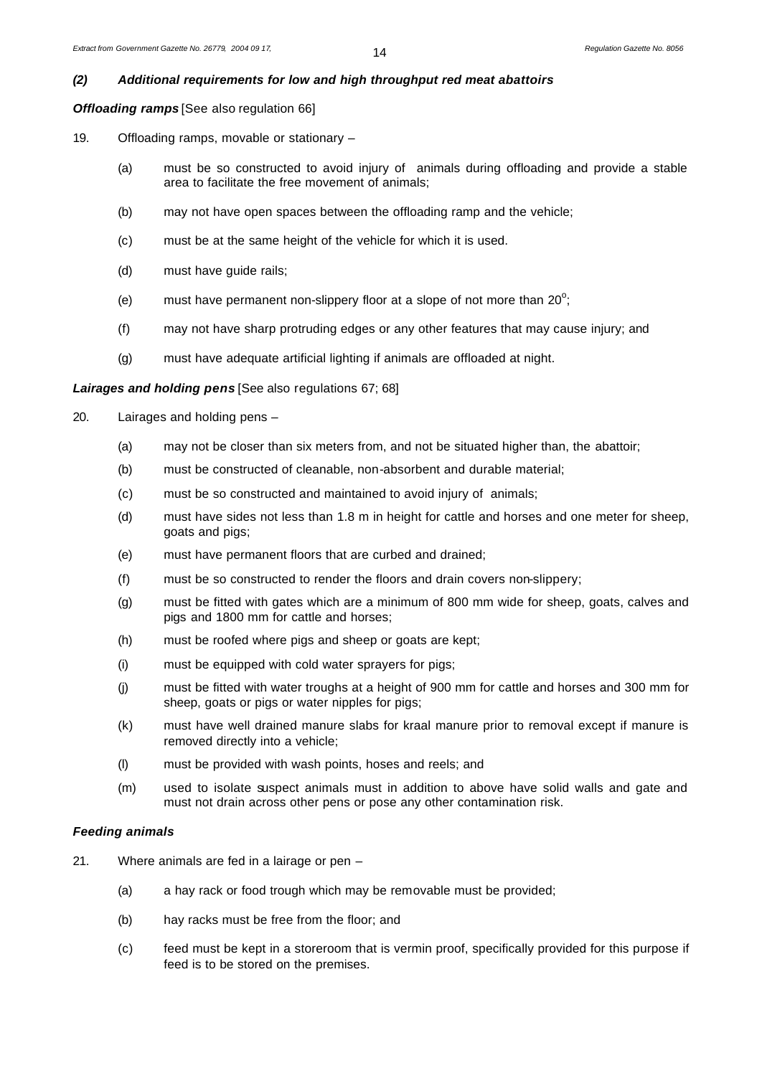# *(2) Additional requirements for low and high throughput red meat abattoirs*

*Offloading ramps* [See also regulation 66]

- 19. Offloading ramps, movable or stationary
	- (a) must be so constructed to avoid injury of animals during offloading and provide a stable area to facilitate the free movement of animals;
	- (b) may not have open spaces between the offloading ramp and the vehicle;
	- (c) must be at the same height of the vehicle for which it is used.
	- (d) must have guide rails;
	- (e) must have permanent non-slippery floor at a slope of not more than 20 $^{\circ}$ ;
	- (f) may not have sharp protruding edges or any other features that may cause injury; and
	- (g) must have adequate artificial lighting if animals are offloaded at night.

#### *Lairages and holding pens* [See also regulations 67; 68]

- 20. Lairages and holding pens
	- (a) may not be closer than six meters from, and not be situated higher than, the abattoir;
	- (b) must be constructed of cleanable, non-absorbent and durable material;
	- (c) must be so constructed and maintained to avoid injury of animals;
	- (d) must have sides not less than 1.8 m in height for cattle and horses and one meter for sheep, goats and pigs;
	- (e) must have permanent floors that are curbed and drained;
	- (f) must be so constructed to render the floors and drain covers non-slippery;
	- (g) must be fitted with gates which are a minimum of 800 mm wide for sheep, goats, calves and pigs and 1800 mm for cattle and horses;
	- (h) must be roofed where pigs and sheep or goats are kept;
	- (i) must be equipped with cold water sprayers for pigs;
	- (j) must be fitted with water troughs at a height of 900 mm for cattle and horses and 300 mm for sheep, goats or pigs or water nipples for pigs;
	- (k) must have well drained manure slabs for kraal manure prior to removal except if manure is removed directly into a vehicle;
	- (l) must be provided with wash points, hoses and reels; and
	- (m) used to isolate suspect animals must in addition to above have solid walls and gate and must not drain across other pens or pose any other contamination risk.

#### *Feeding animals*

- 21. Where animals are fed in a lairage or pen
	- (a) a hay rack or food trough which may be removable must be provided;
	- (b) hay racks must be free from the floor; and
	- (c) feed must be kept in a storeroom that is vermin proof, specifically provided for this purpose if feed is to be stored on the premises.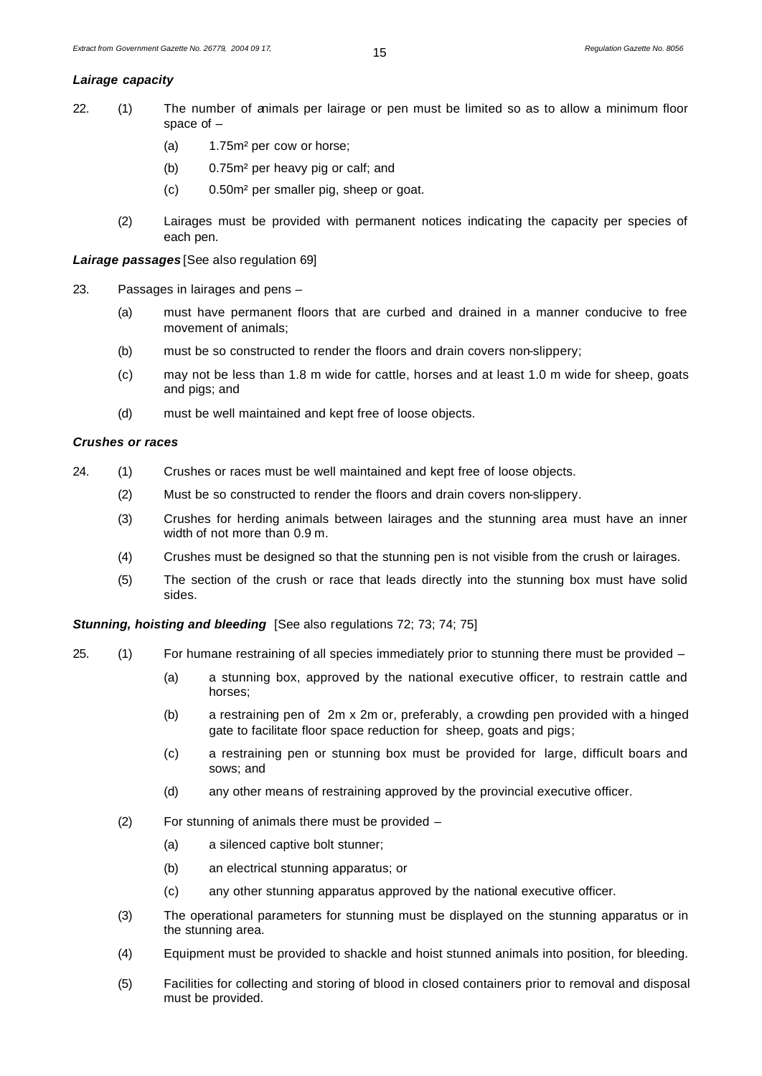#### *Lairage capacity*

- 22. (1) The number of animals per lairage or pen must be limited so as to allow a minimum floor space of –
	- (a) 1.75m² per cow or horse;
	- (b) 0.75m² per heavy pig or calf; and
	- (c) 0.50m² per smaller pig, sheep or goat.
	- (2) Lairages must be provided with permanent notices indicating the capacity per species of each pen.

*Lairage passages* [See also regulation 69]

- 23. Passages in lairages and pens
	- (a) must have permanent floors that are curbed and drained in a manner conducive to free movement of animals;
	- (b) must be so constructed to render the floors and drain covers non-slippery;
	- (c) may not be less than 1.8 m wide for cattle, horses and at least 1.0 m wide for sheep, goats and pigs; and
	- (d) must be well maintained and kept free of loose objects.

#### *Crushes or races*

- 24. (1) Crushes or races must be well maintained and kept free of loose objects.
	- (2) Must be so constructed to render the floors and drain covers non-slippery.
	- (3) Crushes for herding animals between lairages and the stunning area must have an inner width of not more than 0.9 m.
	- (4) Crushes must be designed so that the stunning pen is not visible from the crush or lairages.
	- (5) The section of the crush or race that leads directly into the stunning box must have solid sides.

**Stunning, hoisting and bleeding** [See also regulations 72; 73; 74; 75]

- 25. (1) For humane restraining of all species immediately prior to stunning there must be provided
	- (a) a stunning box, approved by the national executive officer, to restrain cattle and horses;
	- (b) a restraining pen of 2m x 2m or, preferably, a crowding pen provided with a hinged gate to facilitate floor space reduction for sheep, goats and pigs;
	- (c) a restraining pen or stunning box must be provided for large, difficult boars and sows; and
	- (d) any other means of restraining approved by the provincial executive officer.
	- (2) For stunning of animals there must be provided
		- (a) a silenced captive bolt stunner;
		- (b) an electrical stunning apparatus; or
		- (c) any other stunning apparatus approved by the national executive officer.
	- (3) The operational parameters for stunning must be displayed on the stunning apparatus or in the stunning area.
	- (4) Equipment must be provided to shackle and hoist stunned animals into position, for bleeding.
	- (5) Facilities for collecting and storing of blood in closed containers prior to removal and disposal must be provided.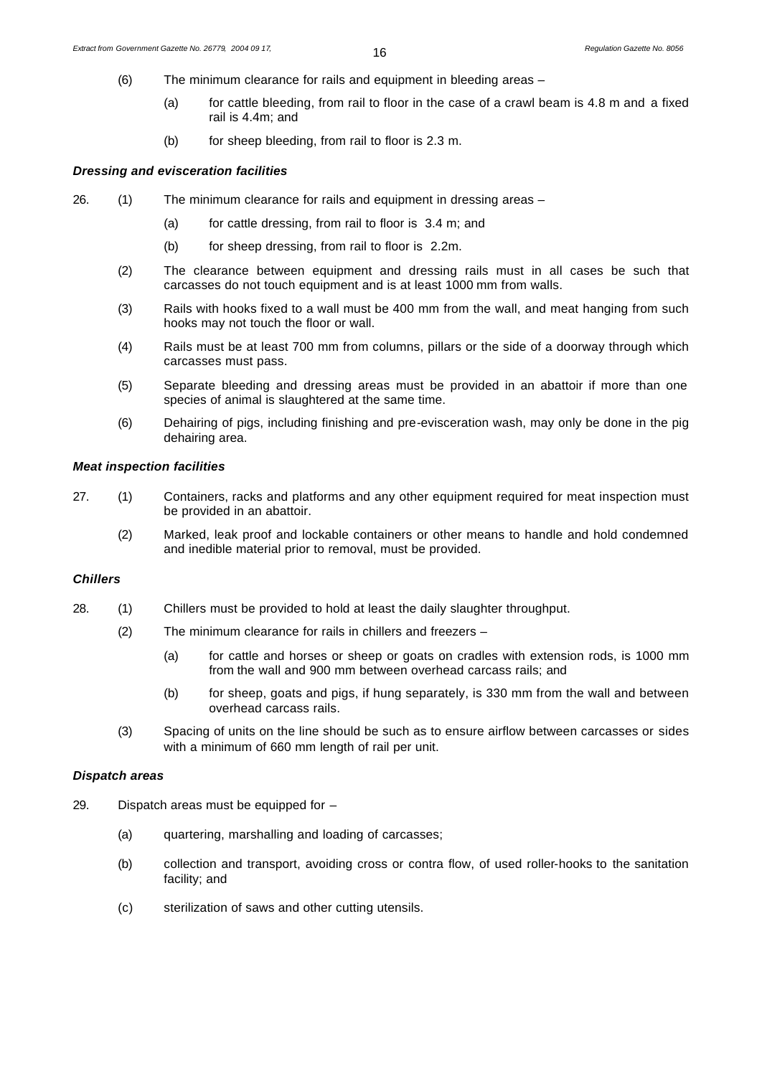- (6) The minimum clearance for rails and equipment in bleeding areas
	- (a) for cattle bleeding, from rail to floor in the case of a crawl beam is 4.8 m and a fixed rail is 4.4m; and
		- (b) for sheep bleeding, from rail to floor is 2.3 m.

# *Dressing and evisceration facilities*

- 26. (1) The minimum clearance for rails and equipment in dressing areas
	- (a) for cattle dressing, from rail to floor is 3.4 m; and
	- (b) for sheep dressing, from rail to floor is 2.2m.
	- (2) The clearance between equipment and dressing rails must in all cases be such that carcasses do not touch equipment and is at least 1000 mm from walls.
	- (3) Rails with hooks fixed to a wall must be 400 mm from the wall, and meat hanging from such hooks may not touch the floor or wall.
	- (4) Rails must be at least 700 mm from columns, pillars or the side of a doorway through which carcasses must pass.
	- (5) Separate bleeding and dressing areas must be provided in an abattoir if more than one species of animal is slaughtered at the same time.
	- (6) Dehairing of pigs, including finishing and pre-evisceration wash, may only be done in the pig dehairing area.

#### *Meat inspection facilities*

- 27. (1) Containers, racks and platforms and any other equipment required for meat inspection must be provided in an abattoir.
	- (2) Marked, leak proof and lockable containers or other means to handle and hold condemned and inedible material prior to removal, must be provided.

# *Chillers*

- 28. (1) Chillers must be provided to hold at least the daily slaughter throughput.
	- (2) The minimum clearance for rails in chillers and freezers
		- (a) for cattle and horses or sheep or goats on cradles with extension rods, is 1000 mm from the wall and 900 mm between overhead carcass rails; and
		- (b) for sheep, goats and pigs, if hung separately, is 330 mm from the wall and between overhead carcass rails.
	- (3) Spacing of units on the line should be such as to ensure airflow between carcasses or sides with a minimum of 660 mm length of rail per unit.

### *Dispatch areas*

- 29. Dispatch areas must be equipped for
	- (a) quartering, marshalling and loading of carcasses;
	- (b) collection and transport, avoiding cross or contra flow, of used roller-hooks to the sanitation facility; and
	- (c) sterilization of saws and other cutting utensils.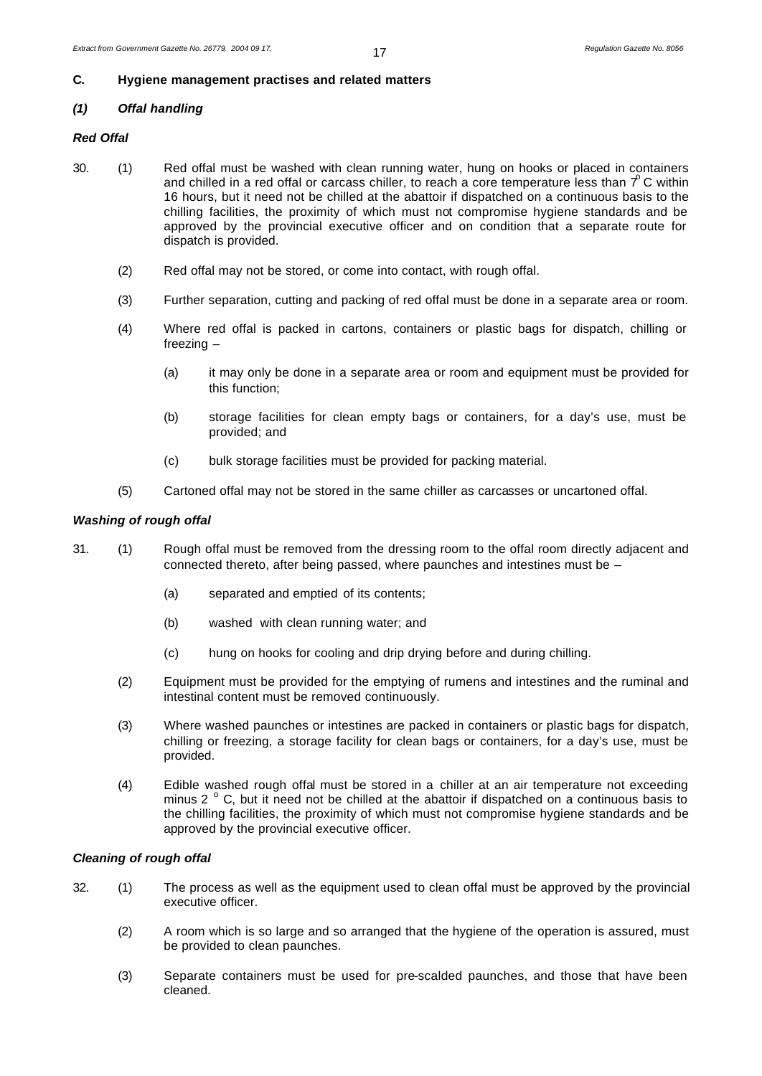# **C. Hygiene management practises and related matters**

# *(1) Offal handling*

# *Red Offal*

- 30. (1) Red offal must be washed with clean running water, hung on hooks or placed in containers and chilled in a red offal or carcass chiller, to reach a core temperature less than  $\tau^o$  C within 16 hours, but it need not be chilled at the abattoir if dispatched on a continuous basis to the chilling facilities, the proximity of which must not compromise hygiene standards and be approved by the provincial executive officer and on condition that a separate route for dispatch is provided.
	- (2) Red offal may not be stored, or come into contact, with rough offal.
	- (3) Further separation, cutting and packing of red offal must be done in a separate area or room.
	- (4) Where red offal is packed in cartons, containers or plastic bags for dispatch, chilling or freezing –
		- (a) it may only be done in a separate area or room and equipment must be provided for this function;
		- (b) storage facilities for clean empty bags or containers, for a day's use, must be provided; and
		- (c) bulk storage facilities must be provided for packing material.
	- (5) Cartoned offal may not be stored in the same chiller as carcasses or uncartoned offal.

# *Washing of rough offal*

- 31. (1) Rough offal must be removed from the dressing room to the offal room directly adjacent and connected thereto, after being passed, where paunches and intestines must be –
	- (a) separated and emptied of its contents;
	- (b) washed with clean running water; and
	- (c) hung on hooks for cooling and drip drying before and during chilling.
	- (2) Equipment must be provided for the emptying of rumens and intestines and the ruminal and intestinal content must be removed continuously.
	- (3) Where washed paunches or intestines are packed in containers or plastic bags for dispatch, chilling or freezing, a storage facility for clean bags or containers, for a day's use, must be provided.
	- (4) Edible washed rough offal must be stored in a chiller at an air temperature not exceeding minus 2  $\degree$  C, but it need not be chilled at the abattoir if dispatched on a continuous basis to the chilling facilities, the proximity of which must not compromise hygiene standards and be approved by the provincial executive officer.

#### *Cleaning of rough offal*

- 32. (1) The process as well as the equipment used to clean offal must be approved by the provincial executive officer.
	- (2) A room which is so large and so arranged that the hygiene of the operation is assured, must be provided to clean paunches.
	- (3) Separate containers must be used for pre-scalded paunches, and those that have been cleaned.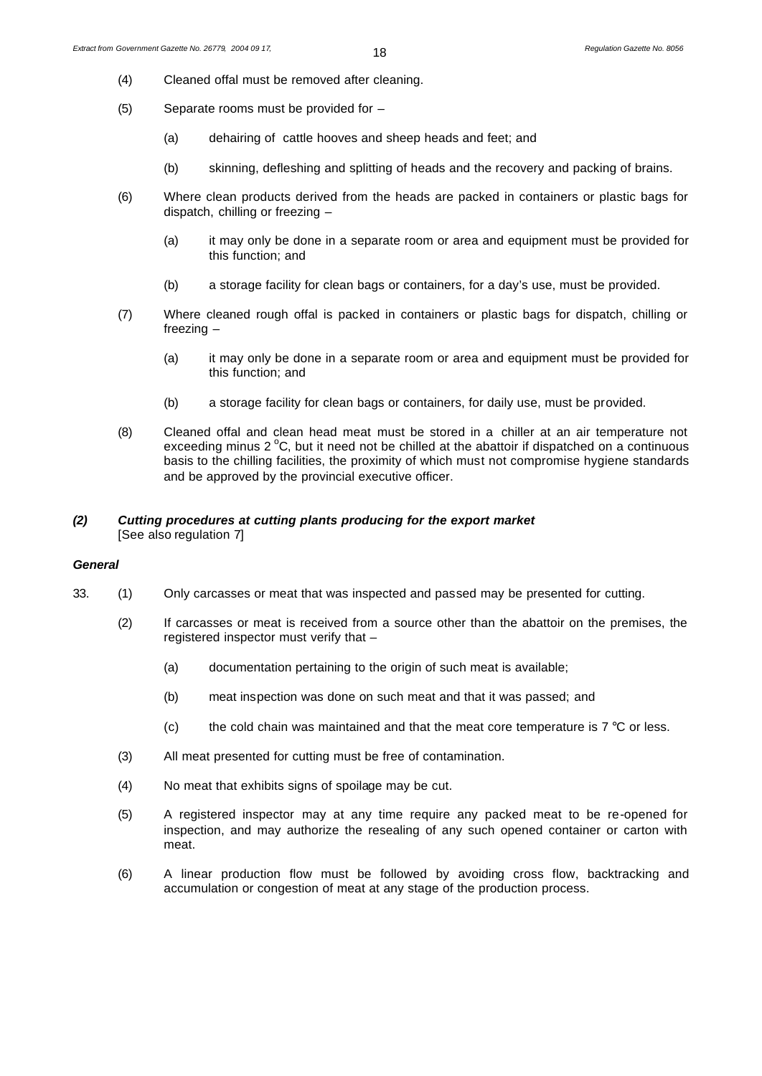- (4) Cleaned offal must be removed after cleaning.
- (5) Separate rooms must be provided for
	- (a) dehairing of cattle hooves and sheep heads and feet; and
	- (b) skinning, defleshing and splitting of heads and the recovery and packing of brains.
- (6) Where clean products derived from the heads are packed in containers or plastic bags for dispatch, chilling or freezing –
	- (a) it may only be done in a separate room or area and equipment must be provided for this function; and
	- (b) a storage facility for clean bags or containers, for a day's use, must be provided.
- (7) Where cleaned rough offal is packed in containers or plastic bags for dispatch, chilling or freezing –
	- (a) it may only be done in a separate room or area and equipment must be provided for this function; and
	- (b) a storage facility for clean bags or containers, for daily use, must be provided.
- (8) Cleaned offal and clean head meat must be stored in a chiller at an air temperature not exceeding minus  $2^{\circ}$ C, but it need not be chilled at the abattoir if dispatched on a continuous basis to the chilling facilities, the proximity of which must not compromise hygiene standards and be approved by the provincial executive officer.

# *(2) Cutting procedures at cutting plants producing for the export market* [See also regulation 7]

#### *General*

- 33. (1) Only carcasses or meat that was inspected and passed may be presented for cutting.
	- (2) If carcasses or meat is received from a source other than the abattoir on the premises, the registered inspector must verify that –
		- (a) documentation pertaining to the origin of such meat is available;
		- (b) meat inspection was done on such meat and that it was passed; and
		- (c) the cold chain was maintained and that the meat core temperature is  $7 \degree C$  or less.
	- (3) All meat presented for cutting must be free of contamination.
	- (4) No meat that exhibits signs of spoilage may be cut.
	- (5) A registered inspector may at any time require any packed meat to be re-opened for inspection, and may authorize the resealing of any such opened container or carton with meat.
	- (6) A linear production flow must be followed by avoiding cross flow, backtracking and accumulation or congestion of meat at any stage of the production process.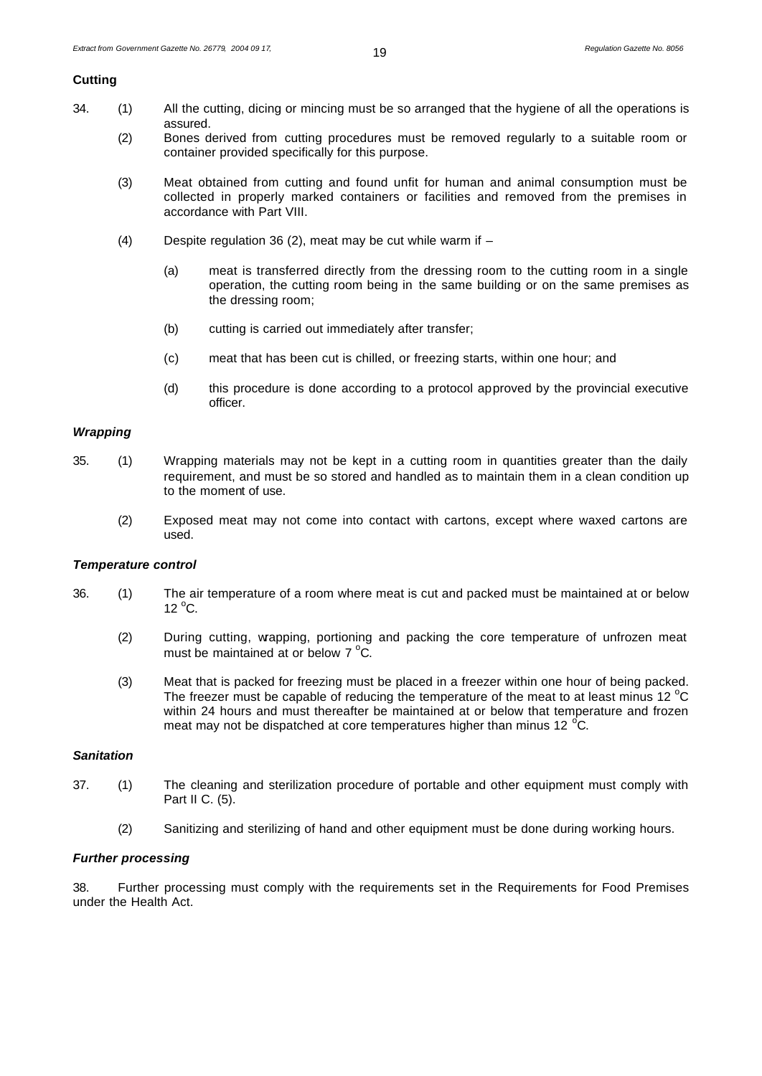#### **Cutting**

- 34. (1) All the cutting, dicing or mincing must be so arranged that the hygiene of all the operations is assured.
	- (2) Bones derived from cutting procedures must be removed regularly to a suitable room or container provided specifically for this purpose.
	- (3) Meat obtained from cutting and found unfit for human and animal consumption must be collected in properly marked containers or facilities and removed from the premises in accordance with Part VIII.
	- (4) Despite regulation 36 (2), meat may be cut while warm if
		- (a) meat is transferred directly from the dressing room to the cutting room in a single operation, the cutting room being in the same building or on the same premises as the dressing room;
		- (b) cutting is carried out immediately after transfer;
		- (c) meat that has been cut is chilled, or freezing starts, within one hour; and
		- (d) this procedure is done according to a protocol approved by the provincial executive officer.

#### *Wrapping*

- 35. (1) Wrapping materials may not be kept in a cutting room in quantities greater than the daily requirement, and must be so stored and handled as to maintain them in a clean condition up to the moment of use.
	- (2) Exposed meat may not come into contact with cartons, except where waxed cartons are used.

#### *Temperature control*

- 36. (1) The air temperature of a room where meat is cut and packed must be maintained at or below  $12^{\circ}$ C.
	- (2) During cutting, wrapping, portioning and packing the core temperature of unfrozen meat must be maintained at or below  $7^{\circ}$ C.
	- (3) Meat that is packed for freezing must be placed in a freezer within one hour of being packed. The freezer must be capable of reducing the temperature of the meat to at least minus 12 $\degree$ C within 24 hours and must thereafter be maintained at or below that temperature and frozen meat may not be dispatched at core temperatures higher than minus 12 $\degree$ C.

#### *Sanitation*

- 37. (1) The cleaning and sterilization procedure of portable and other equipment must comply with Part II C. (5).
	- (2) Sanitizing and sterilizing of hand and other equipment must be done during working hours.

# *Further processing*

38. Further processing must comply with the requirements set in the Requirements for Food Premises under the Health Act.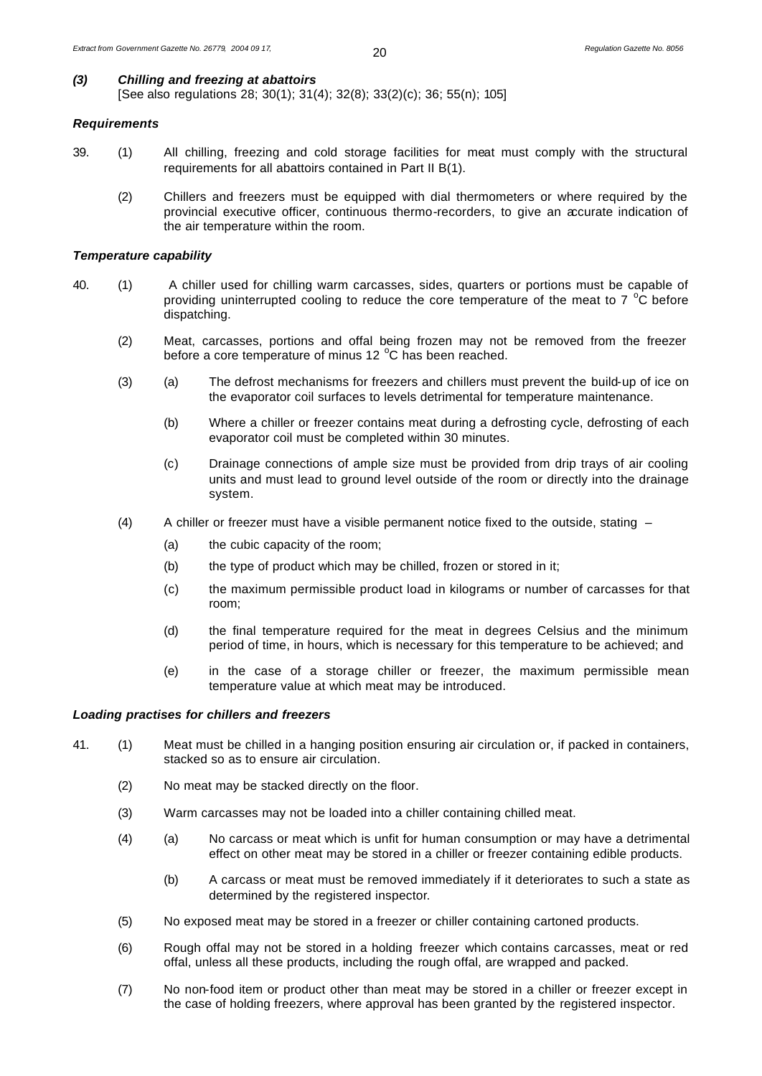# *(3) Chilling and freezing at abattoirs*

[See also regulations 28; 30(1); 31(4); 32(8); 33(2)(c); 36; 55(n); 105]

#### *Requirements*

- 39. (1) All chilling, freezing and cold storage facilities for meat must comply with the structural requirements for all abattoirs contained in Part II B(1).
	- (2) Chillers and freezers must be equipped with dial thermometers or where required by the provincial executive officer, continuous thermo-recorders, to give an accurate indication of the air temperature within the room.

#### *Temperature capability*

- 40. (1) A chiller used for chilling warm carcasses, sides, quarters or portions must be capable of providing uninterrupted cooling to reduce the core temperature of the meat to  $7^{\circ}$ C before dispatching.
	- (2) Meat, carcasses, portions and offal being frozen may not be removed from the freezer before a core temperature of minus 12 °C has been reached.
	- (3) (a) The defrost mechanisms for freezers and chillers must prevent the build-up of ice on the evaporator coil surfaces to levels detrimental for temperature maintenance.
		- (b) Where a chiller or freezer contains meat during a defrosting cycle, defrosting of each evaporator coil must be completed within 30 minutes.
		- (c) Drainage connections of ample size must be provided from drip trays of air cooling units and must lead to ground level outside of the room or directly into the drainage system.
	- (4) A chiller or freezer must have a visible permanent notice fixed to the outside, stating
		- (a) the cubic capacity of the room;
		- (b) the type of product which may be chilled, frozen or stored in it;
		- (c) the maximum permissible product load in kilograms or number of carcasses for that room;
		- (d) the final temperature required for the meat in degrees Celsius and the minimum period of time, in hours, which is necessary for this temperature to be achieved; and
		- (e) in the case of a storage chiller or freezer, the maximum permissible mean temperature value at which meat may be introduced.

#### *Loading practises for chillers and freezers*

- 41. (1) Meat must be chilled in a hanging position ensuring air circulation or, if packed in containers, stacked so as to ensure air circulation.
	- (2) No meat may be stacked directly on the floor.
	- (3) Warm carcasses may not be loaded into a chiller containing chilled meat.
	- (4) (a) No carcass or meat which is unfit for human consumption or may have a detrimental effect on other meat may be stored in a chiller or freezer containing edible products.
		- (b) A carcass or meat must be removed immediately if it deteriorates to such a state as determined by the registered inspector.
	- (5) No exposed meat may be stored in a freezer or chiller containing cartoned products.
	- (6) Rough offal may not be stored in a holding freezer which contains carcasses, meat or red offal, unless all these products, including the rough offal, are wrapped and packed.
	- (7) No non-food item or product other than meat may be stored in a chiller or freezer except in the case of holding freezers, where approval has been granted by the registered inspector.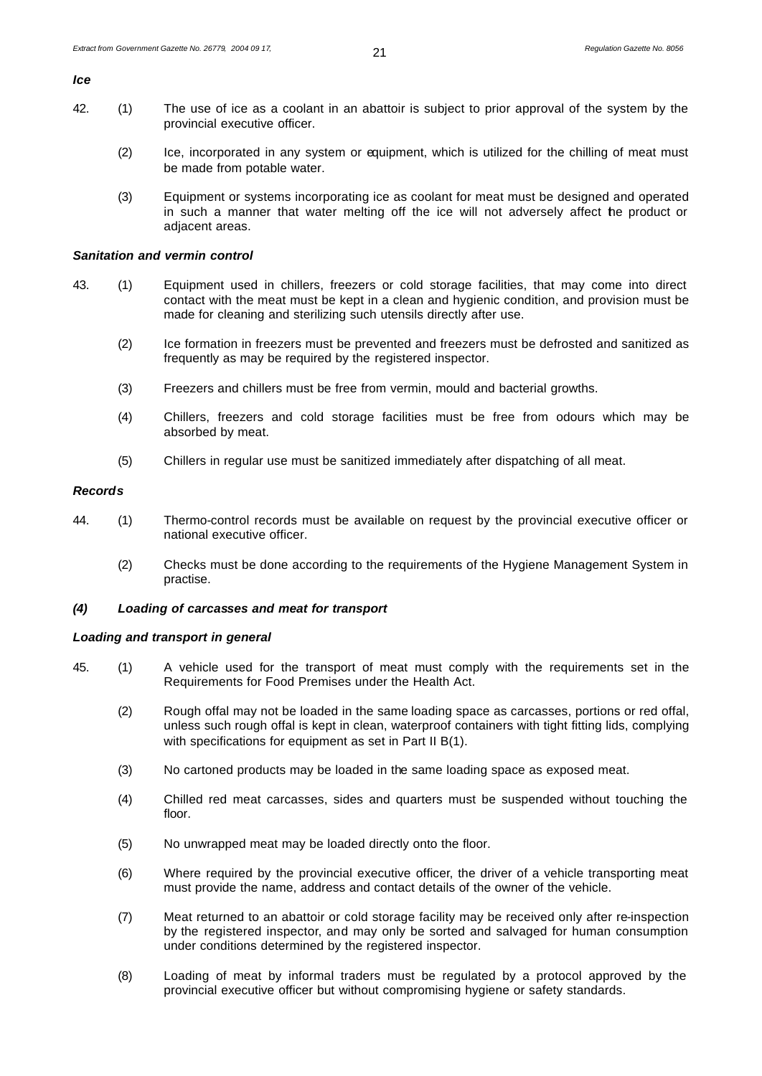*Ice*

- 42. (1) The use of ice as a coolant in an abattoir is subject to prior approval of the system by the provincial executive officer.
	- (2) Ice, incorporated in any system or equipment, which is utilized for the chilling of meat must be made from potable water.
	- (3) Equipment or systems incorporating ice as coolant for meat must be designed and operated in such a manner that water melting off the ice will not adversely affect the product or adjacent areas.

#### *Sanitation and vermin control*

- 43. (1) Equipment used in chillers, freezers or cold storage facilities, that may come into direct contact with the meat must be kept in a clean and hygienic condition, and provision must be made for cleaning and sterilizing such utensils directly after use.
	- (2) Ice formation in freezers must be prevented and freezers must be defrosted and sanitized as frequently as may be required by the registered inspector.
	- (3) Freezers and chillers must be free from vermin, mould and bacterial growths.
	- (4) Chillers, freezers and cold storage facilities must be free from odours which may be absorbed by meat.
	- (5) Chillers in regular use must be sanitized immediately after dispatching of all meat.

#### *Records*

- 44. (1) Thermo-control records must be available on request by the provincial executive officer or national executive officer.
	- (2) Checks must be done according to the requirements of the Hygiene Management System in practise.

# *(4) Loading of carcasses and meat for transport*

#### *Loading and transport in general*

- 45. (1) A vehicle used for the transport of meat must comply with the requirements set in the Requirements for Food Premises under the Health Act.
	- (2) Rough offal may not be loaded in the same loading space as carcasses, portions or red offal, unless such rough offal is kept in clean, waterproof containers with tight fitting lids, complying with specifications for equipment as set in Part II B(1).
	- (3) No cartoned products may be loaded in the same loading space as exposed meat.
	- (4) Chilled red meat carcasses, sides and quarters must be suspended without touching the floor.
	- (5) No unwrapped meat may be loaded directly onto the floor.
	- (6) Where required by the provincial executive officer, the driver of a vehicle transporting meat must provide the name, address and contact details of the owner of the vehicle.
	- (7) Meat returned to an abattoir or cold storage facility may be received only after re-inspection by the registered inspector, and may only be sorted and salvaged for human consumption under conditions determined by the registered inspector.
	- (8) Loading of meat by informal traders must be regulated by a protocol approved by the provincial executive officer but without compromising hygiene or safety standards.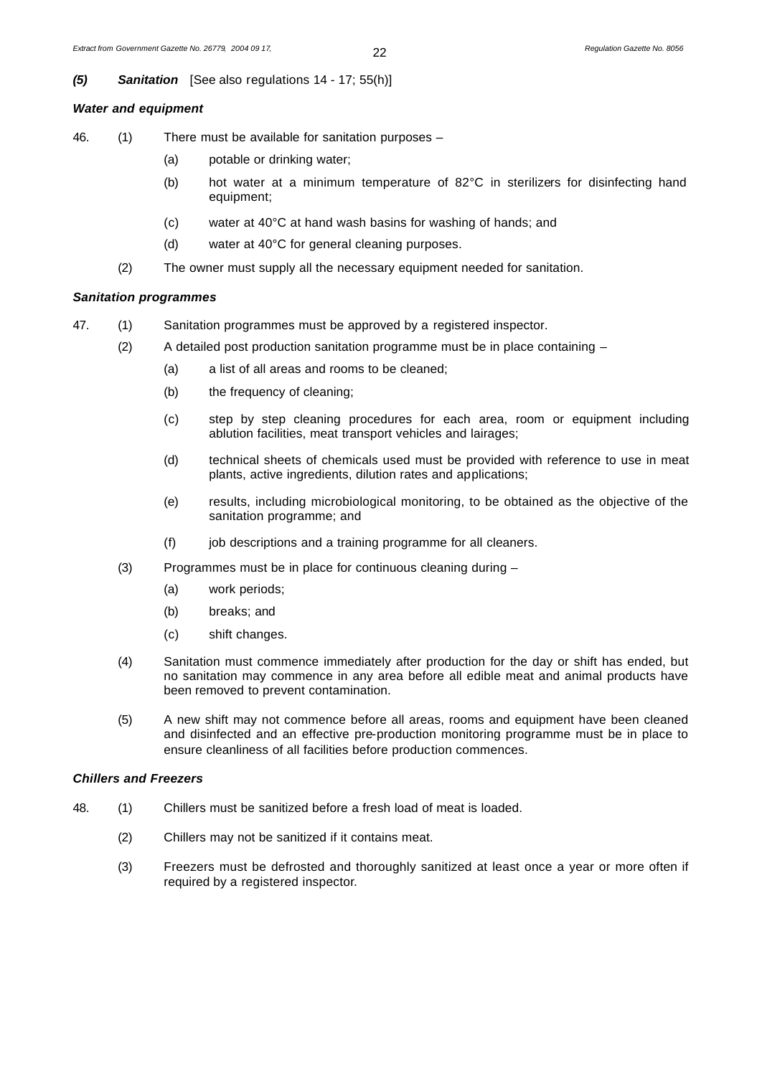# *(5) Sanitation*[See also regulations 14 - 17; 55(h)]

# *Water and equipment*

- 46. (1) There must be available for sanitation purposes
	- (a) potable or drinking water;
	- (b) hot water at a minimum temperature of 82°C in sterilizers for disinfecting hand equipment;
	- (c) water at 40°C at hand wash basins for washing of hands; and
	- (d) water at 40°C for general cleaning purposes.
	- (2) The owner must supply all the necessary equipment needed for sanitation.

# *Sanitation programmes*

- 47. (1) Sanitation programmes must be approved by a registered inspector.
	- (2) A detailed post production sanitation programme must be in place containing  $-$ 
		- (a) a list of all areas and rooms to be cleaned;
		- (b) the frequency of cleaning;
		- (c) step by step cleaning procedures for each area, room or equipment including ablution facilities, meat transport vehicles and lairages;
		- (d) technical sheets of chemicals used must be provided with reference to use in meat plants, active ingredients, dilution rates and applications;
		- (e) results, including microbiological monitoring, to be obtained as the objective of the sanitation programme; and
		- (f) job descriptions and a training programme for all cleaners.
		- (3) Programmes must be in place for continuous cleaning during
			- (a) work periods;
			- (b) breaks; and
			- (c) shift changes.
		- (4) Sanitation must commence immediately after production for the day or shift has ended, but no sanitation may commence in any area before all edible meat and animal products have been removed to prevent contamination.
		- (5) A new shift may not commence before all areas, rooms and equipment have been cleaned and disinfected and an effective pre-production monitoring programme must be in place to ensure cleanliness of all facilities before production commences.

# *Chillers and Freezers*

- 48. (1) Chillers must be sanitized before a fresh load of meat is loaded.
	- (2) Chillers may not be sanitized if it contains meat.
	- (3) Freezers must be defrosted and thoroughly sanitized at least once a year or more often if required by a registered inspector.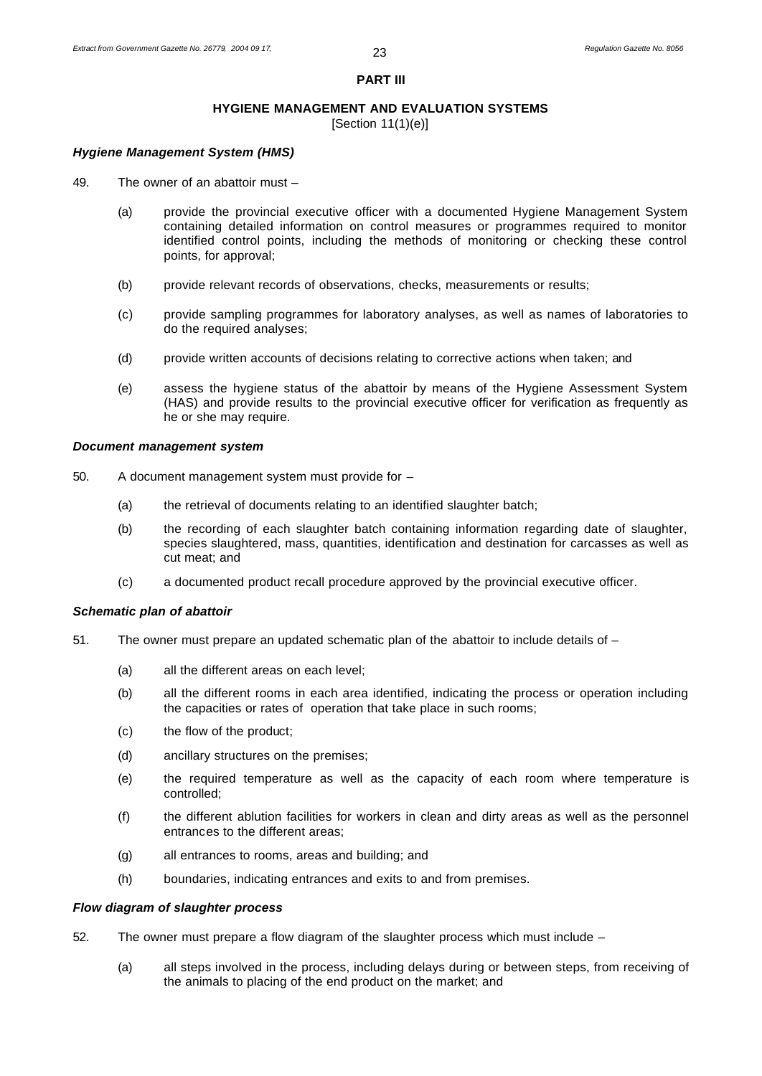#### **PART III**

# **HYGIENE MANAGEMENT AND EVALUATION SYSTEMS**

[Section 11(1)(e)]

# *Hygiene Management System (HMS)*

- 49. The owner of an abattoir must
	- (a) provide the provincial executive officer with a documented Hygiene Management System containing detailed information on control measures or programmes required to monitor identified control points, including the methods of monitoring or checking these control points, for approval;
	- (b) provide relevant records of observations, checks, measurements or results;
	- (c) provide sampling programmes for laboratory analyses, as well as names of laboratories to do the required analyses;
	- (d) provide written accounts of decisions relating to corrective actions when taken; and
	- (e) assess the hygiene status of the abattoir by means of the Hygiene Assessment System (HAS) and provide results to the provincial executive officer for verification as frequently as he or she may require.

#### *Document management system*

- 50. A document management system must provide for
	- (a) the retrieval of documents relating to an identified slaughter batch;
	- (b) the recording of each slaughter batch containing information regarding date of slaughter, species slaughtered, mass, quantities, identification and destination for carcasses as well as cut meat; and
	- (c) a documented product recall procedure approved by the provincial executive officer.

#### *Schematic plan of abattoir*

- 51. The owner must prepare an updated schematic plan of the abattoir to include details of
	- (a) all the different areas on each level;
	- (b) all the different rooms in each area identified, indicating the process or operation including the capacities or rates of operation that take place in such rooms;
	- (c) the flow of the product;
	- (d) ancillary structures on the premises;
	- (e) the required temperature as well as the capacity of each room where temperature is controlled;
	- (f) the different ablution facilities for workers in clean and dirty areas as well as the personnel entrances to the different areas;
	- (g) all entrances to rooms, areas and building; and
	- (h) boundaries, indicating entrances and exits to and from premises.

#### *Flow diagram of slaughter process*

- 52. The owner must prepare a flow diagram of the slaughter process which must include
	- (a) all steps involved in the process, including delays during or between steps, from receiving of the animals to placing of the end product on the market; and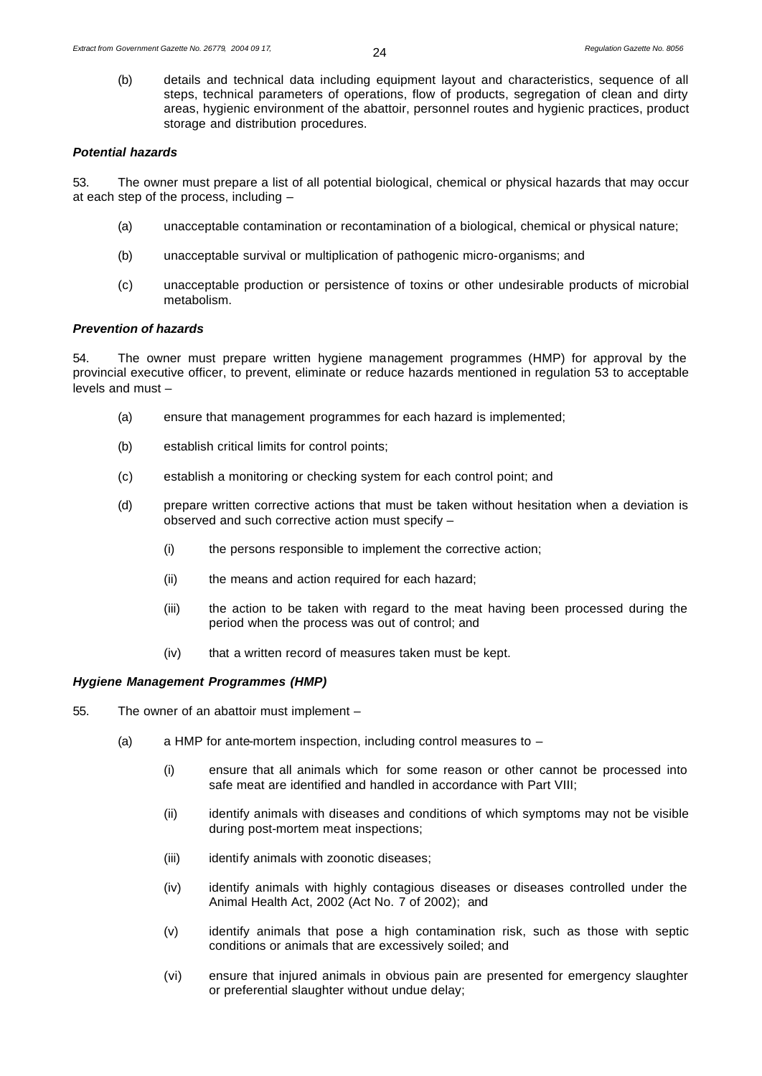(b) details and technical data including equipment layout and characteristics, sequence of all steps, technical parameters of operations, flow of products, segregation of clean and dirty areas, hygienic environment of the abattoir, personnel routes and hygienic practices, product storage and distribution procedures.

#### *Potential hazards*

53. The owner must prepare a list of all potential biological, chemical or physical hazards that may occur at each step of the process, including –

- (a) unacceptable contamination or recontamination of a biological, chemical or physical nature;
- (b) unacceptable survival or multiplication of pathogenic micro-organisms; and
- (c) unacceptable production or persistence of toxins or other undesirable products of microbial metabolism.

# *Prevention of hazards*

54. The owner must prepare written hygiene management programmes (HMP) for approval by the provincial executive officer, to prevent, eliminate or reduce hazards mentioned in regulation 53 to acceptable levels and must –

- (a) ensure that management programmes for each hazard is implemented;
- (b) establish critical limits for control points;
- (c) establish a monitoring or checking system for each control point; and
- (d) prepare written corrective actions that must be taken without hesitation when a deviation is observed and such corrective action must specify –
	- (i) the persons responsible to implement the corrective action;
	- (ii) the means and action required for each hazard;
	- (iii) the action to be taken with regard to the meat having been processed during the period when the process was out of control; and
	- (iv) that a written record of measures taken must be kept.

#### *Hygiene Management Programmes (HMP)*

- 55. The owner of an abattoir must implement
	- (a) a HMP for ante-mortem inspection, including control measures to  $-$ 
		- (i) ensure that all animals which for some reason or other cannot be processed into safe meat are identified and handled in accordance with Part VIII;
		- (ii) identify animals with diseases and conditions of which symptoms may not be visible during post-mortem meat inspections;
		- (iii) identify animals with zoonotic diseases;
		- (iv) identify animals with highly contagious diseases or diseases controlled under the Animal Health Act, 2002 (Act No. 7 of 2002); and
		- (v) identify animals that pose a high contamination risk, such as those with septic conditions or animals that are excessively soiled; and
		- (vi) ensure that injured animals in obvious pain are presented for emergency slaughter or preferential slaughter without undue delay;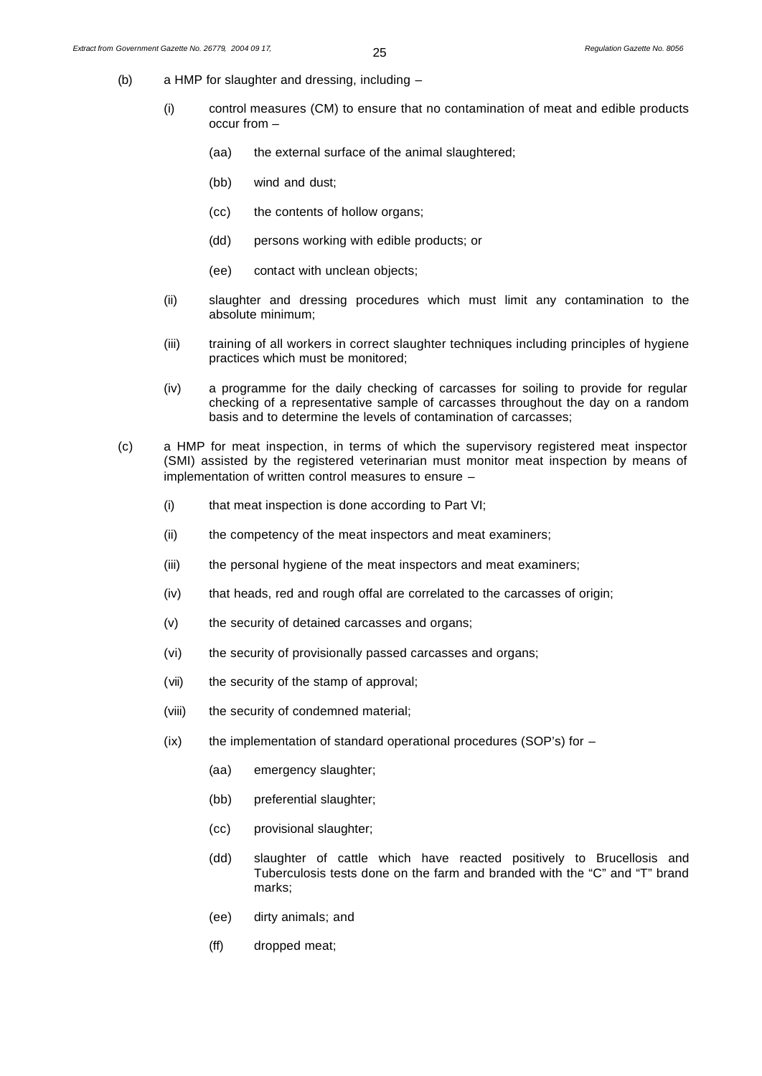- (b) a HMP for slaughter and dressing, including
	- (i) control measures (CM) to ensure that no contamination of meat and edible products occur from –
		- (aa) the external surface of the animal slaughtered;
		- (bb) wind and dust;
		- (cc) the contents of hollow organs;
		- (dd) persons working with edible products; or
		- (ee) contact with unclean objects;
	- (ii) slaughter and dressing procedures which must limit any contamination to the absolute minimum;
	- (iii) training of all workers in correct slaughter techniques including principles of hygiene practices which must be monitored;
	- (iv) a programme for the daily checking of carcasses for soiling to provide for regular checking of a representative sample of carcasses throughout the day on a random basis and to determine the levels of contamination of carcasses;
- (c) a HMP for meat inspection, in terms of which the supervisory registered meat inspector (SMI) assisted by the registered veterinarian must monitor meat inspection by means of implementation of written control measures to ensure –
	- (i) that meat inspection is done according to Part VI;
	- (ii) the competency of the meat inspectors and meat examiners;
	- (iii) the personal hygiene of the meat inspectors and meat examiners;
	- (iv) that heads, red and rough offal are correlated to the carcasses of origin;
	- (v) the security of detained carcasses and organs;
	- (vi) the security of provisionally passed carcasses and organs;
	- (vii) the security of the stamp of approval;
	- (viii) the security of condemned material;
	- $(ix)$  the implementation of standard operational procedures (SOP's) for  $-$ 
		- (aa) emergency slaughter;
		- (bb) preferential slaughter;
		- (cc) provisional slaughter;
		- (dd) slaughter of cattle which have reacted positively to Brucellosis and Tuberculosis tests done on the farm and branded with the "C" and "T" brand marks;
		- (ee) dirty animals; and
		- (ff) dropped meat;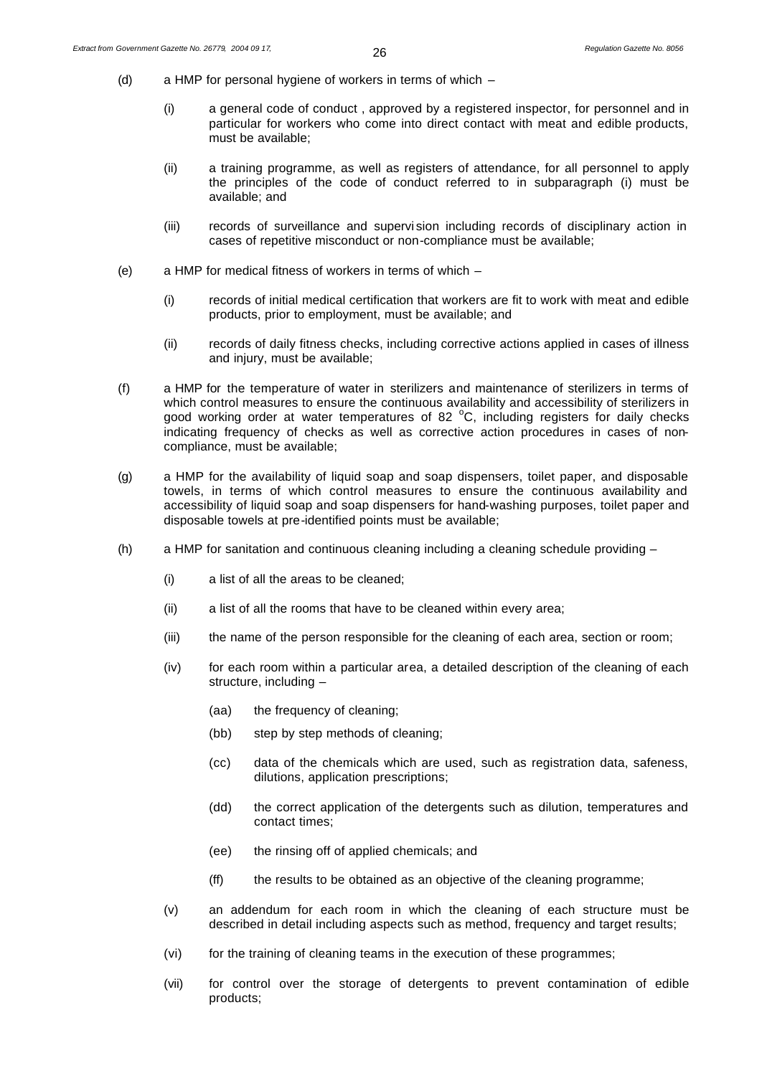- (d) a HMP for personal hygiene of workers in terms of which
	- (i) a general code of conduct , approved by a registered inspector, for personnel and in particular for workers who come into direct contact with meat and edible products, must be available;
	- (ii) a training programme, as well as registers of attendance, for all personnel to apply the principles of the code of conduct referred to in subparagraph (i) must be available; and
	- (iii) records of surveillance and supervi sion including records of disciplinary action in cases of repetitive misconduct or non-compliance must be available;
- (e) a HMP for medical fitness of workers in terms of which
	- (i) records of initial medical certification that workers are fit to work with meat and edible products, prior to employment, must be available; and
	- (ii) records of daily fitness checks, including corrective actions applied in cases of illness and injury, must be available;
- (f) a HMP for the temperature of water in sterilizers and maintenance of sterilizers in terms of which control measures to ensure the continuous availability and accessibility of sterilizers in good working order at water temperatures of 82 $^{\circ}$ C, including registers for daily checks indicating frequency of checks as well as corrective action procedures in cases of noncompliance, must be available;
- (g) a HMP for the availability of liquid soap and soap dispensers, toilet paper, and disposable towels, in terms of which control measures to ensure the continuous availability and accessibility of liquid soap and soap dispensers for hand-washing purposes, toilet paper and disposable towels at pre-identified points must be available;
- (h) a HMP for sanitation and continuous cleaning including a cleaning schedule providing
	- (i) a list of all the areas to be cleaned;
	- (ii) a list of all the rooms that have to be cleaned within every area;
	- (iii) the name of the person responsible for the cleaning of each area, section or room;
	- (iv) for each room within a particular area, a detailed description of the cleaning of each structure, including –
		- (aa) the frequency of cleaning;
		- (bb) step by step methods of cleaning;
		- (cc) data of the chemicals which are used, such as registration data, safeness, dilutions, application prescriptions;
		- (dd) the correct application of the detergents such as dilution, temperatures and contact times;
		- (ee) the rinsing off of applied chemicals; and
		- (ff) the results to be obtained as an objective of the cleaning programme;
	- (v) an addendum for each room in which the cleaning of each structure must be described in detail including aspects such as method, frequency and target results;
	- (vi) for the training of cleaning teams in the execution of these programmes;
	- (vii) for control over the storage of detergents to prevent contamination of edible products;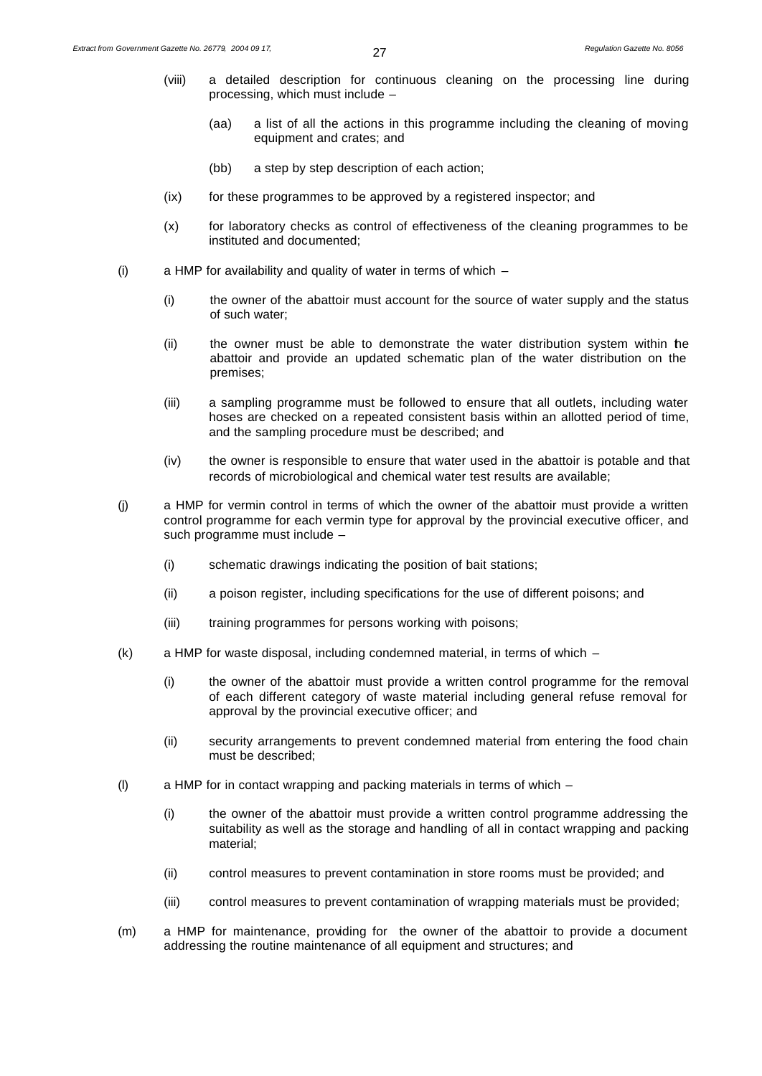- (viii) a detailed description for continuous cleaning on the processing line during processing, which must include –
	- (aa) a list of all the actions in this programme including the cleaning of moving equipment and crates; and
	- (bb) a step by step description of each action;
- (ix) for these programmes to be approved by a registered inspector; and
- (x) for laboratory checks as control of effectiveness of the cleaning programmes to be instituted and documented;
- (i) a HMP for availability and quality of water in terms of which
	- (i) the owner of the abattoir must account for the source of water supply and the status of such water;
	- (ii) the owner must be able to demonstrate the water distribution system within the abattoir and provide an updated schematic plan of the water distribution on the premises;
	- (iii) a sampling programme must be followed to ensure that all outlets, including water hoses are checked on a repeated consistent basis within an allotted period of time, and the sampling procedure must be described; and
	- (iv) the owner is responsible to ensure that water used in the abattoir is potable and that records of microbiological and chemical water test results are available;
- (j) a HMP for vermin control in terms of which the owner of the abattoir must provide a written control programme for each vermin type for approval by the provincial executive officer, and such programme must include –
	- (i) schematic drawings indicating the position of bait stations;
	- (ii) a poison register, including specifications for the use of different poisons; and
	- (iii) training programmes for persons working with poisons;
- (k) a HMP for waste disposal, including condemned material, in terms of which
	- (i) the owner of the abattoir must provide a written control programme for the removal of each different category of waste material including general refuse removal for approval by the provincial executive officer; and
	- (ii) security arrangements to prevent condemned material from entering the food chain must be described;
- (I) a HMP for in contact wrapping and packing materials in terms of which  $-$ 
	- (i) the owner of the abattoir must provide a written control programme addressing the suitability as well as the storage and handling of all in contact wrapping and packing material;
	- (ii) control measures to prevent contamination in store rooms must be provided; and
	- (iii) control measures to prevent contamination of wrapping materials must be provided;
- (m) a HMP for maintenance, providing for the owner of the abattoir to provide a document addressing the routine maintenance of all equipment and structures; and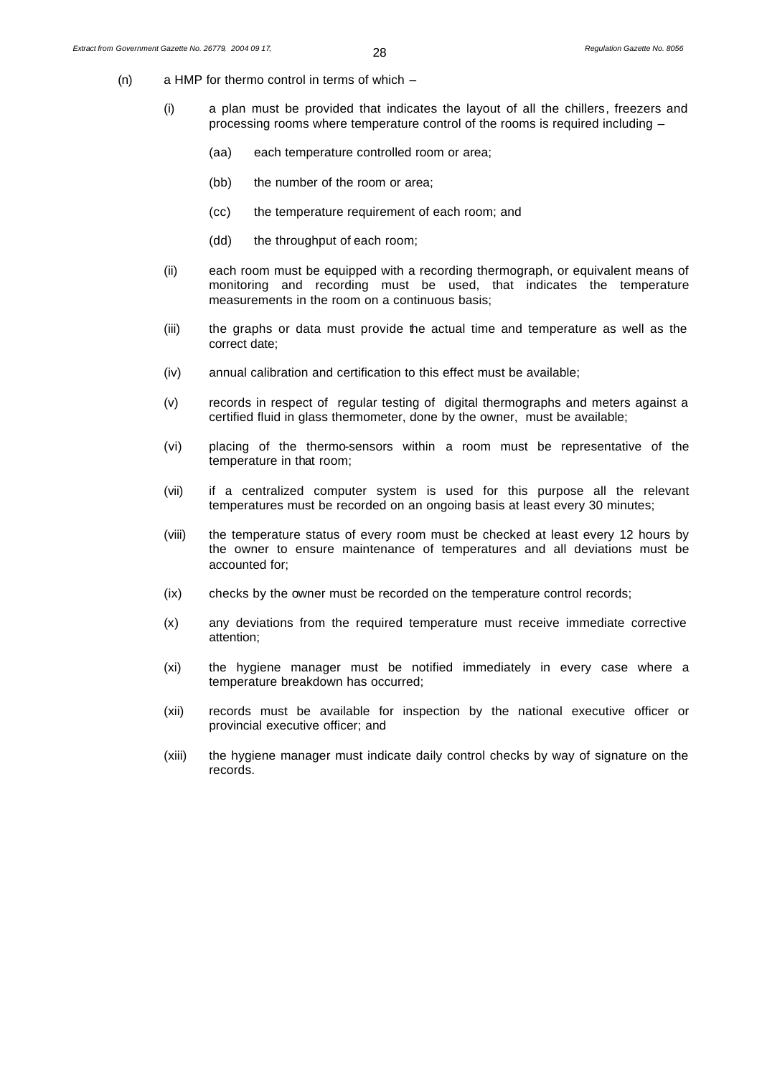- (n) a HMP for thermo control in terms of which
	- (i) a plan must be provided that indicates the layout of all the chillers, freezers and processing rooms where temperature control of the rooms is required including –
		- (aa) each temperature controlled room or area;
		- (bb) the number of the room or area;
		- (cc) the temperature requirement of each room; and
		- (dd) the throughput of each room;
	- (ii) each room must be equipped with a recording thermograph, or equivalent means of monitoring and recording must be used, that indicates the temperature measurements in the room on a continuous basis;
	- (iii) the graphs or data must provide the actual time and temperature as well as the correct date;
	- (iv) annual calibration and certification to this effect must be available;
	- (v) records in respect of regular testing of digital thermographs and meters against a certified fluid in glass thermometer, done by the owner, must be available;
	- (vi) placing of the thermo-sensors within a room must be representative of the temperature in that room;
	- (vii) if a centralized computer system is used for this purpose all the relevant temperatures must be recorded on an ongoing basis at least every 30 minutes;
	- (viii) the temperature status of every room must be checked at least every 12 hours by the owner to ensure maintenance of temperatures and all deviations must be accounted for;
	- (ix) checks by the owner must be recorded on the temperature control records;
	- (x) any deviations from the required temperature must receive immediate corrective attention;
	- (xi) the hygiene manager must be notified immediately in every case where a temperature breakdown has occurred;
	- (xii) records must be available for inspection by the national executive officer or provincial executive officer; and
	- (xiii) the hygiene manager must indicate daily control checks by way of signature on the records.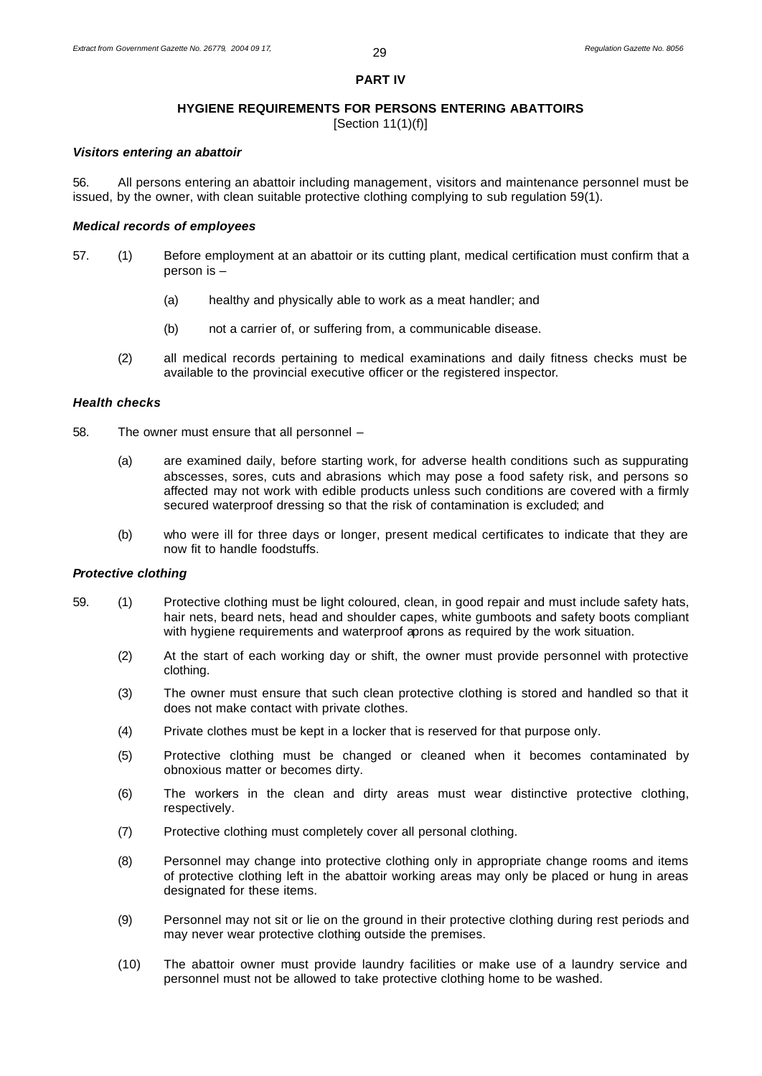#### **PART IV**

#### **HYGIENE REQUIREMENTS FOR PERSONS ENTERING ABATTOIRS**

[Section 11(1)(f)]

#### *Visitors entering an abattoir*

56. All persons entering an abattoir including management, visitors and maintenance personnel must be issued, by the owner, with clean suitable protective clothing complying to sub regulation 59(1).

#### *Medical records of employees*

- 57. (1) Before employment at an abattoir or its cutting plant, medical certification must confirm that a person is –
	- (a) healthy and physically able to work as a meat handler; and
	- (b) not a carrier of, or suffering from, a communicable disease.
	- (2) all medical records pertaining to medical examinations and daily fitness checks must be available to the provincial executive officer or the registered inspector.

#### *Health checks*

- 58. The owner must ensure that all personnel
	- (a) are examined daily, before starting work, for adverse health conditions such as suppurating abscesses, sores, cuts and abrasions which may pose a food safety risk, and persons so affected may not work with edible products unless such conditions are covered with a firmly secured waterproof dressing so that the risk of contamination is excluded; and
	- (b) who were ill for three days or longer, present medical certificates to indicate that they are now fit to handle foodstuffs.

#### *Protective clothing*

- 59. (1) Protective clothing must be light coloured, clean, in good repair and must include safety hats, hair nets, beard nets, head and shoulder capes, white gumboots and safety boots compliant with hygiene requirements and waterproof aprons as required by the work situation.
	- (2) At the start of each working day or shift, the owner must provide personnel with protective clothing.
	- (3) The owner must ensure that such clean protective clothing is stored and handled so that it does not make contact with private clothes.
	- (4) Private clothes must be kept in a locker that is reserved for that purpose only.
	- (5) Protective clothing must be changed or cleaned when it becomes contaminated by obnoxious matter or becomes dirty.
	- (6) The workers in the clean and dirty areas must wear distinctive protective clothing, respectively.
	- (7) Protective clothing must completely cover all personal clothing.
	- (8) Personnel may change into protective clothing only in appropriate change rooms and items of protective clothing left in the abattoir working areas may only be placed or hung in areas designated for these items.
	- (9) Personnel may not sit or lie on the ground in their protective clothing during rest periods and may never wear protective clothing outside the premises.
	- (10) The abattoir owner must provide laundry facilities or make use of a laundry service and personnel must not be allowed to take protective clothing home to be washed.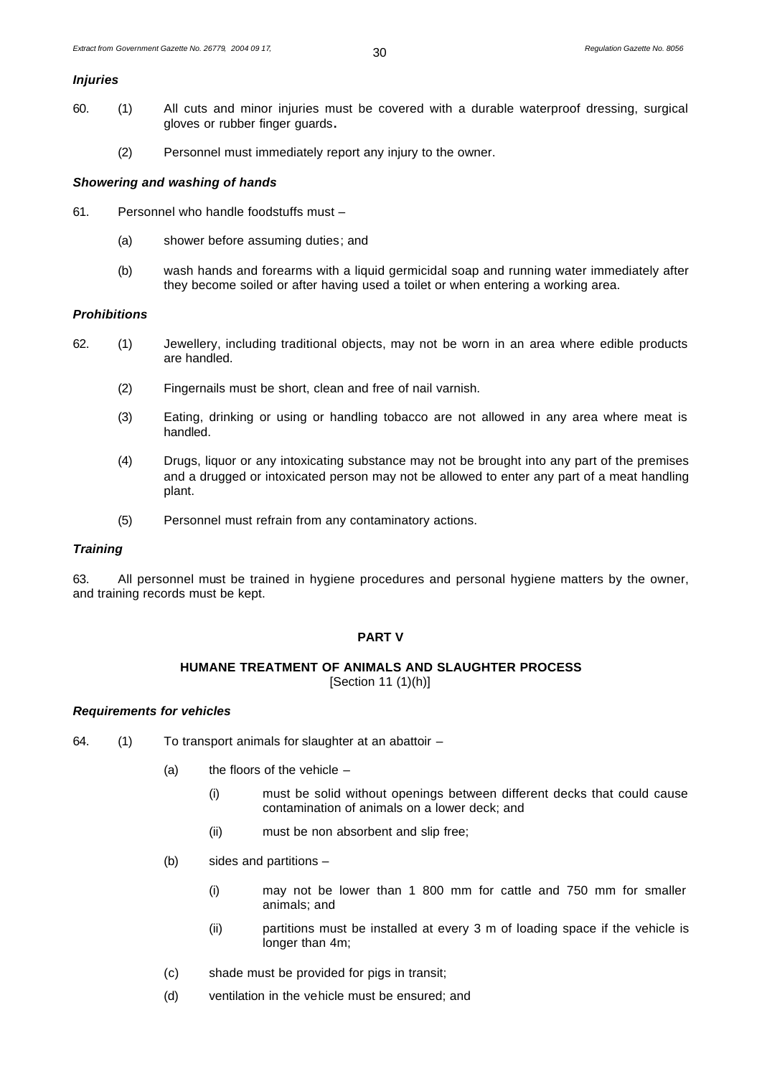# *Injuries*

- 60. (1) All cuts and minor injuries must be covered with a durable waterproof dressing, surgical gloves or rubber finger guards**.**
	- (2) Personnel must immediately report any injury to the owner.

#### *Showering and washing of hands*

- 61. Personnel who handle foodstuffs must
	- (a) shower before assuming duties; and
	- (b) wash hands and forearms with a liquid germicidal soap and running water immediately after they become soiled or after having used a toilet or when entering a working area.

#### *Prohibitions*

- 62. (1) Jewellery, including traditional objects, may not be worn in an area where edible products are handled.
	- (2) Fingernails must be short, clean and free of nail varnish.
	- (3) Eating, drinking or using or handling tobacco are not allowed in any area where meat is handled.
	- (4) Drugs, liquor or any intoxicating substance may not be brought into any part of the premises and a drugged or intoxicated person may not be allowed to enter any part of a meat handling plant.
	- (5) Personnel must refrain from any contaminatory actions.

#### *Training*

63. All personnel must be trained in hygiene procedures and personal hygiene matters by the owner, and training records must be kept.

# **PART V**

#### **HUMANE TREATMENT OF ANIMALS AND SLAUGHTER PROCESS**

[Section 11 (1)(h)]

#### *Requirements for vehicles*

- 64. (1) To transport animals for slaughter at an abattoir
	- (a) the floors of the vehicle  $-$ 
		- (i) must be solid without openings between different decks that could cause contamination of animals on a lower deck; and
		- (ii) must be non absorbent and slip free;
	- (b) sides and partitions
		- (i) may not be lower than 1 800 mm for cattle and 750 mm for smaller animals; and
		- (ii) partitions must be installed at every 3 m of loading space if the vehicle is longer than 4m;
	- (c) shade must be provided for pigs in transit;
	- (d) ventilation in the vehicle must be ensured; and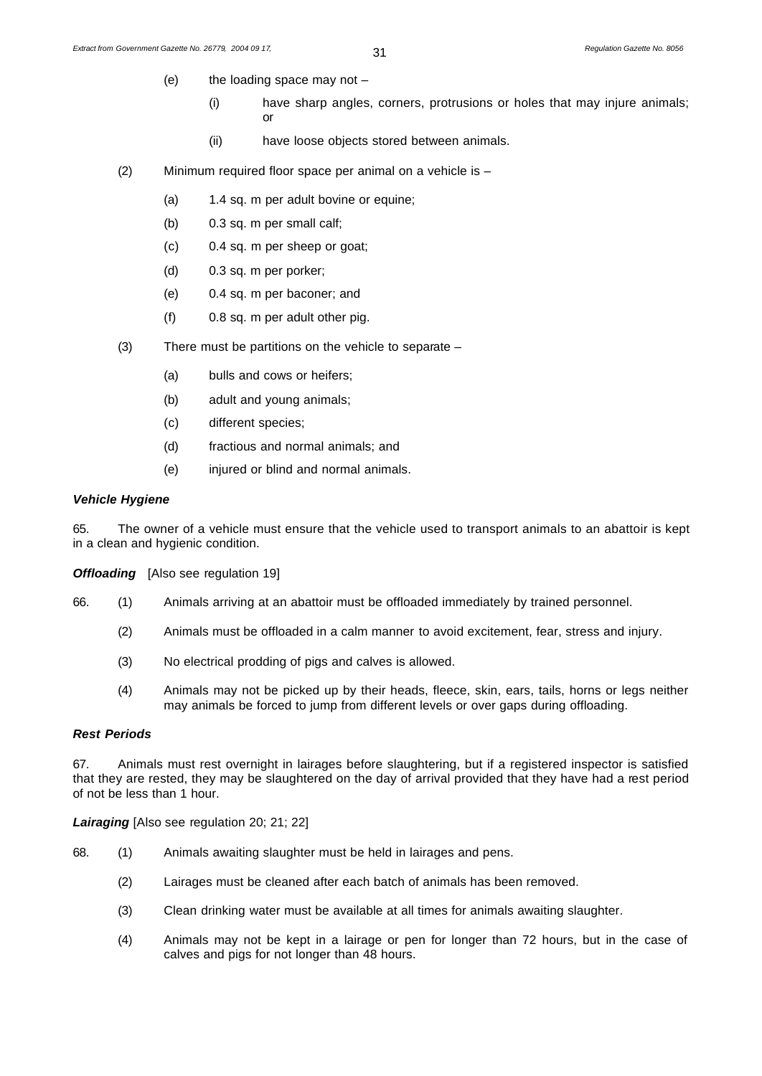- (e) the loading space may not
	- (i) have sharp angles, corners, protrusions or holes that may injure animals; or
	- (ii) have loose objects stored between animals.
- (2) Minimum required floor space per animal on a vehicle is
	- (a) 1.4 sq. m per adult bovine or equine;
	- (b) 0.3 sq. m per small calf;
	- (c) 0.4 sq. m per sheep or goat;
	- (d) 0.3 sq. m per porker;
	- (e) 0.4 sq. m per baconer; and
	- (f) 0.8 sq. m per adult other pig.
- (3) There must be partitions on the vehicle to separate
	- (a) bulls and cows or heifers;
	- (b) adult and young animals;
	- (c) different species;
	- (d) fractious and normal animals; and
	- (e) injured or blind and normal animals.

#### *Vehicle Hygiene*

65. The owner of a vehicle must ensure that the vehicle used to transport animals to an abattoir is kept in a clean and hygienic condition.

**Offloading** [Also see regulation 19]

- 66. (1) Animals arriving at an abattoir must be offloaded immediately by trained personnel.
	- (2) Animals must be offloaded in a calm manner to avoid excitement, fear, stress and injury.
	- (3) No electrical prodding of pigs and calves is allowed.
	- (4) Animals may not be picked up by their heads, fleece, skin, ears, tails, horns or legs neither may animals be forced to jump from different levels or over gaps during offloading.

# *Rest Periods*

67. Animals must rest overnight in lairages before slaughtering, but if a registered inspector is satisfied that they are rested, they may be slaughtered on the day of arrival provided that they have had a rest period of not be less than 1 hour.

*Lairaging* [Also see regulation 20; 21; 22]

- 68. (1) Animals awaiting slaughter must be held in lairages and pens.
	- (2) Lairages must be cleaned after each batch of animals has been removed.
	- (3) Clean drinking water must be available at all times for animals awaiting slaughter.
	- (4) Animals may not be kept in a lairage or pen for longer than 72 hours, but in the case of calves and pigs for not longer than 48 hours.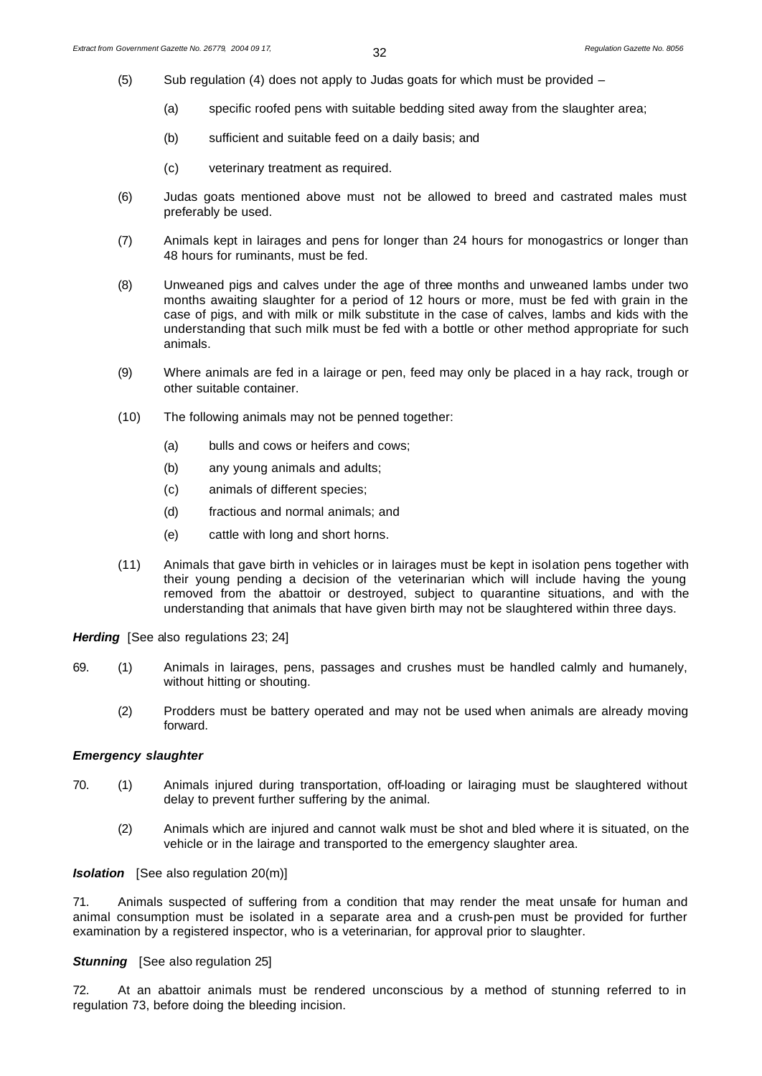- (5) Sub regulation (4) does not apply to Judas goats for which must be provided
	- (a) specific roofed pens with suitable bedding sited away from the slaughter area;
	- (b) sufficient and suitable feed on a daily basis; and
	- (c) veterinary treatment as required.
- (6) Judas goats mentioned above must not be allowed to breed and castrated males must preferably be used.
- (7) Animals kept in lairages and pens for longer than 24 hours for monogastrics or longer than 48 hours for ruminants, must be fed.
- (8) Unweaned pigs and calves under the age of three months and unweaned lambs under two months awaiting slaughter for a period of 12 hours or more, must be fed with grain in the case of pigs, and with milk or milk substitute in the case of calves, lambs and kids with the understanding that such milk must be fed with a bottle or other method appropriate for such animals.
- (9) Where animals are fed in a lairage or pen, feed may only be placed in a hay rack, trough or other suitable container.
- (10) The following animals may not be penned together:
	- (a) bulls and cows or heifers and cows;
	- (b) any young animals and adults;
	- (c) animals of different species;
	- (d) fractious and normal animals; and
	- (e) cattle with long and short horns.
- (11) Animals that gave birth in vehicles or in lairages must be kept in isolation pens together with their young pending a decision of the veterinarian which will include having the young removed from the abattoir or destroyed, subject to quarantine situations, and with the understanding that animals that have given birth may not be slaughtered within three days.

*Herding*[See also regulations 23; 24]

- 69. (1) Animals in lairages, pens, passages and crushes must be handled calmly and humanely, without hitting or shouting.
	- (2) Prodders must be battery operated and may not be used when animals are already moving forward.

# *Emergency slaughter*

- 70. (1) Animals injured during transportation, off-loading or lairaging must be slaughtered without delay to prevent further suffering by the animal.
	- (2) Animals which are injured and cannot walk must be shot and bled where it is situated, on the vehicle or in the lairage and transported to the emergency slaughter area.

# *Isolation* [See also regulation 20(m)]

71. Animals suspected of suffering from a condition that may render the meat unsafe for human and animal consumption must be isolated in a separate area and a crush-pen must be provided for further examination by a registered inspector, who is a veterinarian, for approval prior to slaughter.

# **Stunning** [See also regulation 25]

72. At an abattoir animals must be rendered unconscious by a method of stunning referred to in regulation 73, before doing the bleeding incision.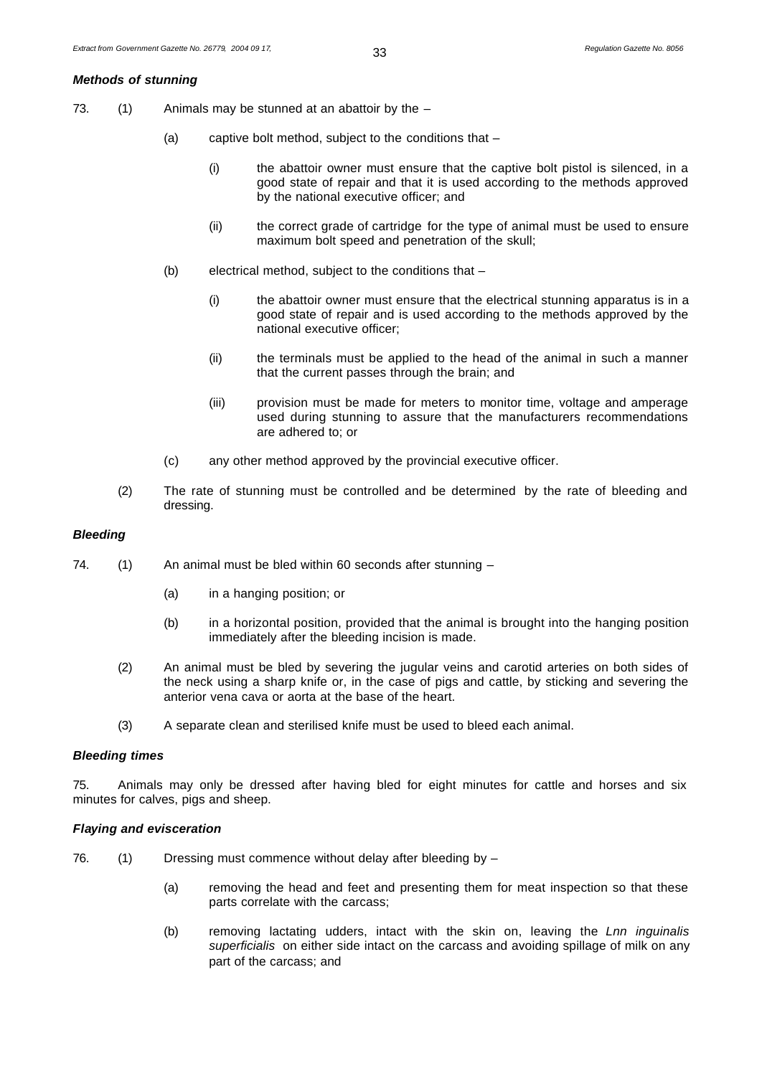# *Methods of stunning*

- 73.  $(1)$  Animals may be stunned at an abattoir by the  $-$ 
	- (a) captive bolt method, subject to the conditions that
		- (i) the abattoir owner must ensure that the captive bolt pistol is silenced, in a good state of repair and that it is used according to the methods approved by the national executive officer; and
		- (ii) the correct grade of cartridge for the type of animal must be used to ensure maximum bolt speed and penetration of the skull;
	- (b) electrical method, subject to the conditions that
		- (i) the abattoir owner must ensure that the electrical stunning apparatus is in a good state of repair and is used according to the methods approved by the national executive officer;
		- (ii) the terminals must be applied to the head of the animal in such a manner that the current passes through the brain; and
		- (iii) provision must be made for meters to monitor time, voltage and amperage used during stunning to assure that the manufacturers recommendations are adhered to; or
	- (c) any other method approved by the provincial executive officer.
	- (2) The rate of stunning must be controlled and be determined by the rate of bleeding and dressing.

#### *Bleeding*

- 74. (1) An animal must be bled within 60 seconds after stunning
	- (a) in a hanging position; or
	- (b) in a horizontal position, provided that the animal is brought into the hanging position immediately after the bleeding incision is made.
	- (2) An animal must be bled by severing the jugular veins and carotid arteries on both sides of the neck using a sharp knife or, in the case of pigs and cattle, by sticking and severing the anterior vena cava or aorta at the base of the heart.
	- (3) A separate clean and sterilised knife must be used to bleed each animal.

#### *Bleeding times*

75. Animals may only be dressed after having bled for eight minutes for cattle and horses and six minutes for calves, pigs and sheep.

#### *Flaying and evisceration*

- 76. (1) Dressing must commence without delay after bleeding by
	- (a) removing the head and feet and presenting them for meat inspection so that these parts correlate with the carcass;
	- (b) removing lactating udders, intact with the skin on, leaving the *Lnn inguinalis superficialis* on either side intact on the carcass and avoiding spillage of milk on any part of the carcass; and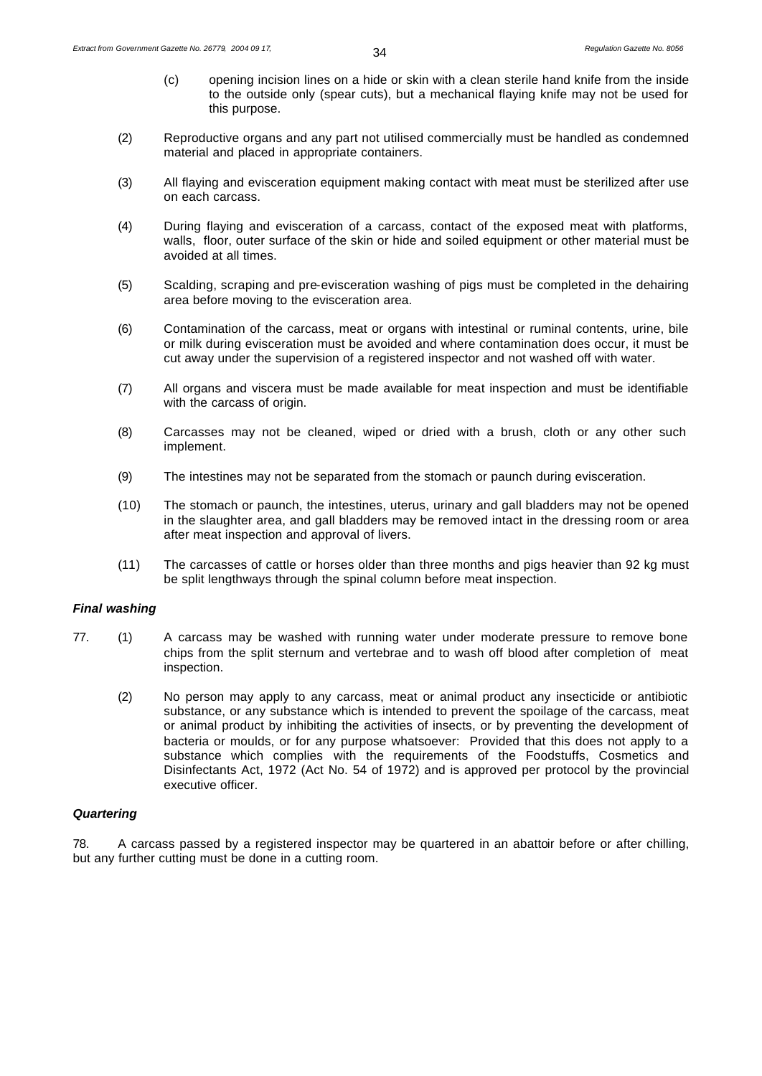- (c) opening incision lines on a hide or skin with a clean sterile hand knife from the inside to the outside only (spear cuts), but a mechanical flaying knife may not be used for this purpose.
- (2) Reproductive organs and any part not utilised commercially must be handled as condemned material and placed in appropriate containers.
- (3) All flaying and evisceration equipment making contact with meat must be sterilized after use on each carcass.
- (4) During flaying and evisceration of a carcass, contact of the exposed meat with platforms, walls, floor, outer surface of the skin or hide and soiled equipment or other material must be avoided at all times.
- (5) Scalding, scraping and pre-evisceration washing of pigs must be completed in the dehairing area before moving to the evisceration area.
- (6) Contamination of the carcass, meat or organs with intestinal or ruminal contents, urine, bile or milk during evisceration must be avoided and where contamination does occur, it must be cut away under the supervision of a registered inspector and not washed off with water.
- (7) All organs and viscera must be made available for meat inspection and must be identifiable with the carcass of origin.
- (8) Carcasses may not be cleaned, wiped or dried with a brush, cloth or any other such implement.
- (9) The intestines may not be separated from the stomach or paunch during evisceration.
- (10) The stomach or paunch, the intestines, uterus, urinary and gall bladders may not be opened in the slaughter area, and gall bladders may be removed intact in the dressing room or area after meat inspection and approval of livers.
- (11) The carcasses of cattle or horses older than three months and pigs heavier than 92 kg must be split lengthways through the spinal column before meat inspection.

# *Final washing*

- 77. (1) A carcass may be washed with running water under moderate pressure to remove bone chips from the split sternum and vertebrae and to wash off blood after completion of meat inspection.
	- (2) No person may apply to any carcass, meat or animal product any insecticide or antibiotic substance, or any substance which is intended to prevent the spoilage of the carcass, meat or animal product by inhibiting the activities of insects, or by preventing the development of bacteria or moulds, or for any purpose whatsoever: Provided that this does not apply to a substance which complies with the requirements of the Foodstuffs, Cosmetics and Disinfectants Act, 1972 (Act No. 54 of 1972) and is approved per protocol by the provincial executive officer.

#### *Quartering*

78. A carcass passed by a registered inspector may be quartered in an abattoir before or after chilling, but any further cutting must be done in a cutting room.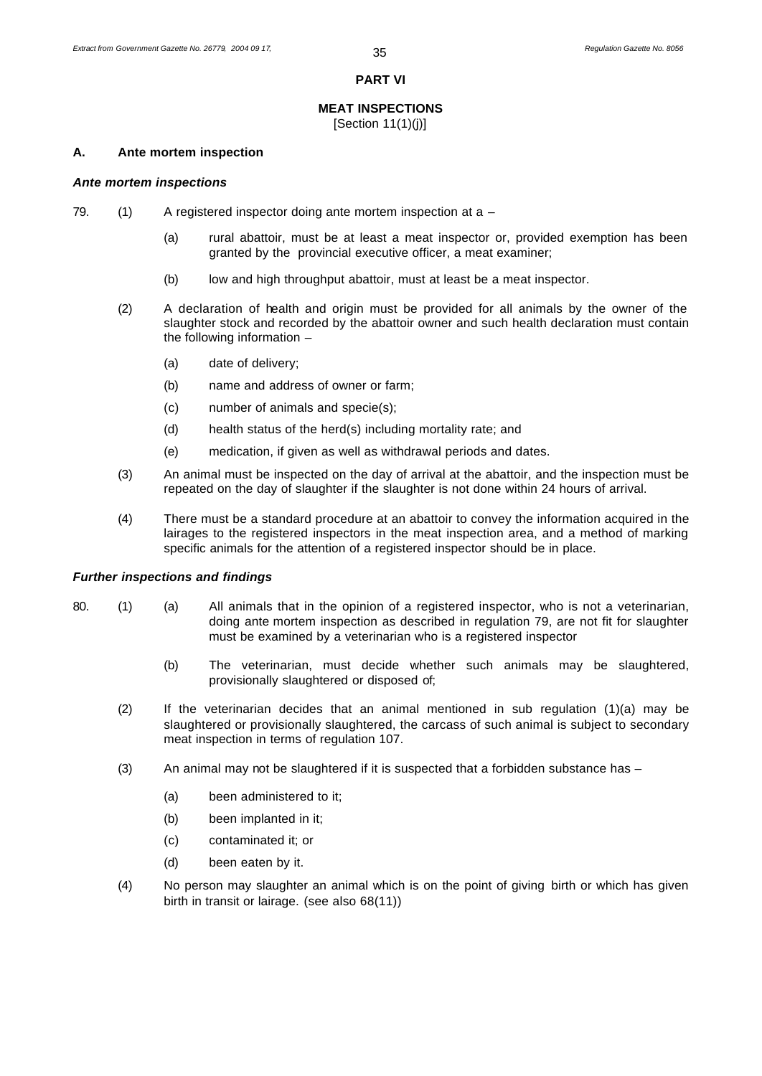#### **PART VI**

# **MEAT INSPECTIONS**

[Section 11(1)(j)]

#### **A. Ante mortem inspection**

#### *Ante mortem inspections*

- 79.  $(1)$  A registered inspector doing ante mortem inspection at a
	- (a) rural abattoir, must be at least a meat inspector or, provided exemption has been granted by the provincial executive officer, a meat examiner;
	- (b) low and high throughput abattoir, must at least be a meat inspector.
	- (2) A declaration of health and origin must be provided for all animals by the owner of the slaughter stock and recorded by the abattoir owner and such health declaration must contain the following information –
		- (a) date of delivery;
		- (b) name and address of owner or farm;
		- (c) number of animals and specie(s);
		- (d) health status of the herd(s) including mortality rate; and
		- (e) medication, if given as well as withdrawal periods and dates.
	- (3) An animal must be inspected on the day of arrival at the abattoir, and the inspection must be repeated on the day of slaughter if the slaughter is not done within 24 hours of arrival.
	- (4) There must be a standard procedure at an abattoir to convey the information acquired in the lairages to the registered inspectors in the meat inspection area, and a method of marking specific animals for the attention of a registered inspector should be in place.

#### *Further inspections and findings*

- 80. (1) (a) All animals that in the opinion of a registered inspector, who is not a veterinarian, doing ante mortem inspection as described in regulation 79, are not fit for slaughter must be examined by a veterinarian who is a registered inspector
	- (b) The veterinarian, must decide whether such animals may be slaughtered, provisionally slaughtered or disposed of;
	- (2) If the veterinarian decides that an animal mentioned in sub regulation (1)(a) may be slaughtered or provisionally slaughtered, the carcass of such animal is subject to secondary meat inspection in terms of regulation 107.
	- (3) An animal may not be slaughtered if it is suspected that a forbidden substance has
		- (a) been administered to it;
		- (b) been implanted in it;
		- (c) contaminated it; or
		- (d) been eaten by it.
	- (4) No person may slaughter an animal which is on the point of giving birth or which has given birth in transit or lairage. (see also 68(11))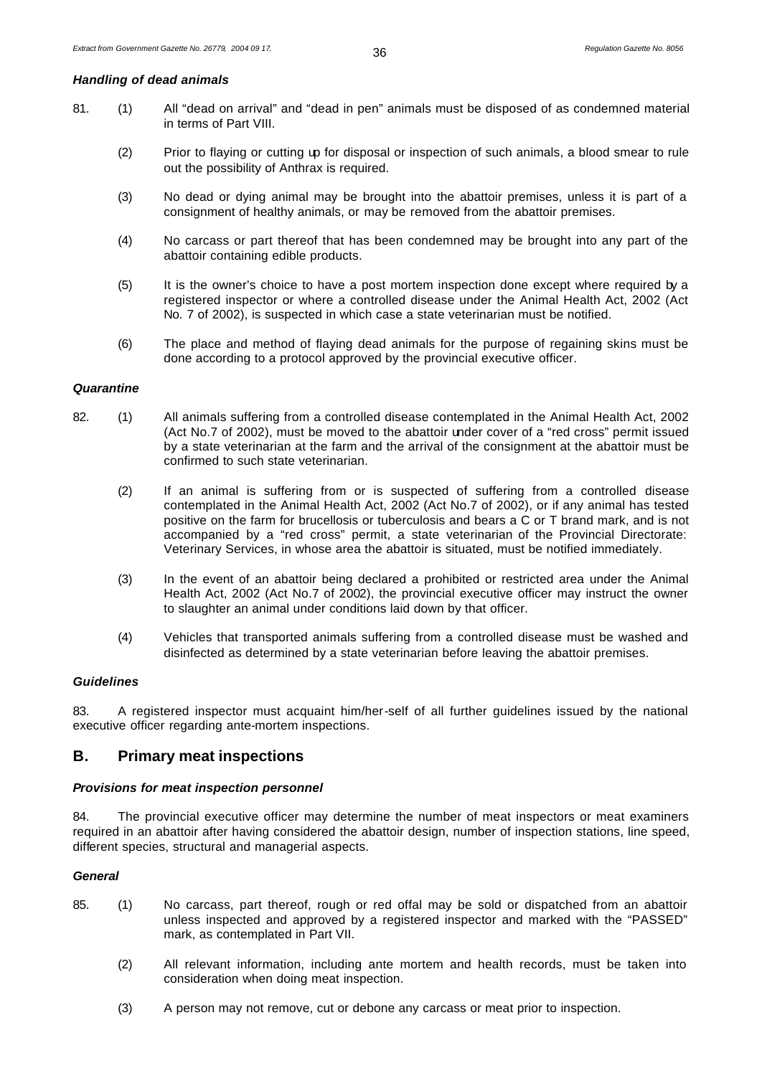#### *Handling of dead animals*

- 81. (1) All "dead on arrival" and "dead in pen" animals must be disposed of as condemned material in terms of Part VIII.
	- (2) Prior to flaying or cutting up for disposal or inspection of such animals, a blood smear to rule out the possibility of Anthrax is required.
	- (3) No dead or dying animal may be brought into the abattoir premises, unless it is part of a consignment of healthy animals, or may be removed from the abattoir premises.
	- (4) No carcass or part thereof that has been condemned may be brought into any part of the abattoir containing edible products.
	- (5) It is the owner's choice to have a post mortem inspection done except where required by a registered inspector or where a controlled disease under the Animal Health Act, 2002 (Act No. 7 of 2002), is suspected in which case a state veterinarian must be notified.
	- (6) The place and method of flaying dead animals for the purpose of regaining skins must be done according to a protocol approved by the provincial executive officer.

#### *Quarantine*

- 82. (1) All animals suffering from a controlled disease contemplated in the Animal Health Act, 2002 (Act No.7 of 2002), must be moved to the abattoir under cover of a "red cross" permit issued by a state veterinarian at the farm and the arrival of the consignment at the abattoir must be confirmed to such state veterinarian.
	- (2) If an animal is suffering from or is suspected of suffering from a controlled disease contemplated in the Animal Health Act, 2002 (Act No.7 of 2002), or if any animal has tested positive on the farm for brucellosis or tuberculosis and bears a C or T brand mark, and is not accompanied by a "red cross" permit, a state veterinarian of the Provincial Directorate: Veterinary Services, in whose area the abattoir is situated, must be notified immediately.
	- (3) In the event of an abattoir being declared a prohibited or restricted area under the Animal Health Act, 2002 (Act No.7 of 2002), the provincial executive officer may instruct the owner to slaughter an animal under conditions laid down by that officer.
	- (4) Vehicles that transported animals suffering from a controlled disease must be washed and disinfected as determined by a state veterinarian before leaving the abattoir premises.

# *Guidelines*

83. A registered inspector must acquaint him/her-self of all further guidelines issued by the national executive officer regarding ante-mortem inspections.

# **B. Primary meat inspections**

#### *Provisions for meat inspection personnel*

84. The provincial executive officer may determine the number of meat inspectors or meat examiners required in an abattoir after having considered the abattoir design, number of inspection stations, line speed, different species, structural and managerial aspects.

# *General*

- 85. (1) No carcass, part thereof, rough or red offal may be sold or dispatched from an abattoir unless inspected and approved by a registered inspector and marked with the "PASSED" mark, as contemplated in Part VII.
	- (2) All relevant information, including ante mortem and health records, must be taken into consideration when doing meat inspection.
	- (3) A person may not remove, cut or debone any carcass or meat prior to inspection.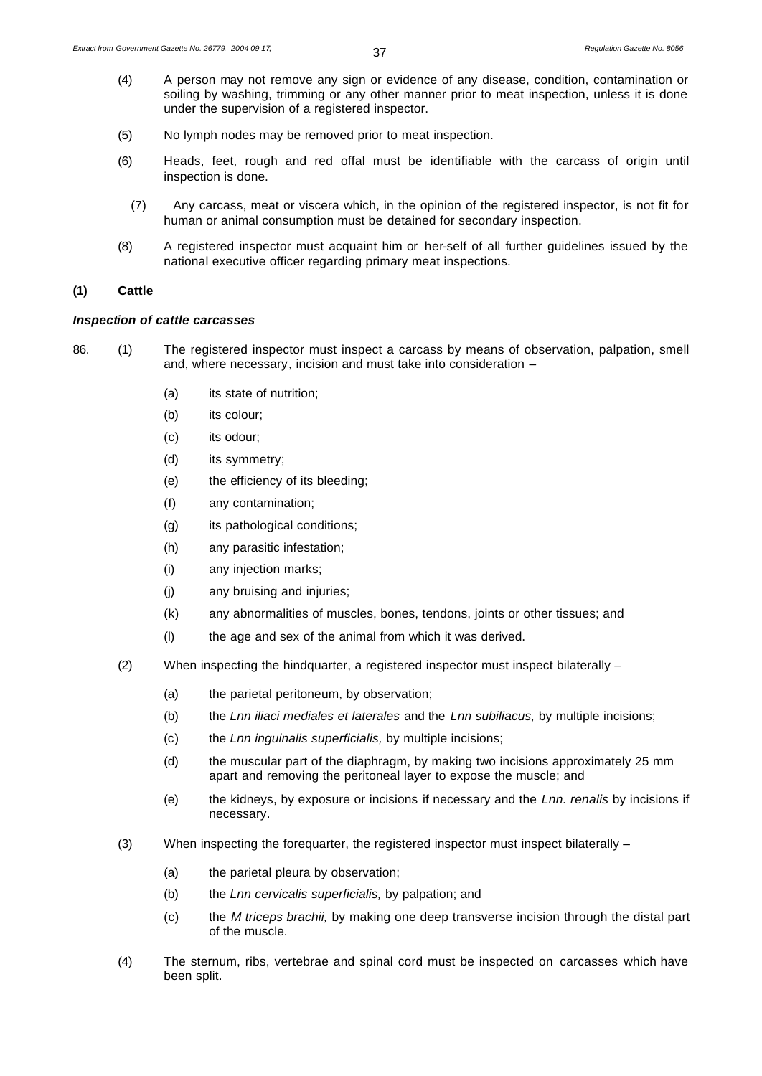- (4) A person may not remove any sign or evidence of any disease, condition, contamination or soiling by washing, trimming or any other manner prior to meat inspection, unless it is done under the supervision of a registered inspector.
- (5) No lymph nodes may be removed prior to meat inspection.
- (6) Heads, feet, rough and red offal must be identifiable with the carcass of origin until inspection is done.
	- (7) Any carcass, meat or viscera which, in the opinion of the registered inspector, is not fit for human or animal consumption must be detained for secondary inspection.
- (8) A registered inspector must acquaint him or her-self of all further guidelines issued by the national executive officer regarding primary meat inspections.

#### **(1) Cattle**

#### *Inspection of cattle carcasses*

- 86. (1) The registered inspector must inspect a carcass by means of observation, palpation, smell and, where necessary, incision and must take into consideration –
	- (a) its state of nutrition;
	- (b) its colour;
	- (c) its odour;
	- (d) its symmetry;
	- (e) the efficiency of its bleeding;
	- (f) any contamination;
	- (g) its pathological conditions;
	- (h) any parasitic infestation;
	- (i) any injection marks;
	- (j) any bruising and injuries;
	- (k) any abnormalities of muscles, bones, tendons, joints or other tissues; and
	- (l) the age and sex of the animal from which it was derived.
	- (2) When inspecting the hindquarter, a registered inspector must inspect bilaterally  $-$ 
		- (a) the parietal peritoneum, by observation;
		- (b) the *Lnn iliaci mediales et laterales* and the *Lnn subiliacus,* by multiple incisions;
		- (c) the *Lnn inguinalis superficialis,* by multiple incisions;
		- (d) the muscular part of the diaphragm, by making two incisions approximately 25 mm apart and removing the peritoneal layer to expose the muscle; and
		- (e) the kidneys, by exposure or incisions if necessary and the *Lnn. renalis* by incisions if necessary.
	- (3) When inspecting the forequarter, the registered inspector must inspect bilaterally
		- (a) the parietal pleura by observation;
		- (b) the *Lnn cervicalis superficialis,* by palpation; and
		- (c) the *M triceps brachii,* by making one deep transverse incision through the distal part of the muscle.
	- (4) The sternum, ribs, vertebrae and spinal cord must be inspected on carcasses which have been split.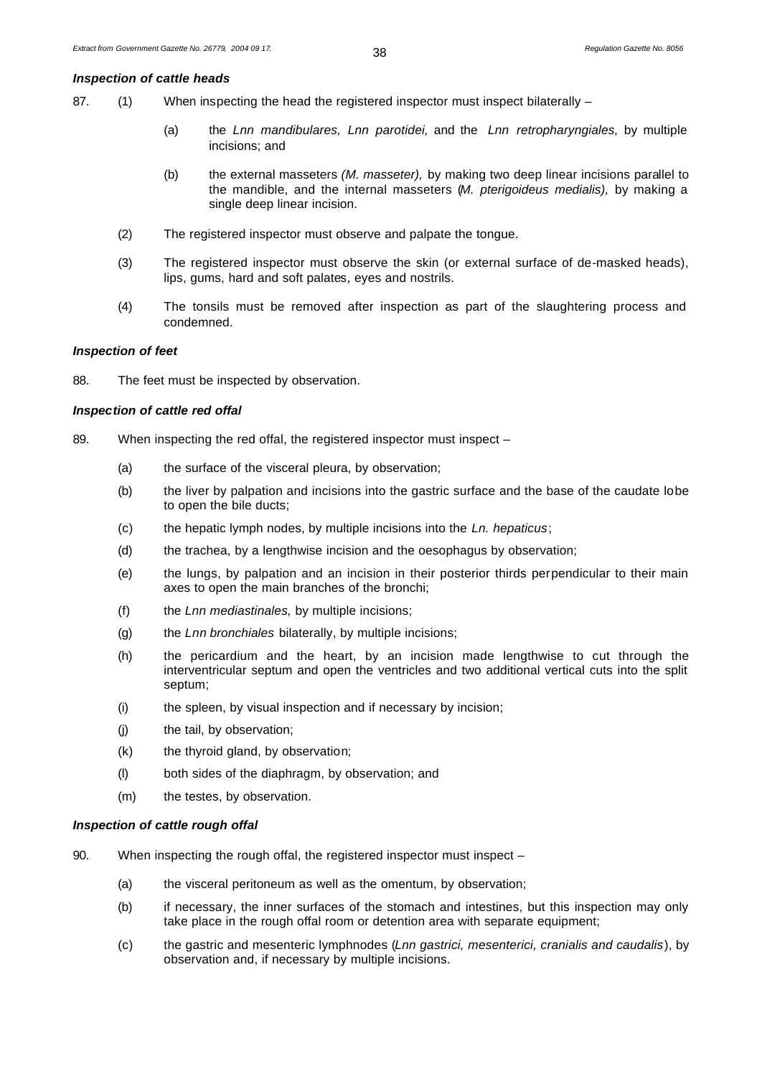#### *Inspection of cattle heads*

87. (1) When inspecting the head the registered inspector must inspect bilaterally –

- (a) the *Lnn mandibulares, Lnn parotidei,* and the *Lnn retropharyngiales,* by multiple incisions; and
- (b) the external masseters *(M. masseter),* by making two deep linear incisions parallel to the mandible, and the internal masseters (*M. pterigoideus medialis),* by making a single deep linear incision.
- (2) The registered inspector must observe and palpate the tongue.
- (3) The registered inspector must observe the skin (or external surface of de-masked heads), lips, gums, hard and soft palates, eyes and nostrils.
- (4) The tonsils must be removed after inspection as part of the slaughtering process and condemned.

#### *Inspection of feet*

88. The feet must be inspected by observation.

#### *Inspection of cattle red offal*

- 89. When inspecting the red offal, the registered inspector must inspect -
	- (a) the surface of the visceral pleura, by observation;
	- (b) the liver by palpation and incisions into the gastric surface and the base of the caudate lobe to open the bile ducts;
	- (c) the hepatic lymph nodes, by multiple incisions into the *Ln. hepaticus*;
	- (d) the trachea, by a lengthwise incision and the oesophagus by observation;
	- (e) the lungs, by palpation and an incision in their posterior thirds perpendicular to their main axes to open the main branches of the bronchi;
	- (f) the *Lnn mediastinales,* by multiple incisions;
	- (g) the *Lnn bronchiales* bilaterally, by multiple incisions;
	- (h) the pericardium and the heart, by an incision made lengthwise to cut through the interventricular septum and open the ventricles and two additional vertical cuts into the split septum;
	- (i) the spleen, by visual inspection and if necessary by incision;
	- (j) the tail, by observation;
	- (k) the thyroid gland, by observation;
	- (l) both sides of the diaphragm, by observation; and
	- (m) the testes, by observation.

#### *Inspection of cattle rough offal*

- 90. When inspecting the rough offal, the registered inspector must inspect
	- (a) the visceral peritoneum as well as the omentum, by observation;
	- (b) if necessary, the inner surfaces of the stomach and intestines, but this inspection may only take place in the rough offal room or detention area with separate equipment;
	- (c) the gastric and mesenteric lymphnodes (*Lnn gastrici, mesenterici, cranialis and caudalis*), by observation and, if necessary by multiple incisions.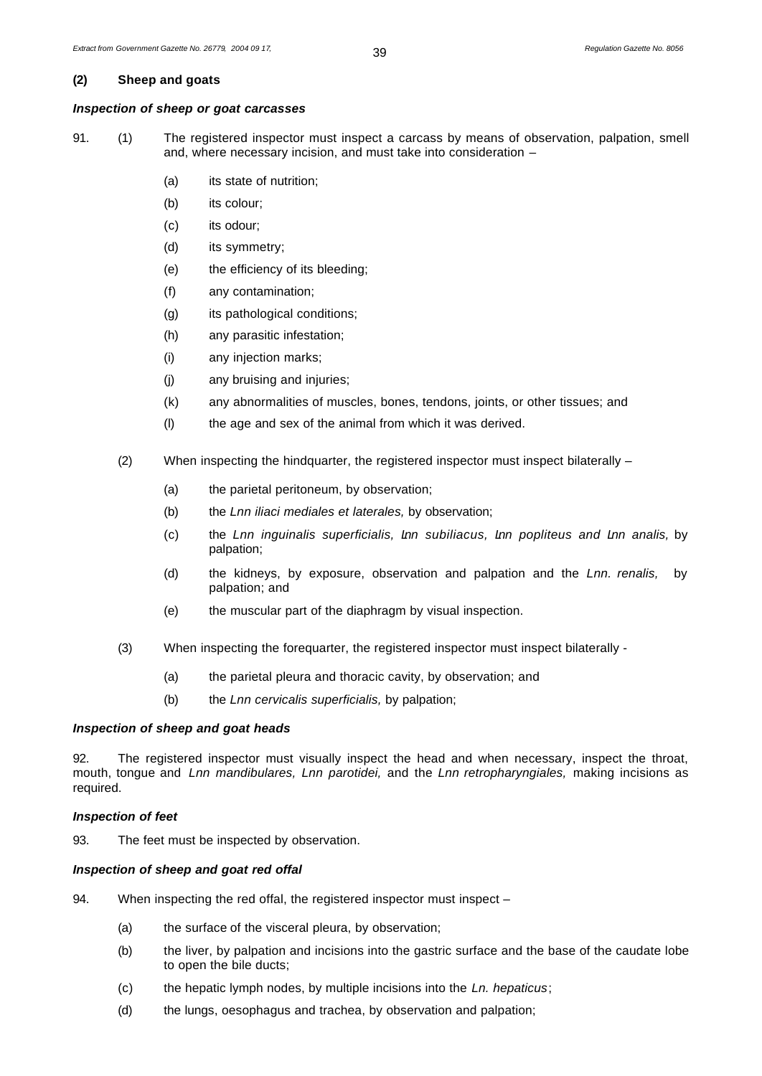#### **(2) Sheep and goats**

#### *Inspection of sheep or goat carcasses*

- 91. (1) The registered inspector must inspect a carcass by means of observation, palpation, smell and, where necessary incision, and must take into consideration –
	- (a) its state of nutrition;
	- (b) its colour;
	- (c) its odour;
	- (d) its symmetry;
	- (e) the efficiency of its bleeding;
	- (f) any contamination;
	- (g) its pathological conditions;
	- (h) any parasitic infestation;
	- (i) any injection marks;
	- (j) any bruising and injuries;
	- (k) any abnormalities of muscles, bones, tendons, joints, or other tissues; and
	- (l) the age and sex of the animal from which it was derived.
	- (2) When inspecting the hindquarter, the registered inspector must inspect bilaterally
		- (a) the parietal peritoneum, by observation;
		- (b) the *Lnn iliaci mediales et laterales,* by observation;
		- (c) the *Lnn inguinalis superficialis, Lnn subiliacus, Lnn popliteus and Lnn analis,* by palpation;
		- (d) the kidneys, by exposure, observation and palpation and the *Lnn. renalis,* by palpation; and
		- (e) the muscular part of the diaphragm by visual inspection.
	- (3) When inspecting the forequarter, the registered inspector must inspect bilaterally
		- (a) the parietal pleura and thoracic cavity, by observation; and
		- (b) the *Lnn cervicalis superficialis,* by palpation;

#### *Inspection of sheep and goat heads*

92. The registered inspector must visually inspect the head and when necessary, inspect the throat, mouth, tongue and *Lnn mandibulares, Lnn parotidei,* and the *Lnn retropharyngiales,* making incisions as required.

#### *Inspection of feet*

93. The feet must be inspected by observation.

#### *Inspection of sheep and goat red offal*

- 94. When inspecting the red offal, the registered inspector must inspect
	- (a) the surface of the visceral pleura, by observation;
	- (b) the liver, by palpation and incisions into the gastric surface and the base of the caudate lobe to open the bile ducts;
	- (c) the hepatic lymph nodes, by multiple incisions into the *Ln. hepaticus*;
	- (d) the lungs, oesophagus and trachea, by observation and palpation;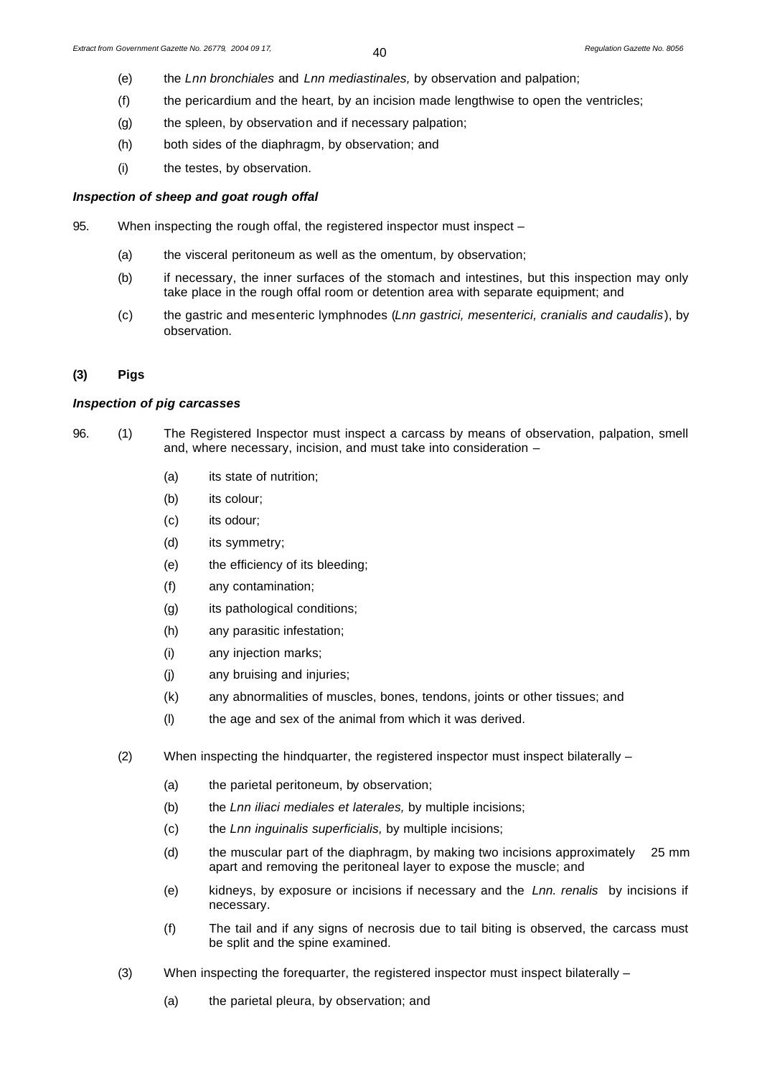- (e) the *Lnn bronchiales* and *Lnn mediastinales,* by observation and palpation;
- (f) the pericardium and the heart, by an incision made lengthwise to open the ventricles;
- (g) the spleen, by observation and if necessary palpation;
- (h) both sides of the diaphragm, by observation; and
- (i) the testes, by observation.

#### *Inspection of sheep and goat rough offal*

- 95. When inspecting the rough offal, the registered inspector must inspect -
	- (a) the visceral peritoneum as well as the omentum, by observation;
	- (b) if necessary, the inner surfaces of the stomach and intestines, but this inspection may only take place in the rough offal room or detention area with separate equipment; and
	- (c) the gastric and mesenteric lymphnodes (*Lnn gastrici, mesenterici, cranialis and caudalis*), by observation.

# **(3) Pigs**

#### *Inspection of pig carcasses*

- 96. (1) The Registered Inspector must inspect a carcass by means of observation, palpation, smell and, where necessary, incision, and must take into consideration –
	- (a) its state of nutrition;
	- (b) its colour:
	- (c) its odour;
	- (d) its symmetry;
	- (e) the efficiency of its bleeding;
	- (f) any contamination;
	- (g) its pathological conditions;
	- (h) any parasitic infestation;
	- (i) any injection marks;
	- (j) any bruising and injuries;
	- (k) any abnormalities of muscles, bones, tendons, joints or other tissues; and
	- (l) the age and sex of the animal from which it was derived.
	- (2) When inspecting the hindquarter, the registered inspector must inspect bilaterally  $-$ 
		- (a) the parietal peritoneum, by observation;
		- (b) the *Lnn iliaci mediales et laterales,* by multiple incisions;
		- (c) the *Lnn inguinalis superficialis,* by multiple incisions;
		- (d) the muscular part of the diaphragm, by making two incisions approximately 25 mm apart and removing the peritoneal layer to expose the muscle; and
		- (e) kidneys, by exposure or incisions if necessary and the *Lnn. renalis* by incisions if necessary.
		- (f) The tail and if any signs of necrosis due to tail biting is observed, the carcass must be split and the spine examined.
	- (3) When inspecting the forequarter, the registered inspector must inspect bilaterally
		- (a) the parietal pleura, by observation; and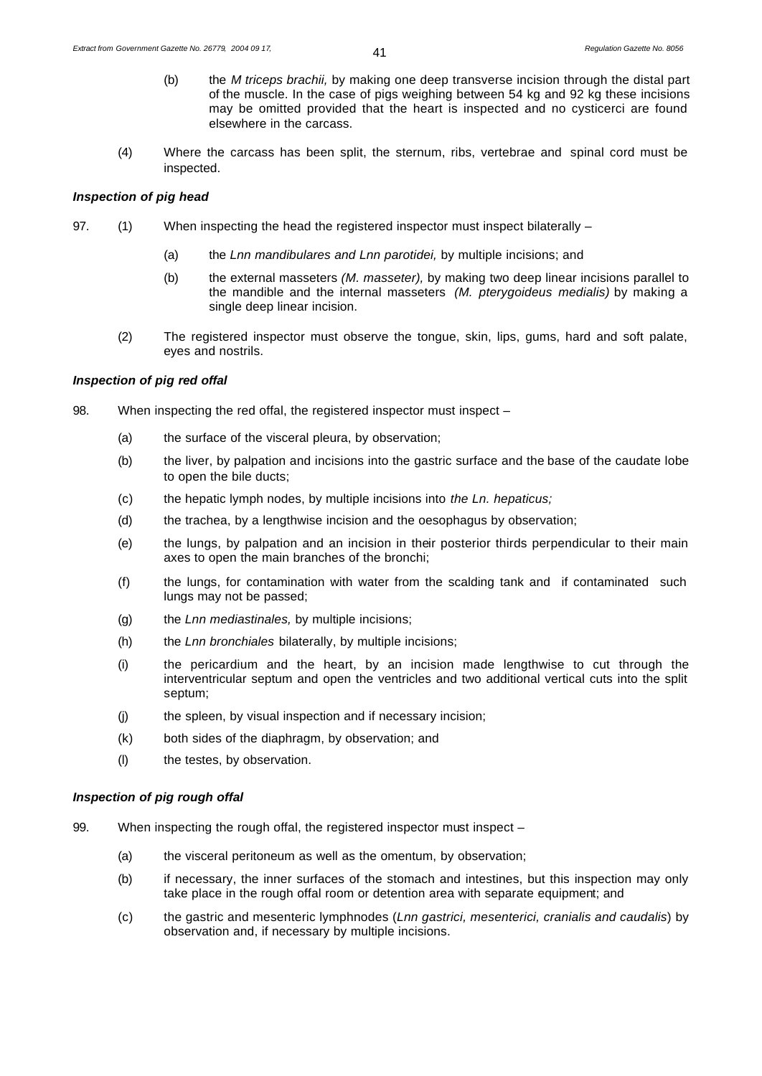- (b) the *M triceps brachii,* by making one deep transverse incision through the distal part of the muscle. In the case of pigs weighing between 54 kg and 92 kg these incisions may be omitted provided that the heart is inspected and no cysticerci are found elsewhere in the carcass.
- (4) Where the carcass has been split, the sternum, ribs, vertebrae and spinal cord must be inspected.

#### *Inspection of pig head*

- 97. (1) When inspecting the head the registered inspector must inspect bilaterally
	- (a) the *Lnn mandibulares and Lnn parotidei,* by multiple incisions; and
	- (b) the external masseters *(M. masseter),* by making two deep linear incisions parallel to the mandible and the internal masseters *(M. pterygoideus medialis)* by making a single deep linear incision.
	- (2) The registered inspector must observe the tongue, skin, lips, gums, hard and soft palate, eyes and nostrils.

#### *Inspection of pig red offal*

- 98. When inspecting the red offal, the registered inspector must inspect
	- (a) the surface of the visceral pleura, by observation;
	- (b) the liver, by palpation and incisions into the gastric surface and the base of the caudate lobe to open the bile ducts;
	- (c) the hepatic lymph nodes, by multiple incisions into *the Ln. hepaticus;*
	- (d) the trachea, by a lengthwise incision and the oesophagus by observation;
	- (e) the lungs, by palpation and an incision in their posterior thirds perpendicular to their main axes to open the main branches of the bronchi;
	- (f) the lungs, for contamination with water from the scalding tank and if contaminated such lungs may not be passed;
	- (g) the *Lnn mediastinales,* by multiple incisions;
	- (h) the *Lnn bronchiales* bilaterally, by multiple incisions;
	- (i) the pericardium and the heart, by an incision made lengthwise to cut through the interventricular septum and open the ventricles and two additional vertical cuts into the split septum;
	- (j) the spleen, by visual inspection and if necessary incision;
	- (k) both sides of the diaphragm, by observation; and
	- (l) the testes, by observation.

#### *Inspection of pig rough offal*

- 99. When inspecting the rough offal, the registered inspector must inspect
	- (a) the visceral peritoneum as well as the omentum, by observation;
	- (b) if necessary, the inner surfaces of the stomach and intestines, but this inspection may only take place in the rough offal room or detention area with separate equipment; and
	- (c) the gastric and mesenteric lymphnodes (*Lnn gastrici, mesenterici, cranialis and caudalis*) by observation and, if necessary by multiple incisions.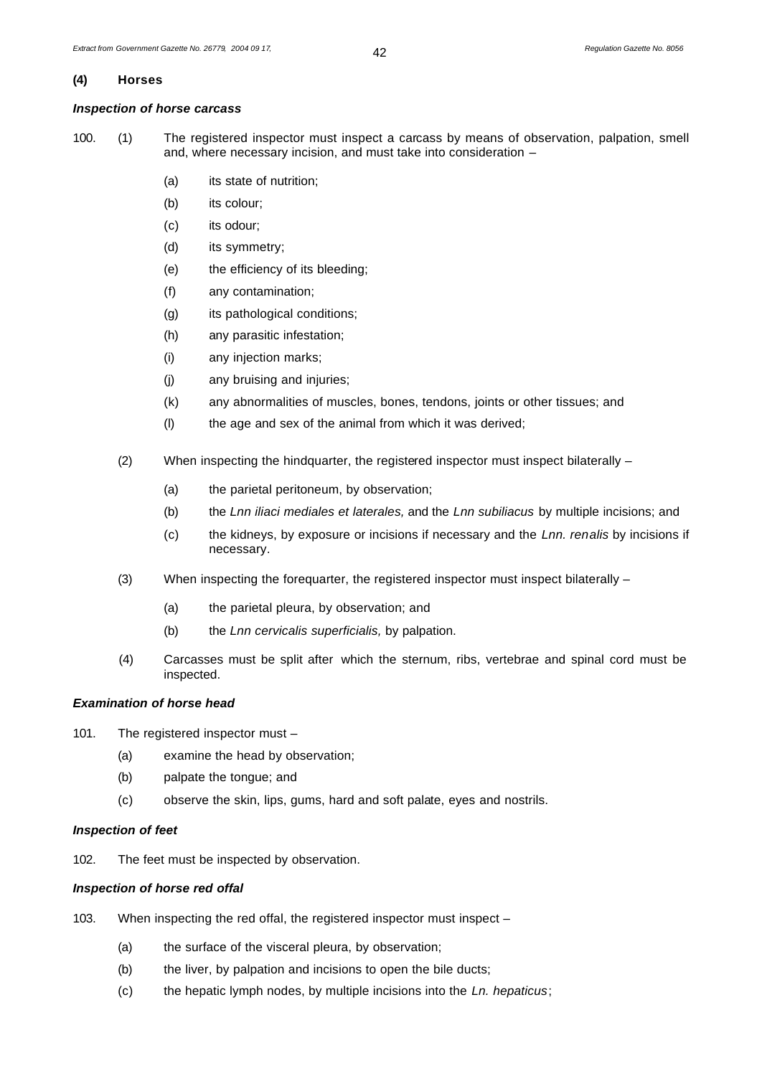#### **(4) Horses**

# *Inspection of horse carcass*

100. (1) The registered inspector must inspect a carcass by means of observation, palpation, smell and, where necessary incision, and must take into consideration –

- (a) its state of nutrition;
- (b) its colour;
- (c) its odour;
- (d) its symmetry;
- (e) the efficiency of its bleeding;
- (f) any contamination;
- (g) its pathological conditions;
- (h) any parasitic infestation;
- (i) any injection marks;
- (j) any bruising and injuries;
- (k) any abnormalities of muscles, bones, tendons, joints or other tissues; and
- (l) the age and sex of the animal from which it was derived;
- (2) When inspecting the hindquarter, the registered inspector must inspect bilaterally
	- (a) the parietal peritoneum, by observation;
	- (b) the *Lnn iliaci mediales et laterales,* and the *Lnn subiliacus* by multiple incisions; and
	- (c) the kidneys, by exposure or incisions if necessary and the *Lnn. renalis* by incisions if necessary.
- (3) When inspecting the forequarter, the registered inspector must inspect bilaterally
	- (a) the parietal pleura, by observation; and
	- (b) the *Lnn cervicalis superficialis,* by palpation.
- (4) Carcasses must be split after which the sternum, ribs, vertebrae and spinal cord must be inspected.

# *Examination of horse head*

- 101. The registered inspector must
	- (a) examine the head by observation;
	- (b) palpate the tongue; and
	- (c) observe the skin, lips, gums, hard and soft palate, eyes and nostrils.

#### *Inspection of feet*

102. The feet must be inspected by observation.

#### *Inspection of horse red offal*

- 103. When inspecting the red offal, the registered inspector must inspect
	- (a) the surface of the visceral pleura, by observation;
	- (b) the liver, by palpation and incisions to open the bile ducts;
	- (c) the hepatic lymph nodes, by multiple incisions into the *Ln. hepaticus*;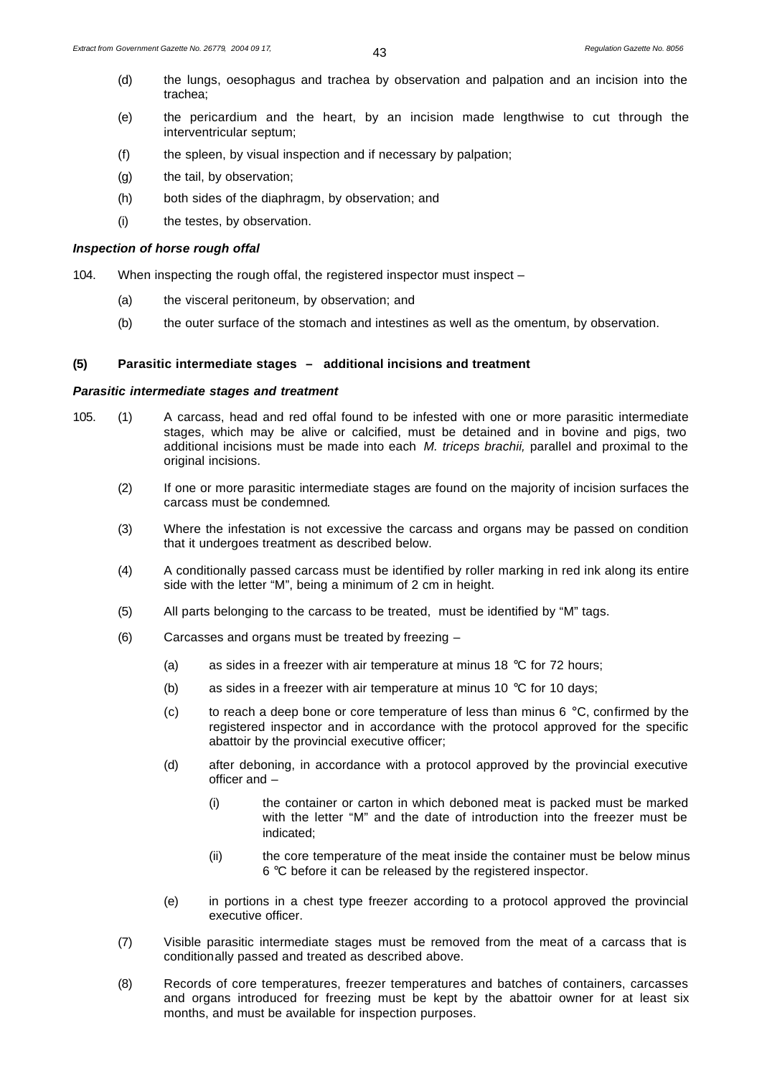- (d) the lungs, oesophagus and trachea by observation and palpation and an incision into the trachea;
- (e) the pericardium and the heart, by an incision made lengthwise to cut through the interventricular septum;
- (f) the spleen, by visual inspection and if necessary by palpation;
- (g) the tail, by observation;
- (h) both sides of the diaphragm, by observation; and
- (i) the testes, by observation.

# *Inspection of horse rough offal*

104. When inspecting the rough offal, the registered inspector must inspect –

- (a) the visceral peritoneum, by observation; and
- (b) the outer surface of the stomach and intestines as well as the omentum, by observation.

# **(5) Parasitic intermediate stages – additional incisions and treatment**

# *Parasitic intermediate stages and treatment*

- 105. (1) A carcass, head and red offal found to be infested with one or more parasitic intermediate stages, which may be alive or calcified, must be detained and in bovine and pigs, two additional incisions must be made into each *M. triceps brachii,* parallel and proximal to the original incisions.
	- (2) If one or more parasitic intermediate stages are found on the majority of incision surfaces the carcass must be condemned.
	- (3) Where the infestation is not excessive the carcass and organs may be passed on condition that it undergoes treatment as described below.
	- (4) A conditionally passed carcass must be identified by roller marking in red ink along its entire side with the letter "M", being a minimum of 2 cm in height.
	- (5) All parts belonging to the carcass to be treated, must be identified by "M" tags.
	- (6) Carcasses and organs must be treated by freezing
		- (a) as sides in a freezer with air temperature at minus 18  $^{\circ}$ C for 72 hours;
		- (b) as sides in a freezer with air temperature at minus 10  $\degree$ C for 10 days;
		- (c) to reach a deep bone or core temperature of less than minus 6  $\degree$ C, confirmed by the registered inspector and in accordance with the protocol approved for the specific abattoir by the provincial executive officer;
		- (d) after deboning, in accordance with a protocol approved by the provincial executive officer and –
			- (i) the container or carton in which deboned meat is packed must be marked with the letter "M" and the date of introduction into the freezer must be indicated;
			- (ii) the core temperature of the meat inside the container must be below minus 6 °C before it can be released by the registered inspector.
		- (e) in portions in a chest type freezer according to a protocol approved the provincial executive officer.
	- (7) Visible parasitic intermediate stages must be removed from the meat of a carcass that is conditionally passed and treated as described above.
	- (8) Records of core temperatures, freezer temperatures and batches of containers, carcasses and organs introduced for freezing must be kept by the abattoir owner for at least six months, and must be available for inspection purposes.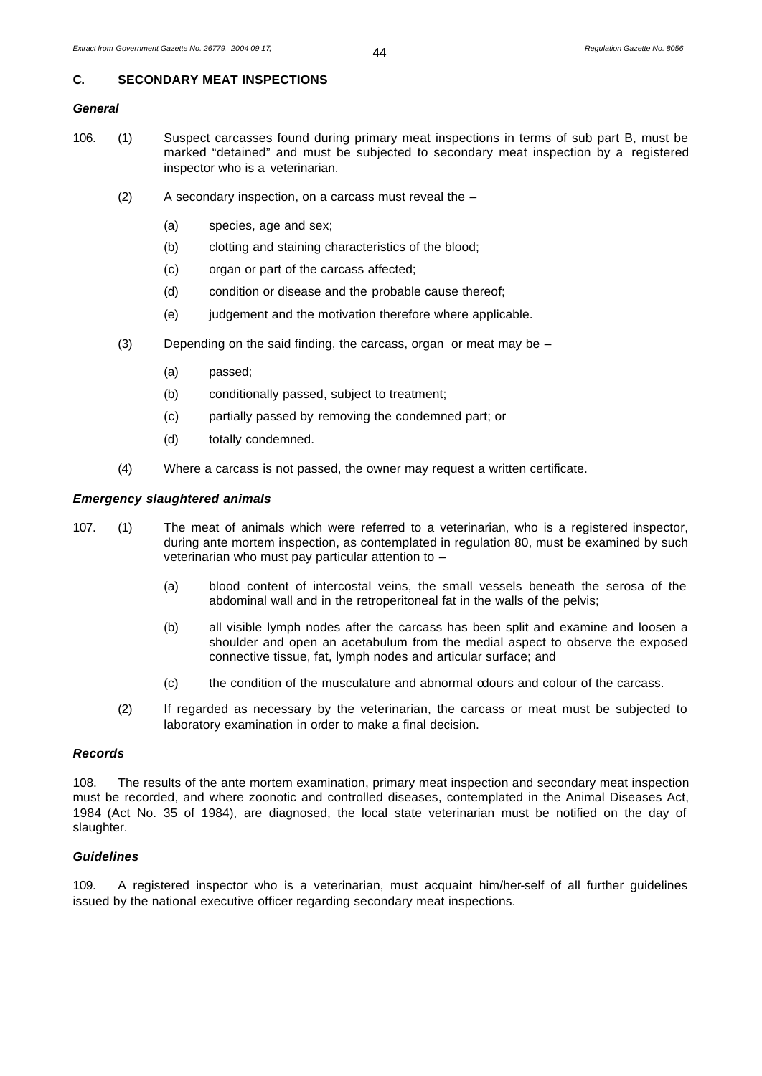# **C. SECONDARY MEAT INSPECTIONS**

# *General*

- 106. (1) Suspect carcasses found during primary meat inspections in terms of sub part B, must be marked "detained" and must be subjected to secondary meat inspection by a registered inspector who is a veterinarian.
	- (2) A secondary inspection, on a carcass must reveal the
		- (a) species, age and sex;
		- (b) clotting and staining characteristics of the blood;
		- (c) organ or part of the carcass affected;
		- (d) condition or disease and the probable cause thereof;
		- (e) judgement and the motivation therefore where applicable.
	- (3) Depending on the said finding, the carcass, organ or meat may be
		- (a) passed;
		- (b) conditionally passed, subject to treatment;
		- (c) partially passed by removing the condemned part; or
		- (d) totally condemned.
	- (4) Where a carcass is not passed, the owner may request a written certificate.

#### *Emergency slaughtered animals*

- 107. (1) The meat of animals which were referred to a veterinarian, who is a registered inspector, during ante mortem inspection, as contemplated in regulation 80, must be examined by such veterinarian who must pay particular attention to –
	- (a) blood content of intercostal veins, the small vessels beneath the serosa of the abdominal wall and in the retroperitoneal fat in the walls of the pelvis;
	- (b) all visible lymph nodes after the carcass has been split and examine and loosen a shoulder and open an acetabulum from the medial aspect to observe the exposed connective tissue, fat, lymph nodes and articular surface; and
	- (c) the condition of the musculature and abnormal odours and colour of the carcass.
	- (2) If regarded as necessary by the veterinarian, the carcass or meat must be subjected to laboratory examination in order to make a final decision.

#### *Records*

108. The results of the ante mortem examination, primary meat inspection and secondary meat inspection must be recorded, and where zoonotic and controlled diseases, contemplated in the Animal Diseases Act, 1984 (Act No. 35 of 1984), are diagnosed, the local state veterinarian must be notified on the day of slaughter.

# *Guidelines*

109. A registered inspector who is a veterinarian, must acquaint him/her-self of all further guidelines issued by the national executive officer regarding secondary meat inspections.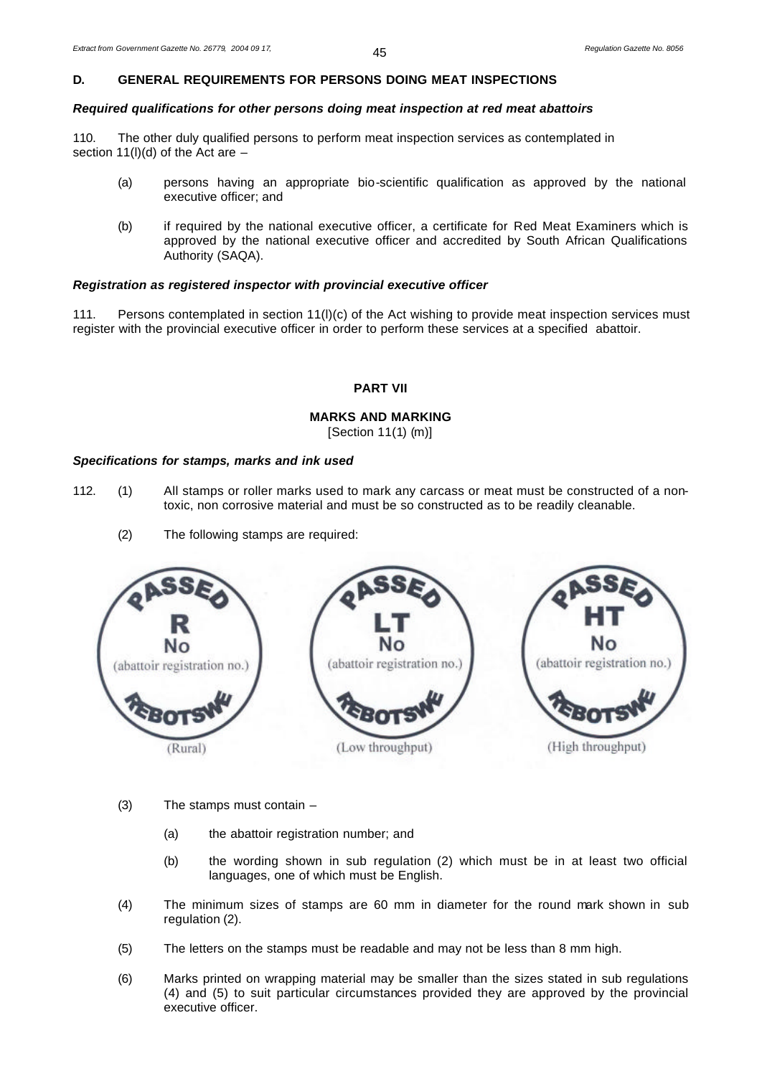# **D. GENERAL REQUIREMENTS FOR PERSONS DOING MEAT INSPECTIONS**

# *Required qualifications for other persons doing meat inspection at red meat abattoirs*

110. The other duly qualified persons to perform meat inspection services as contemplated in section 11(l)(d) of the Act are  $-$ 

- (a) persons having an appropriate bio-scientific qualification as approved by the national executive officer; and
- (b) if required by the national executive officer, a certificate for Red Meat Examiners which is approved by the national executive officer and accredited by South African Qualifications Authority (SAQA).

#### *Registration as registered inspector with provincial executive officer*

111. Persons contemplated in section 11(l)(c) of the Act wishing to provide meat inspection services must register with the provincial executive officer in order to perform these services at a specified abattoir.

# **PART VII**

# **MARKS AND MARKING**

[Section 11(1) (m)]

#### *Specifications for stamps, marks and ink used*

- 112. (1) All stamps or roller marks used to mark any carcass or meat must be constructed of a nontoxic, non corrosive material and must be so constructed as to be readily cleanable.
	- (2) The following stamps are required:



- (3) The stamps must contain
	- (a) the abattoir registration number; and
	- (b) the wording shown in sub regulation (2) which must be in at least two official languages, one of which must be English.
- (4) The minimum sizes of stamps are 60 mm in diameter for the round mark shown in sub regulation (2).
- (5) The letters on the stamps must be readable and may not be less than 8 mm high.
- (6) Marks printed on wrapping material may be smaller than the sizes stated in sub regulations (4) and (5) to suit particular circumstances provided they are approved by the provincial executive officer.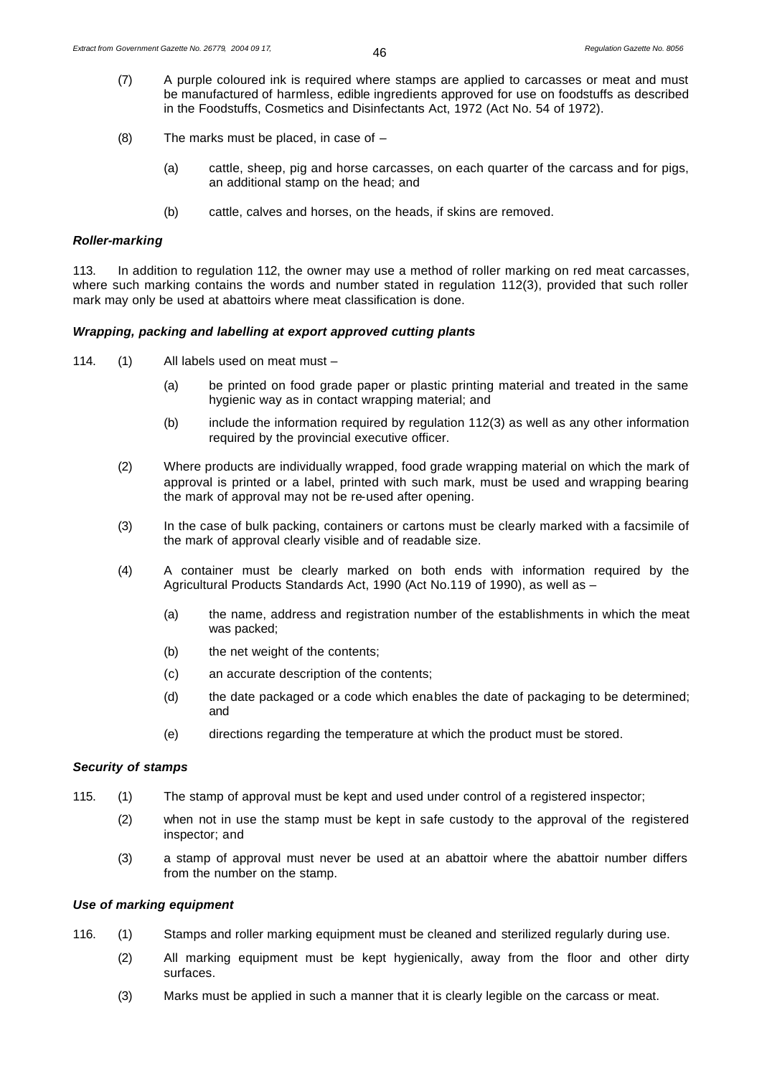- (7) A purple coloured ink is required where stamps are applied to carcasses or meat and must be manufactured of harmless, edible ingredients approved for use on foodstuffs as described in the Foodstuffs, Cosmetics and Disinfectants Act, 1972 (Act No. 54 of 1972).
- (8) The marks must be placed, in case of
	- (a) cattle, sheep, pig and horse carcasses, on each quarter of the carcass and for pigs, an additional stamp on the head; and
	- (b) cattle, calves and horses, on the heads, if skins are removed.

#### *Roller-marking*

113. In addition to regulation 112, the owner may use a method of roller marking on red meat carcasses, where such marking contains the words and number stated in regulation 112(3), provided that such roller mark may only be used at abattoirs where meat classification is done.

#### *Wrapping, packing and labelling at export approved cutting plants*

- 114. (1) All labels used on meat must
	- (a) be printed on food grade paper or plastic printing material and treated in the same hygienic way as in contact wrapping material; and
	- (b) include the information required by regulation 112(3) as well as any other information required by the provincial executive officer.
	- (2) Where products are individually wrapped, food grade wrapping material on which the mark of approval is printed or a label, printed with such mark, must be used and wrapping bearing the mark of approval may not be re-used after opening.
	- (3) In the case of bulk packing, containers or cartons must be clearly marked with a facsimile of the mark of approval clearly visible and of readable size.
	- (4) A container must be clearly marked on both ends with information required by the Agricultural Products Standards Act, 1990 (Act No.119 of 1990), as well as –
		- (a) the name, address and registration number of the establishments in which the meat was packed;
		- (b) the net weight of the contents;
		- (c) an accurate description of the contents;
		- (d) the date packaged or a code which enables the date of packaging to be determined; and
		- (e) directions regarding the temperature at which the product must be stored.

# *Security of stamps*

- 115. (1) The stamp of approval must be kept and used under control of a registered inspector;
	- (2) when not in use the stamp must be kept in safe custody to the approval of the registered inspector; and
	- (3) a stamp of approval must never be used at an abattoir where the abattoir number differs from the number on the stamp.

#### *Use of marking equipment*

- 116. (1) Stamps and roller marking equipment must be cleaned and sterilized regularly during use.
	- (2) All marking equipment must be kept hygienically, away from the floor and other dirty surfaces.
	- (3) Marks must be applied in such a manner that it is clearly legible on the carcass or meat.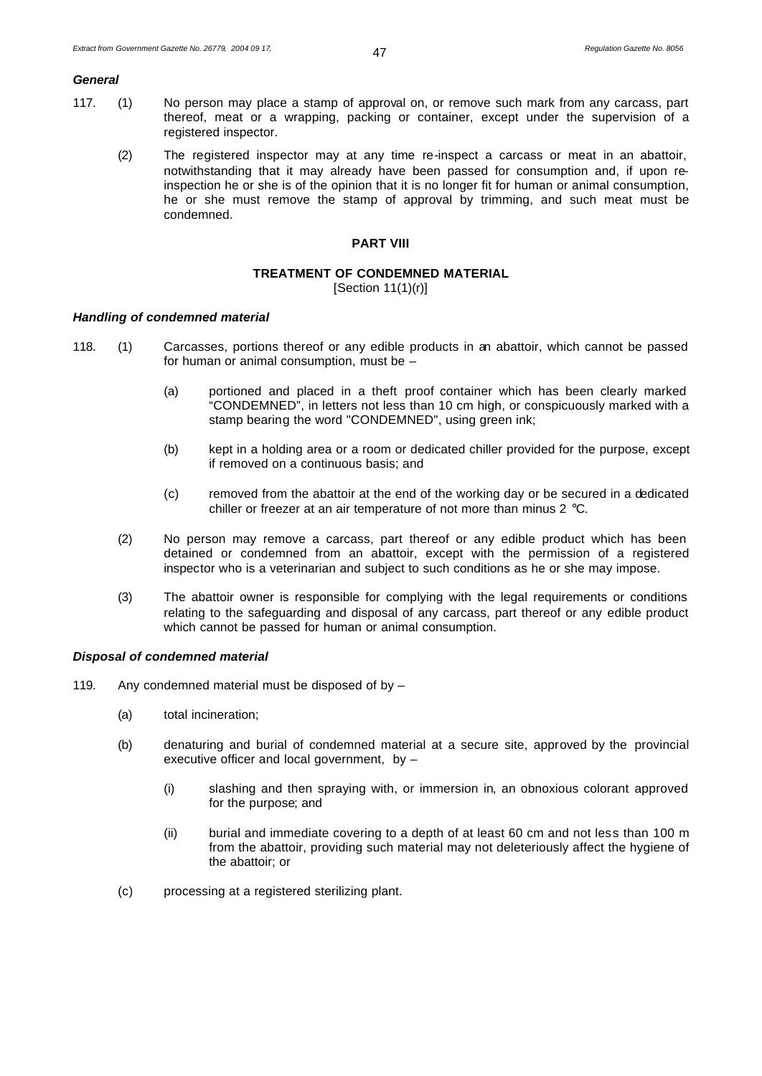#### *General*

- 117. (1) No person may place a stamp of approval on, or remove such mark from any carcass, part thereof, meat or a wrapping, packing or container, except under the supervision of a registered inspector.
	- (2) The registered inspector may at any time re-inspect a carcass or meat in an abattoir, notwithstanding that it may already have been passed for consumption and, if upon reinspection he or she is of the opinion that it is no longer fit for human or animal consumption, he or she must remove the stamp of approval by trimming, and such meat must be condemned.

#### **PART VIII**

# **TREATMENT OF CONDEMNED MATERIAL**

[Section 11(1)(r)]

#### *Handling of condemned material*

- 118. (1) Carcasses, portions thereof or any edible products in an abattoir, which cannot be passed for human or animal consumption, must be –
	- (a) portioned and placed in a theft proof container which has been clearly marked "CONDEMNED", in letters not less than 10 cm high, or conspicuously marked with a stamp bearing the word "CONDEMNED", using green ink;
	- (b) kept in a holding area or a room or dedicated chiller provided for the purpose, except if removed on a continuous basis; and
	- (c) removed from the abattoir at the end of the working day or be secured in a dedicated chiller or freezer at an air temperature of not more than minus 2 °C.
	- (2) No person may remove a carcass, part thereof or any edible product which has been detained or condemned from an abattoir, except with the permission of a registered inspector who is a veterinarian and subject to such conditions as he or she may impose.
	- (3) The abattoir owner is responsible for complying with the legal requirements or conditions relating to the safeguarding and disposal of any carcass, part thereof or any edible product which cannot be passed for human or animal consumption.

#### *Disposal of condemned material*

- 119. Any condemned material must be disposed of by
	- (a) total incineration;
	- (b) denaturing and burial of condemned material at a secure site, approved by the provincial executive officer and local government, by –
		- (i) slashing and then spraying with, or immersion in, an obnoxious colorant approved for the purpose; and
		- (ii) burial and immediate covering to a depth of at least 60 cm and not less than 100 m from the abattoir, providing such material may not deleteriously affect the hygiene of the abattoir; or
	- (c) processing at a registered sterilizing plant.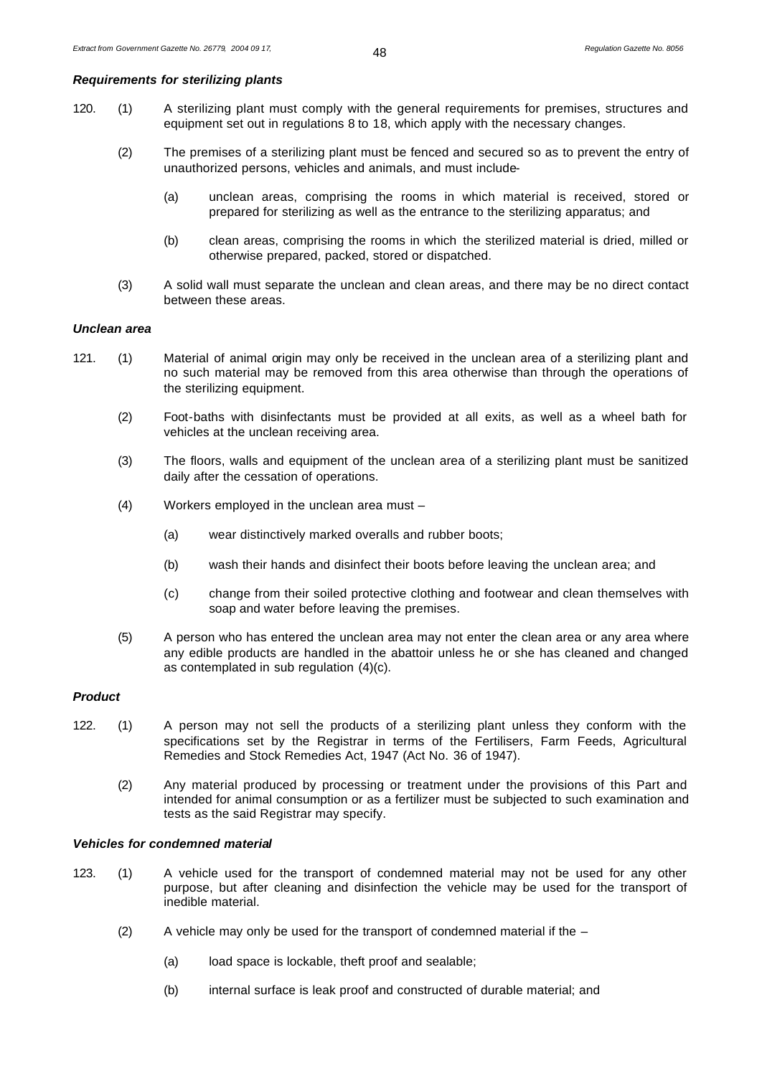# *Requirements for sterilizing plants*

- 120. (1) A sterilizing plant must comply with the general requirements for premises, structures and equipment set out in regulations 8 to 18, which apply with the necessary changes.
	- (2) The premises of a sterilizing plant must be fenced and secured so as to prevent the entry of unauthorized persons, vehicles and animals, and must include-
		- (a) unclean areas, comprising the rooms in which material is received, stored or prepared for sterilizing as well as the entrance to the sterilizing apparatus; and
		- (b) clean areas, comprising the rooms in which the sterilized material is dried, milled or otherwise prepared, packed, stored or dispatched.
	- (3) A solid wall must separate the unclean and clean areas, and there may be no direct contact between these areas.

#### *Unclean area*

- 121. (1) Material of animal origin may only be received in the unclean area of a sterilizing plant and no such material may be removed from this area otherwise than through the operations of the sterilizing equipment.
	- (2) Foot-baths with disinfectants must be provided at all exits, as well as a wheel bath for vehicles at the unclean receiving area.
	- (3) The floors, walls and equipment of the unclean area of a sterilizing plant must be sanitized daily after the cessation of operations.
	- (4) Workers employed in the unclean area must
		- (a) wear distinctively marked overalls and rubber boots;
		- (b) wash their hands and disinfect their boots before leaving the unclean area; and
		- (c) change from their soiled protective clothing and footwear and clean themselves with soap and water before leaving the premises.
	- (5) A person who has entered the unclean area may not enter the clean area or any area where any edible products are handled in the abattoir unless he or she has cleaned and changed as contemplated in sub regulation (4)(c).

# *Product*

- 122. (1) A person may not sell the products of a sterilizing plant unless they conform with the specifications set by the Registrar in terms of the Fertilisers, Farm Feeds, Agricultural Remedies and Stock Remedies Act, 1947 (Act No. 36 of 1947).
	- (2) Any material produced by processing or treatment under the provisions of this Part and intended for animal consumption or as a fertilizer must be subjected to such examination and tests as the said Registrar may specify.

#### *Vehicles for condemned material*

- 123. (1) A vehicle used for the transport of condemned material may not be used for any other purpose, but after cleaning and disinfection the vehicle may be used for the transport of inedible material.
	- (2) A vehicle may only be used for the transport of condemned material if the  $-$ 
		- (a) load space is lockable, theft proof and sealable;
		- (b) internal surface is leak proof and constructed of durable material; and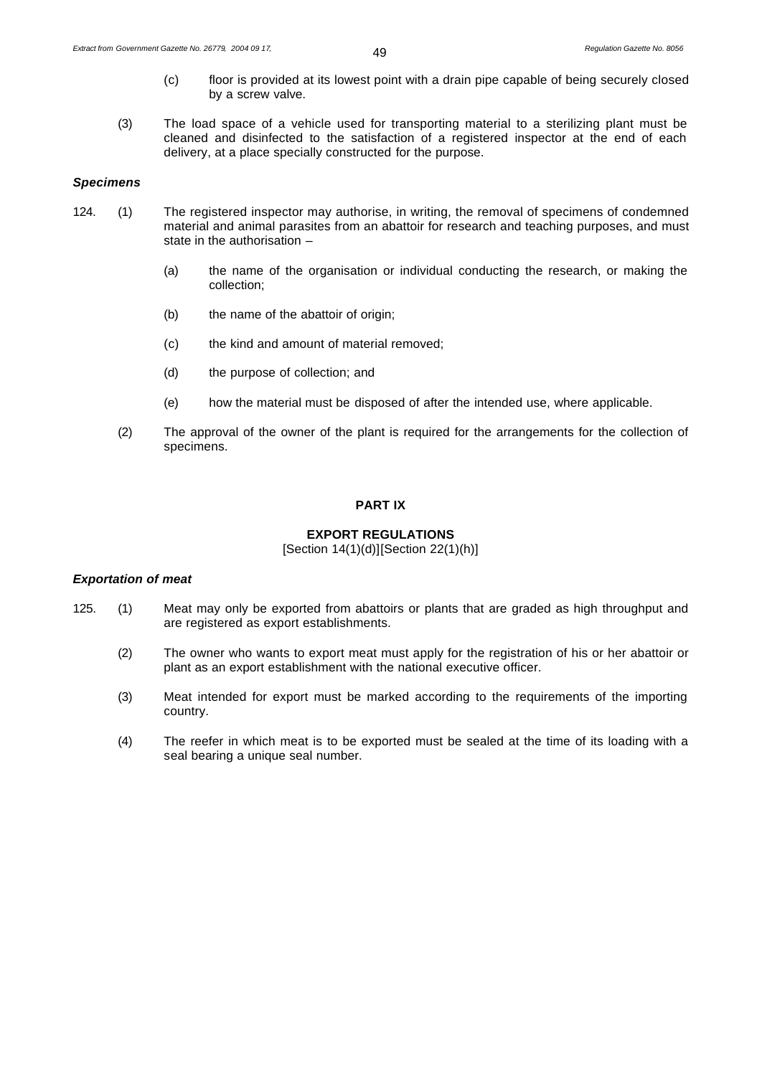- (c) floor is provided at its lowest point with a drain pipe capable of being securely closed by a screw valve.
- (3) The load space of a vehicle used for transporting material to a sterilizing plant must be cleaned and disinfected to the satisfaction of a registered inspector at the end of each delivery, at a place specially constructed for the purpose.

#### *Specimens*

- 124. (1) The registered inspector may authorise, in writing, the removal of specimens of condemned material and animal parasites from an abattoir for research and teaching purposes, and must state in the authorisation –
	- (a) the name of the organisation or individual conducting the research, or making the collection;
	- (b) the name of the abattoir of origin;
	- (c) the kind and amount of material removed;
	- (d) the purpose of collection; and
	- (e) how the material must be disposed of after the intended use, where applicable.
	- (2) The approval of the owner of the plant is required for the arrangements for the collection of specimens.

#### **PART IX**

#### **EXPORT REGULATIONS**

[Section 14(1)(d)][Section 22(1)(h)]

# *Exportation of meat*

- 125. (1) Meat may only be exported from abattoirs or plants that are graded as high throughput and are registered as export establishments.
	- (2) The owner who wants to export meat must apply for the registration of his or her abattoir or plant as an export establishment with the national executive officer.
	- (3) Meat intended for export must be marked according to the requirements of the importing country.
	- (4) The reefer in which meat is to be exported must be sealed at the time of its loading with a seal bearing a unique seal number.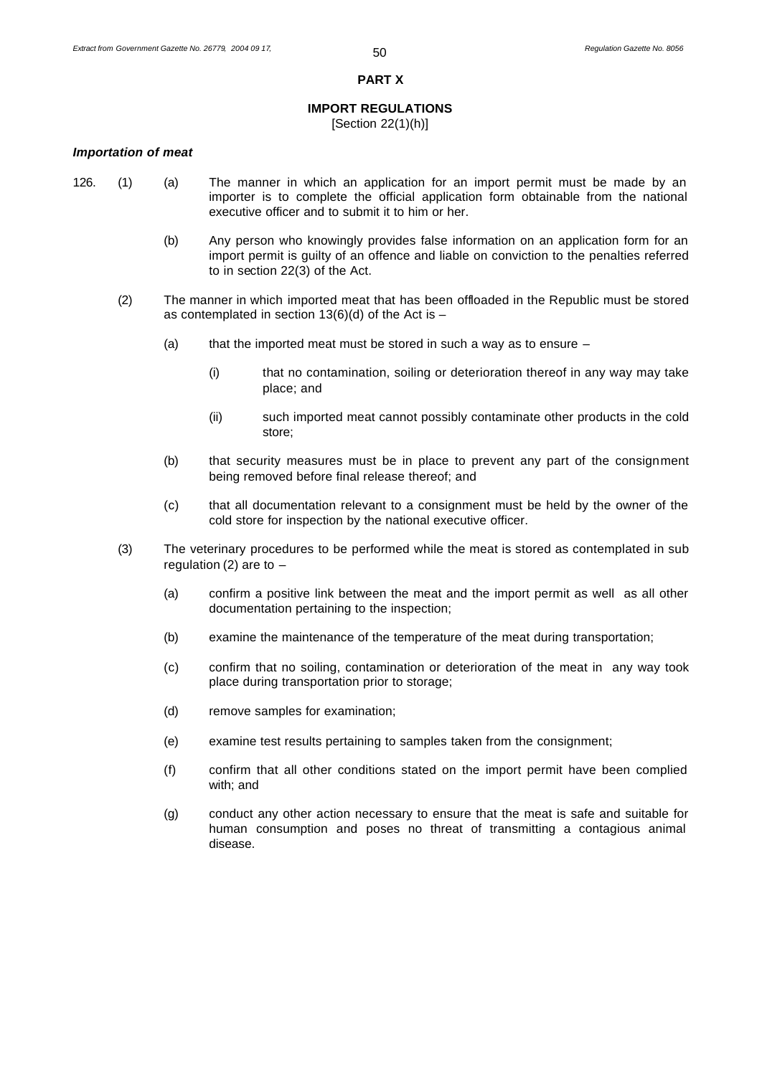#### **PART X**

# **IMPORT REGULATIONS**

[Section 22(1)(h)]

#### *Importation of meat*

- 
- 126. (1) (a) The manner in which an application for an import permit must be made by an importer is to complete the official application form obtainable from the national executive officer and to submit it to him or her.
	- (b) Any person who knowingly provides false information on an application form for an import permit is guilty of an offence and liable on conviction to the penalties referred to in section 22(3) of the Act.
	- (2) The manner in which imported meat that has been offloaded in the Republic must be stored as contemplated in section  $13(6)(d)$  of the Act is -
		- (a) that the imported meat must be stored in such a way as to ensure  $-$ 
			- (i) that no contamination, soiling or deterioration thereof in any way may take place; and
			- (ii) such imported meat cannot possibly contaminate other products in the cold store;
		- (b) that security measures must be in place to prevent any part of the consignment being removed before final release thereof; and
		- (c) that all documentation relevant to a consignment must be held by the owner of the cold store for inspection by the national executive officer.
	- (3) The veterinary procedures to be performed while the meat is stored as contemplated in sub regulation (2) are to  $-$ 
		- (a) confirm a positive link between the meat and the import permit as well as all other documentation pertaining to the inspection;
		- (b) examine the maintenance of the temperature of the meat during transportation;
		- (c) confirm that no soiling, contamination or deterioration of the meat in any way took place during transportation prior to storage;
		- (d) remove samples for examination;
		- (e) examine test results pertaining to samples taken from the consignment;
		- (f) confirm that all other conditions stated on the import permit have been complied with; and
		- (g) conduct any other action necessary to ensure that the meat is safe and suitable for human consumption and poses no threat of transmitting a contagious animal disease.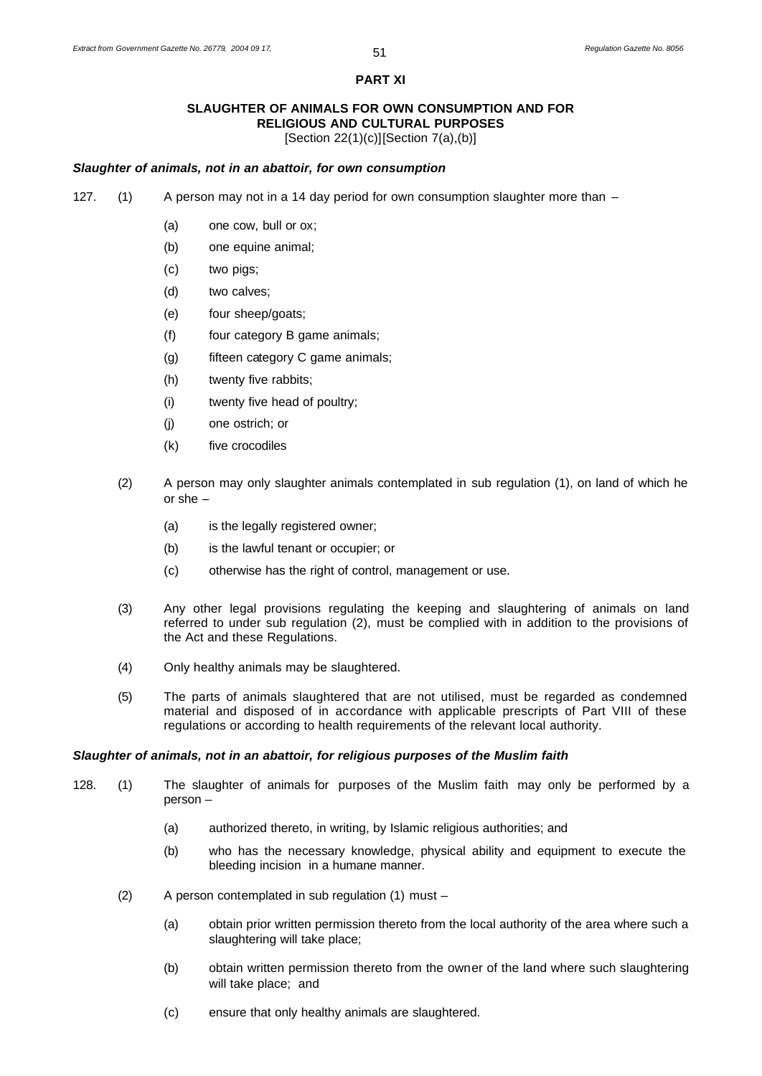#### **PART XI**

#### **SLAUGHTER OF ANIMALS FOR OWN CONSUMPTION AND FOR RELIGIOUS AND CULTURAL PURPOSES** [Section 22(1)(c)][Section 7(a),(b)]

#### *Slaughter of animals, not in an abattoir, for own consumption*

- 127. (1) A person may not in a 14 day period for own consumption slaughter more than
	- (a) one cow, bull or ox;
	- (b) one equine animal;
	- (c) two pigs;
	- (d) two calves;
	- (e) four sheep/goats;
	- (f) four category B game animals;
	- (g) fifteen category C game animals;
	- (h) twenty five rabbits;
	- (i) twenty five head of poultry;
	- (j) one ostrich; or
	- (k) five crocodiles
	- (2) A person may only slaughter animals contemplated in sub regulation (1), on land of which he or she –
		- (a) is the legally registered owner;
		- (b) is the lawful tenant or occupier; or
		- (c) otherwise has the right of control, management or use.
	- (3) Any other legal provisions regulating the keeping and slaughtering of animals on land referred to under sub regulation (2), must be complied with in addition to the provisions of the Act and these Regulations.
	- (4) Only healthy animals may be slaughtered.
	- (5) The parts of animals slaughtered that are not utilised, must be regarded as condemned material and disposed of in accordance with applicable prescripts of Part VIII of these regulations or according to health requirements of the relevant local authority.

#### *Slaughter of animals, not in an abattoir, for religious purposes of the Muslim faith*

- 128. (1) The slaughter of animals for purposes of the Muslim faith may only be performed by a person –
	- (a) authorized thereto, in writing, by Islamic religious authorities; and
	- (b) who has the necessary knowledge, physical ability and equipment to execute the bleeding incision in a humane manner.
	- (2) A person contemplated in sub regulation (1) must
		- (a) obtain prior written permission thereto from the local authority of the area where such a slaughtering will take place;
		- (b) obtain written permission thereto from the owner of the land where such slaughtering will take place; and
		- (c) ensure that only healthy animals are slaughtered.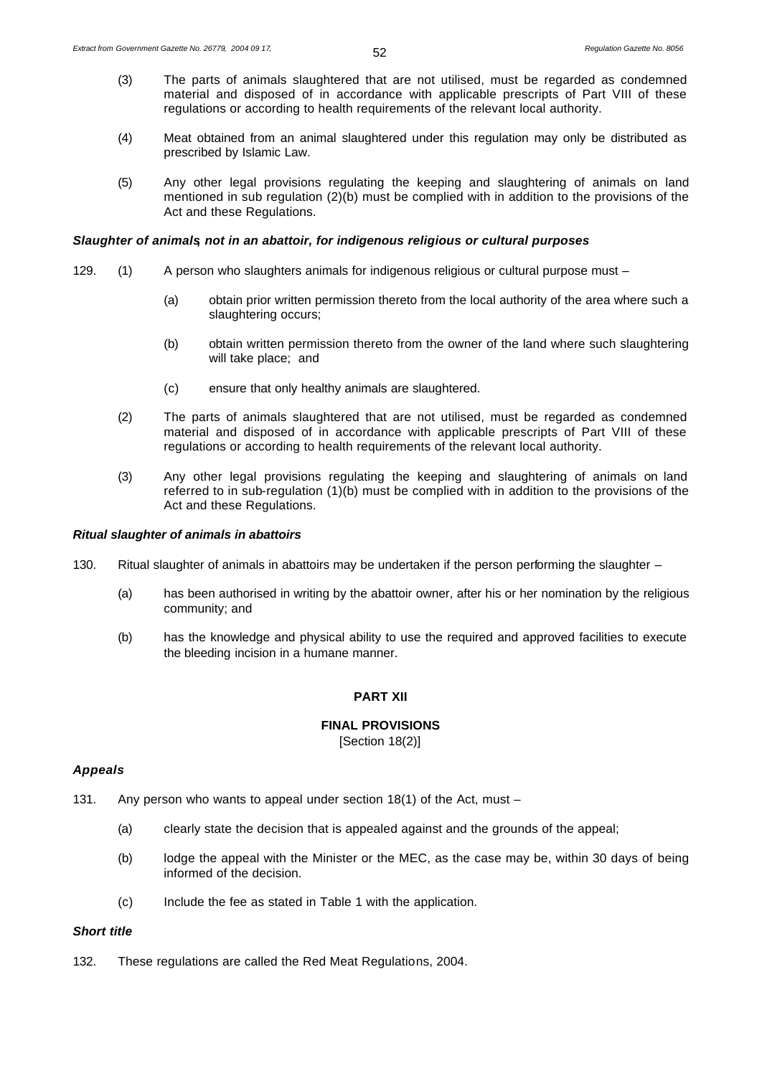- (3) The parts of animals slaughtered that are not utilised, must be regarded as condemned material and disposed of in accordance with applicable prescripts of Part VIII of these regulations or according to health requirements of the relevant local authority.
- (4) Meat obtained from an animal slaughtered under this regulation may only be distributed as prescribed by Islamic Law.
- (5) Any other legal provisions regulating the keeping and slaughtering of animals on land mentioned in sub regulation (2)(b) must be complied with in addition to the provisions of the Act and these Regulations.

#### *Slaughter of animals, not in an abattoir, for indigenous religious or cultural purposes*

- 129. (1) A person who slaughters animals for indigenous religious or cultural purpose must -
	- (a) obtain prior written permission thereto from the local authority of the area where such a slaughtering occurs;
	- (b) obtain written permission thereto from the owner of the land where such slaughtering will take place; and
	- (c) ensure that only healthy animals are slaughtered.
	- (2) The parts of animals slaughtered that are not utilised, must be regarded as condemned material and disposed of in accordance with applicable prescripts of Part VIII of these regulations or according to health requirements of the relevant local authority.
	- (3) Any other legal provisions regulating the keeping and slaughtering of animals on land referred to in sub-regulation (1)(b) must be complied with in addition to the provisions of the Act and these Regulations.

# *Ritual slaughter of animals in abattoirs*

- 130. Ritual slaughter of animals in abattoirs may be undertaken if the person performing the slaughter
	- (a) has been authorised in writing by the abattoir owner, after his or her nomination by the religious community; and
	- (b) has the knowledge and physical ability to use the required and approved facilities to execute the bleeding incision in a humane manner.

#### **PART XII**

# **FINAL PROVISIONS**

[Section 18(2)]

#### *Appeals*

- 131. Any person who wants to appeal under section 18(1) of the Act, must
	- (a) clearly state the decision that is appealed against and the grounds of the appeal;
	- (b) lodge the appeal with the Minister or the MEC, as the case may be, within 30 days of being informed of the decision.
	- (c) Include the fee as stated in Table 1 with the application.

#### *Short title*

132. These regulations are called the Red Meat Regulations, 2004.